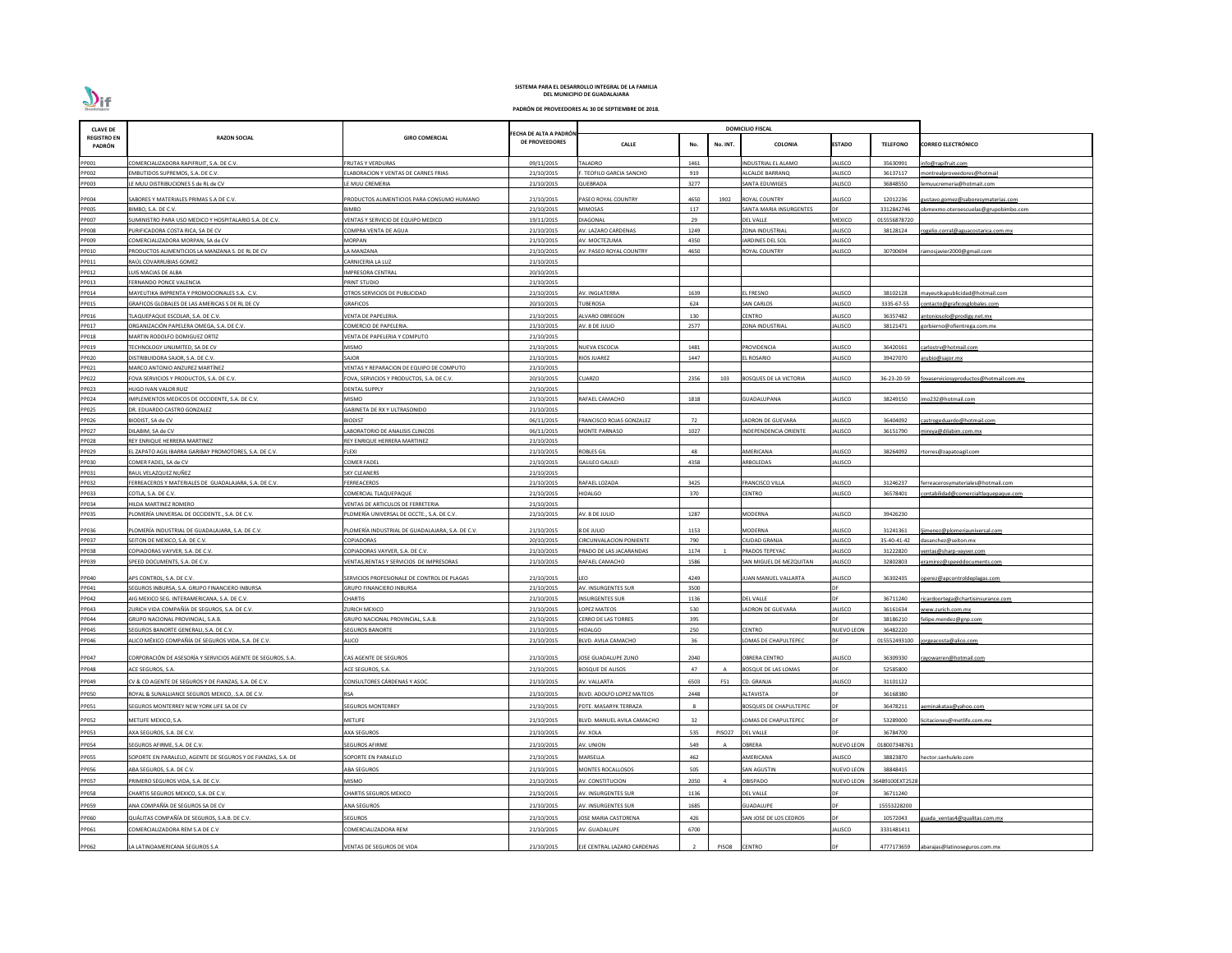| <b>CLAVE DE</b>              |                                                                                                 |                                                            |                                         |                                             |             |          | <b>DOMICILIO FISCAL</b>        |                                  |                          |                                                                  |
|------------------------------|-------------------------------------------------------------------------------------------------|------------------------------------------------------------|-----------------------------------------|---------------------------------------------|-------------|----------|--------------------------------|----------------------------------|--------------------------|------------------------------------------------------------------|
| <b>REGISTRO EN</b><br>PADRÓN | <b>RAZON SOCIAL</b>                                                                             | <b>GIRO COMERCIAL</b>                                      | ECHA DE ALTA A PADRÓN<br>DE PROVEEDORES | <b>CALLE</b>                                | No.         | No. INT. | <b>COLONIA</b>                 | <b>ESTADO</b>                    | <b>TELEFONO</b>          | <b>CORREO ELECTRÓNICO</b>                                        |
| PP001                        | COMERCIALIZADORA RAPIFRUIT, S.A. DE C.V.                                                        | <b>FRUTAS Y VERDURAS</b>                                   | 09/11/2015                              | <b>TALADRO</b>                              | 1461        |          | <b>INDUSTRIAL EL ALAMO</b>     | JALISCO                          | 35630991                 | info@rapifruit.com                                               |
| PP002                        | EMBUTIDOS SUPREMOS, S.A. DE C.V.                                                                | LABORACION Y VENTAS DE CARNES FRIAS                        | 21/10/2015                              | . TEOFILO GARCIA SANCHO                     | 919         |          | <b>ILCALDE BARRANQ</b>         | JALISCO                          | 36137117                 | nontrealproveedores@hotmail                                      |
| PP003                        | E MUU DISTRIBUCIONES S de RL de CV                                                              | E MUU CREMERIA                                             | 21/10/2015                              | QUEBRADA                                    | 3277        |          | SANTA EDUWIGES                 | JALISCO                          | 36848550                 | :muucremeria@hotmait.com                                         |
| PP004                        | SABORES Y MATERIALES PRIMAS S.A DE C.V.                                                         | PRODUCTOS ALIMENTICIOS PARA CONSUMO HUMANO                 | 21/10/2015                              | PASEO ROYAL COUNTRY                         | 4650        | 1902     | <b>ROYAL COUNTRY</b>           | JALISCO                          | 12012236                 | <u>ustavo.gomez@saboresymaterias.com</u>                         |
| <b>PP005</b>                 | BIMBO, S.A. DE C.V.                                                                             | BIMBO                                                      | 21/10/2015                              | MIMOSAS                                     | 117         |          | SANTA MARIA INSURGENTES        |                                  | 3312842746               | obmexmo.oteroescuelas@grupobimbo.com                             |
| PP007<br>PP008               | SUMINISTRO PARA USO MEDICO Y HOSPITALARIO S.A. DE C.V.<br>PURIFICADORA COSTA RICA, SA DE CV     | VENTAS Y SERVICIO DE EQUIPO MEDICO<br>COMPRA VENTA DE AGUA | 19/11/2015<br>21/10/2015                | <b>DIAGONAL</b><br>AV. LAZARO CARDENAS      | 29<br>1249  |          | DEL VALLE<br>ZONA INDUSTRIAL   | <b>MEXICO</b><br><b>JALISCO</b>  | 015556878720<br>38128124 | ogelio.corral@aguacostarica.com.mx                               |
| PP009                        | COMERCIALIZADORA MORPAN, SA de CV                                                               | MORPAN                                                     | 21/10/2015                              | AV. MOCTEZUMA                               | 4350        |          | ARDINES DEL SOL                | JALISCO                          |                          |                                                                  |
| PP010                        | RODUCTOS ALIMENTICIOS LA MANZANA S. DE RL DE CV                                                 | A MANZANA                                                  | 21/10/2015                              | AV. PASEO ROYAL COUNTRY                     | 4650        |          | <b>ROYAL COUNTRY</b>           | ALISCO                           | 30700694                 | ramosjavier2000@gmail.com                                        |
| PP011                        | RAÚL COVARRUBIAS GOMEZ                                                                          | CARNICERIA LA LUZ                                          | 21/10/2015                              |                                             |             |          |                                |                                  |                          |                                                                  |
| PP012                        | UIS MACIAS DE ALBA                                                                              | IMPRESORA CENTRAL                                          | 20/10/2015                              |                                             |             |          |                                |                                  |                          |                                                                  |
| PP013                        | FERNANDO PONCE VALENCIA                                                                         | PRINT STUDIO                                               | 21/10/2015                              |                                             |             |          |                                |                                  |                          |                                                                  |
| PP014<br>PP015               | MAYEUTIKA IMPRENTA Y PROMOCIONALES S.A. C.V.<br>GRAFICOS GLOBALES DE LAS AMERICAS S DE RL DE CV | OTROS SERVICIOS DE PUBLICIDAD<br>GRAFICOS                  | 21/10/2015<br>20/10/2015                | AV. INGLATERRA<br><b>TUBEROSA</b>           | 1639<br>624 |          | EL FRESNO<br><b>SAN CARLOS</b> | <b>JALISCO</b><br><b>JALISCO</b> | 38102128<br>3335-67-55   | nayeutikapublicidad@hotmail.com                                  |
|                              | TLAQUEPAQUE ESCOLAR, S.A. DE C.V.                                                               | VENTA DE PAPELERIA.                                        | 21/10/2015                              | ALVARO OBREGON                              | 130         |          | CENTRO                         | JALISCO                          | 36357482                 | contacto@graficosglobales.com                                    |
| PP016<br>PP017               | ORGANIZACIÓN PAPELERA OMEGA, S.A. DE C.V.                                                       | COMERCIO DE PAPELERIA.                                     | 21/10/2015                              | AV. 8 DE JULIO                              | 2577        |          | ZONA INDUSTRIAL                | JALISCO                          | 38121471                 | antoniosolo@prodigy.net.mx<br><u>xorbierno@ofientrega.com.mx</u> |
| PP018                        | MARTIN RODOLFO DOMIGUEZ ORTIZ                                                                   | VENTA DE PAPELERIA Y COMPUTO                               | 21/10/2015                              |                                             |             |          |                                |                                  |                          |                                                                  |
| PP019                        | TECHNOLOGY UNLIMITED, SA DE CV                                                                  | MISMO                                                      | 21/10/2015                              | <b>NUEVA ESCOCIA</b>                        | 1481        |          | <b>PROVIDENCIA</b>             | <b>JALISCO</b>                   | 36420161                 | carlostrv@hotmail.com                                            |
| PP020                        | DISTRIBUIDORA SAJOR, S.A. DE C.V.                                                               | SAJOR                                                      | 21/10/2015                              | RIOS JUAREZ                                 | 1447        |          | EL ROSARIO                     | JALISCO                          | 39427070                 | arubio@sajor.mx                                                  |
| PP021                        | MARCO ANTONIO ANZUREZ MARTÍNEZ                                                                  | VENTAS Y REPARACION DE EQUIPO DE COMPUTO                   | 21/10/2015                              |                                             |             |          |                                |                                  |                          |                                                                  |
| PP022<br>PP023               | FOVA SERVICIOS Y PRODUCTOS, S.A. DE C.V.<br>HUGO IVAN VALOR RUIZ                                | FOVA, SERVICIOS Y PRODUCTOS, S.A. DE C.V.<br>DENTAL SUPPLY | 20/10/2015<br>21/10/2015                | <b>CUARZO</b>                               | 2356        | 103      | <b>BOSQUES DE LA VICTORIA</b>  | JALISCO                          | 36-23-20-59              | ovaserviciosyproductos@hotmail.com.mx                            |
| PP024                        | IMPLEMENTOS MEDICOS DE OCCIDENTE, S.A. DE C.V.                                                  | MISMO                                                      | 21/10/2015                              | RAFAEL CAMACHO                              | 1818        |          | GUADALUPANA                    | JALISCO                          | 38249150                 | mo232@hotmail.com                                                |
| PP025                        | DR. EDUARDO CASTRO GONZALEZ                                                                     | GABINETA DE RX Y ULTRASONIDO                               | 21/10/2015                              |                                             |             |          |                                |                                  |                          |                                                                  |
| PP026                        | BIODIST, SA de CV                                                                               | <b>BIODIST</b>                                             | 06/11/2015                              | FRANCISCO ROJAS GONZALEZ                    | 72          |          | ADRON DE GUEVARA               | <b>JALISCO</b>                   | 36404092                 | astrogeduardo@hotmail.com                                        |
| PP027                        | DILABIM, SA de CV                                                                               | ABORATORIO DE ANALISIS CLINICOS                            | 06/11/2015                              | <b>MONTE PARNASO</b>                        | 1027        |          | NDEPENDENCIA ORIENTE           | JALISCO                          | 36151790                 | nireya@dilabim.com.mx                                            |
| PP028                        | REY ENRIQUE HERRERA MARTINEZ                                                                    | REY ENRIQUE HERRERA MARTINEZ                               | 21/10/2015                              |                                             |             |          |                                |                                  |                          |                                                                  |
| PP029<br>PP030               | EL ZAPATO AGIL IBARRA GARIBAY PROMOTORES, S.A. DE C.V.<br>COMER FADEL, SA de CV                 | FLEXI<br>COMER FADEL                                       | 21/10/2015<br>21/10/2015                | <b>ROBLES GIL</b><br><b>GALILEO GALILEI</b> | 48<br>4358  |          | <b>\MERICANA</b><br>ARBOLEDAS  | JALISCO<br><b>JALISCO</b>        | 38264092                 | torres@zapatoagil.com                                            |
| PP031                        | RAUL VELAZQUEZ NUÑEZ                                                                            | <b>SKY CLEANERS</b>                                        | 21/10/2015                              |                                             |             |          |                                |                                  |                          |                                                                  |
| PP032                        | FERREACEROS Y MATERIALES DE GUADALAJARA, S.A. DE C.V.                                           | FERREACEROS                                                | 21/10/2015                              | RAFAEL LOZADA                               | 3425        |          | FRANCISCO VILLA                | <b>JALISCO</b>                   | 31246237                 | ferreacerosymateriales@hotmail.com                               |
| PP033                        | COTLA, S.A. DE C.V.                                                                             | COMERCIAL TLAQUEPAQUE                                      | 21/10/2015                              | <b>HIDALGO</b>                              | 370         |          | CENTRO                         | <b>JALISCO</b>                   | 36578401                 | ontabilidad@comercialtlaquepaque.com                             |
| PP034                        | HILDA MARTINEZ ROMERO                                                                           | VENTAS DE ARTICULOS DE FERRETERIA                          | 21/10/2015                              |                                             |             |          |                                |                                  |                          |                                                                  |
| PP035                        | PLOMERÍA UNIVERSAL DE OCCIDENTE., S.A. DE C.V.                                                  | LOMERÍA UNIVERSAL DE OCCTE., S.A. DE C.V.                  | 21/10/2015                              | AV. 8 DE JULIO                              | 1287        |          | <b>AODERNA</b>                 | <b>JALISCO</b>                   | 39426230                 |                                                                  |
| PP036                        | PLOMERÍA INDUSTRIAL DE GUADALAJARA. S.A. DE C.V.                                                | PLOMERÍA INDUSTRIAL DE GUADALAJARA, S.A. DE C.V.           | 21/10/2015                              | 8 DE JULIO                                  | 1153        |          | MODERNA                        | <b>JALISCO</b>                   | 31241361                 | menez@plomeriauniversal.com                                      |
| PP037                        | SEITON DE MEXICO, S.A. DE C.V.                                                                  | COPIADORAS                                                 | 20/10/2015                              | <b>CIRCUNVALACION PONIENTE</b>              | 790         |          | CIUDAD GRANJA                  | <b>JALISCO</b>                   | 35-40-41-42              | lasanchez@seiton.mx                                              |
| PP038                        | COPIADORAS VAYVER, S.A. DE C.V.                                                                 | COPIADORAS VAYVER, S.A. DE C.V.                            | 21/10/2015                              | PRADO DE LAS JACARANDAS                     | 1174        |          | PRADOS TEPEYAC                 | <b>JALISCO</b>                   | 31222820                 | entas@sharp-vayver.com                                           |
| PP039                        | SPEED DOCUMENTS, S.A. DE C.V.                                                                   | VENTAS, RENTAS Y SERVICIOS DE IMPRESORAS                   | 21/10/2015                              | RAFAEL CAMACHO                              | 1586        |          | SAN MIGUEL DE MEZQUITAN        | <b>JALISCO</b>                   | 32802803                 | ramirez@speeddocuments.com                                       |
| PP040                        | APS CONTROL, S.A. DE C.V.                                                                       | SERVICIOS PROFESIONALE DE CONTROL DE PLAGAS                | 21/10/2015                              | LEO                                         | 4249        |          | <b>UAN MANUEL VALLARTA</b>     | <b>JALISCO</b>                   | 36302435                 | operez@apcontroldeplagas.com                                     |
| PP041                        | SEGUROS INBURSA, S.A. GRUPO FINANCIERO INBURSA                                                  | GRUPO FINANCIERO INBURSA                                   | 21/10/2015                              | AV. INSURGENTES SUR                         | 3500        |          |                                |                                  |                          |                                                                  |
| PP042                        | AIG MEXICO SEG. INTERAMERICANA, S.A. DE C.V.                                                    | <b>CHARTIS</b>                                             | 21/10/2015                              | <b>INSURGENTES SUR</b>                      | 1136        |          | <b>DEL VALLE</b>               |                                  | 36711240                 | ricardoortega@chartisinsurance.com                               |
| PP043<br>PP044               | ZURICH VIDA COMPAÑÍA DE SEGUROS, S.A. DE C.V.<br>GRUPO NACIONAL PROVINCIAL, S.A.B.              | ZURICH MEXICO<br>GRUPO NACIONAL PROVINCIAL, S.A.B.         | 21/10/2015<br>21/10/2015                | LOPEZ MATEOS<br><b>CERRO DE LAS TORRES</b>  | 530<br>395  |          | LADRON DE GUEVARA              | <b>JALISCO</b>                   | 36161634<br>38186210     | www.zurich.com.mx<br>felipe.mendez@gnp.com                       |
| PP045                        | SEGUROS BANORTE GENERALI, S.A. DE C.V.                                                          | <b>SEGUROS BANORTE</b>                                     | 21/10/2015                              | <b>HIDALGO</b>                              | 250         |          | CENTRO                         | <b>NUEVO LEON</b>                | 36482220                 |                                                                  |
| PP046                        | ALICO MÉXICO COMPAÑÍA DE SEGUROS VIDA, S.A. DE C.V.                                             | ALICO                                                      | 21/10/2015                              | BLVD. AVILA CAMACHO                         | 36          |          | LOMAS DE CHAPULTEPEC           |                                  | 015552493100             | orgeacosta@alico.com                                             |
|                              | CORPORACIÓN DE ASESORÍA Y SERVICIOS AGENTE DE SEGUROS, S.A.                                     | CAS AGENTE DE SEGUROS                                      | 21/10/2015                              | JOSE GUADALUPE ZUNO                         | 2040        |          | OBRERA CENTRO                  | JALISCO                          | 36309330                 | rayowarren@hotmail.com                                           |
| PP047<br>PP048               | ACE SEGUROS, S.A.                                                                               | ACE SEGUROS, S.A.                                          | 21/10/2015                              | <b>BOSQUE DE ALISOS</b>                     | 47          |          | <b>BOSQUE DE LAS LOMAS</b>     | <b>DF</b>                        | 52585800                 |                                                                  |
|                              | CV & CO AGENTE DE SEGUROS Y DE FIANZAS, S.A. DE C.V.                                            | CONSULTORES CÁRDENAS Y ASOC.                               | 21/10/2015                              | AV. VALLARTA                                | 6503        | F51      | CD. GRANJA                     | JALISCO                          | 31101122                 |                                                                  |
| PP049<br>PP050               | ROYAL & SUNALLIANCE SEGUROS MEXICO, .S.A. DE C.V.                                               | RSA                                                        | 21/10/2015                              | BLVD. ADOLFO LOPEZ MATEOS                   | 2448        |          | ALTAVISTA                      |                                  | 36168380                 |                                                                  |
| PP051                        | SEGUROS MONTERREY NEW YORK LIFE SA DE CV                                                        | <b>SEGUROS MONTERREY</b>                                   | 21/10/2015                              | PDTE. MASARYK TERRAZA                       |             |          | <b>BOSQUES DE CHAPULTEPEC</b>  |                                  | 36478211                 | eminakataa@yahoo.com                                             |
|                              |                                                                                                 |                                                            |                                         |                                             |             |          |                                |                                  |                          |                                                                  |
| PP052                        | METLIFE MEXICO, S.A.                                                                            | <b>METLIFE</b>                                             | 21/10/2015                              | BLVD. MANUEL AVILA CAMACHO                  | 32          |          | LOMAS DE CHAPULTEPEC           | DF                               | 53289000                 | licitaciones@metlife.com.mx                                      |
| PP053                        | AXA SEGUROS, S.A. DE C.V.                                                                       | AXA SEGUROS                                                | 21/10/2015                              | AV. XOLA                                    | 535         |          | PISO27 DEL VALLE               | DF                               | 36784700                 |                                                                  |
| PP054                        | SEGUROS AFIRME, S.A. DE C.V.                                                                    | SEGUROS AFIRME                                             | 21/10/2015                              | AV. UNION                                   | 549         |          | OBRERA                         | <b>NUEVO LEON</b>                | 018007348761             |                                                                  |
| <b>PP055</b>                 | SOPORTE EN PARALELO, AGENTE DE SEGUROS Y DE FIANZAS, S.A. DE                                    | SOPORTE EN PARALELO                                        | 21/10/2015                              | MARSELLA                                    | 462         |          | <b>MERICANA</b>                | <b>JALISCO</b>                   | 38823870                 | ector.sanhulelo.com                                              |
| PP056                        | ABA SEGUROS, S.A. DE C.V.                                                                       | ABA SEGUROS                                                | 21/10/2015                              | <b>MONTES ROCALLOSOS</b>                    | 505         |          | SAN AGUSTIN                    | <b>NUEVO LEON</b>                | 38848415                 |                                                                  |
| PP057                        | PRIMERO SEGUROS VIDA, S.A. DE C.V.                                                              | MISMO                                                      | 21/10/2015                              | AV. CONSTITUCION                            | 2050        | $\Delta$ | <b>OBISPADO</b>                | NUEVO LEON                       | 36489100EXT2528          |                                                                  |
| PP058                        | CHARTIS SEGUROS MEXICO, S.A. DE C.V.                                                            | CHARTIS SEGUROS MEXICO                                     | 21/10/2015                              | AV. INSURGENTES SUR                         | 1136        |          | <b>DEL VALLE</b>               |                                  | 36711240                 |                                                                  |
| PP059                        | ANA COMPAÑÍA DE SEGUROS SA DE CV                                                                | ANA SEGUROS                                                | 21/10/2015                              | AV. INSURGENTES SUR                         | 1685        |          | GUADALUPE                      | DE                               | 15553228200              |                                                                  |
| PP060                        | QUÁLITAS COMPAÑÍA DE SEGUROS, S.A.B. DE C.V.                                                    | SEGUROS                                                    | 21/10/2015                              | <b>JOSE MARIA CASTORENA</b>                 | 426         |          | SAN JOSE DE LOS CEDROS         |                                  | 10572043                 | uada ventas4@qualitas.com.mx                                     |
| PP061                        | COMERCIALIZADORA REM S.A DE C.V                                                                 | COMERCIALIZADORA REM                                       | 21/10/2015                              | AV. GUADALUPE                               | 6700        |          |                                | ALISCO                           | 3331481411               |                                                                  |
| PP062                        | LA LATINOAMERICANA SEGUROS S.A                                                                  | VENTAS DE SEGUROS DE VIDA                                  | 21/10/2015                              | EJE CENTRAL LAZARO CARDENAS                 |             | PISO8    | CENTRO                         | DF                               | 4777173659               | abarajas@latinoseguros.com.mx                                    |

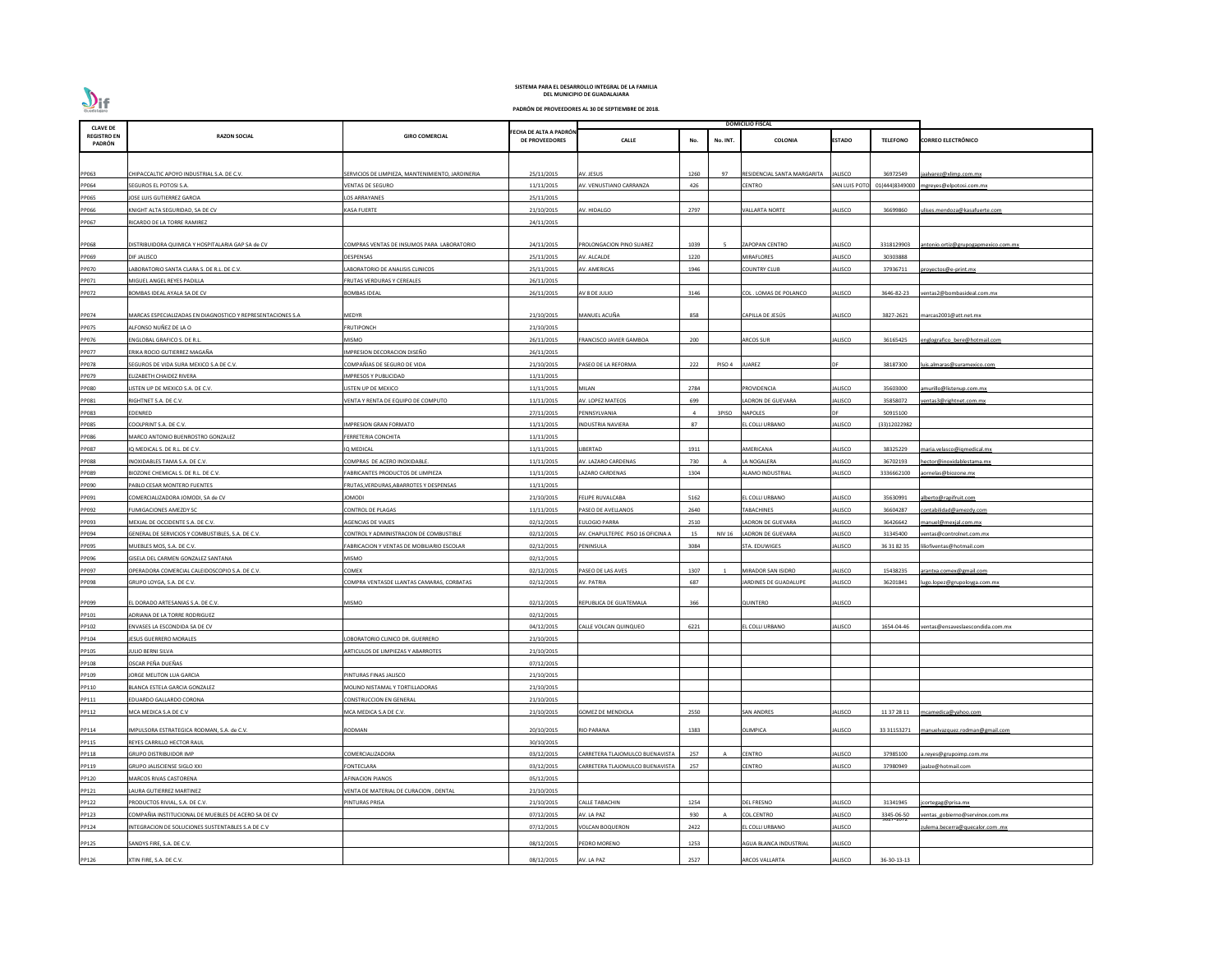

| <b>CLAVE DE</b>              |                                                             |                                                  |                                                 |                                  |      |                | <b>DOMICILIO FISCAL</b>     |                     |                 |                                            |
|------------------------------|-------------------------------------------------------------|--------------------------------------------------|-------------------------------------------------|----------------------------------|------|----------------|-----------------------------|---------------------|-----------------|--------------------------------------------|
| <b>REGISTRO EN</b><br>PADRÓN | <b>RAZON SOCIAL</b>                                         | <b>GIRO COMERCIAL</b>                            | FECHA DE ALTA A PADRÓN<br><b>DE PROVEEDORES</b> | <b>CALLE</b>                     | No.  | No. INT.       | <b>COLONIA</b>              | <b>ESTADO</b>       | <b>TELEFONO</b> | <b>CORREO ELECTRÓNICO</b>                  |
|                              |                                                             |                                                  |                                                 |                                  |      |                |                             |                     |                 |                                            |
| PP063                        | CHIPACCALTIC APOYO INDUSTRIAL S.A. DE C.V.                  | SERVICIOS DE LIMPIEZA, MANTENIMIENTO, JARDINERIA | 25/11/2015                                      | AV. JESUS                        | 1260 | 97             | RESIDENCIAL SANTA MARGARITA | ALISCO              | 36972549        | jaalvarez@xlimp.com.mx                     |
| PP064                        | SEGUROS EL POTOSI S.A.                                      | <b>VENTAS DE SEGURO</b>                          | 11/11/2015                                      | AV. VENUSTIANO CARRANZA          | 426  |                | <b>CENTRO</b>               | <b>SAN LUIS POT</b> | 01(444)8349000  | mgreyes@elpotosi.com.mx                    |
| PP065                        | JOSE LUIS GUTIERREZ GARCIA                                  | LOS ARRAYANES                                    | 25/11/2015                                      |                                  |      |                |                             |                     |                 |                                            |
| PP066                        | KNIGHT ALTA SEGURIDAD, SA DE CV                             | <b>KASA FUERTE</b>                               | 21/10/2015                                      | AV. HIDALGO                      | 2797 |                | <b>VALLARTA NORTE</b>       | ALISCO              | 36699860        | <u>ulises.mendoza@kasafuerte.com</u>       |
| PP067                        | RICARDO DE LA TORRE RAMIREZ                                 |                                                  | 24/11/2015                                      |                                  |      |                |                             |                     |                 |                                            |
|                              |                                                             |                                                  |                                                 |                                  |      |                |                             |                     |                 |                                            |
| PP068                        | DISTRIBUIDORA QUIMICA Y HOSPITALARIA GAP SA de CV           | COMPRAS VENTAS DE INSUMOS PARA LABORATORIO       | 24/11/2015                                      | PROLONGACION PINO SUAREZ         | 1039 |                | <b>ZAPOPAN CENTRO</b>       | <b>JALISCO</b>      | 3318129903      | <u>antonio.ortiz@grupogapmexico.com.m›</u> |
| PP069                        | DIF JALISCO                                                 | DESPENSAS                                        | 25/11/2015                                      | AV. ALCALDE                      | 1220 |                | MIRAFLORES                  | <b>JALISCO</b>      | 30303888        |                                            |
| <b>PP070</b>                 | LABORATORIO SANTA CLARA S. DE R.L. DE C.V.                  | ABORATORIO DE ANALISIS CLINICOS                  | 25/11/2015                                      | <b>AV. AMERICAS</b>              | 1946 |                | <b>COUNTRY CLUB</b>         | JALISCO             | 37936711        | royectos@e-print.mx                        |
| PP071                        | MIGUEL ANGEL REYES PADILLA                                  | FRUTAS VERDURAS Y CEREALES                       | 26/11/2015                                      |                                  |      |                |                             |                     |                 |                                            |
| PP072                        | BOMBAS IDEAL AYALA SA DE CV                                 | <b>BOMBAS IDEAL</b>                              | 26/11/2015                                      | AV 8 DE JULIO                    | 3146 |                | COL. LOMAS DE POLANCO       | JALISCO             | 3646-82-23      | ventas2@bombasideal.com.mx                 |
|                              |                                                             |                                                  |                                                 |                                  |      |                |                             |                     |                 |                                            |
| PP074                        | MARCAS ESPECIALIZADAS EN DIAGNOSTICO Y REPRESENTACIONES S.A | <b>MEDYR</b>                                     | 21/10/2015                                      | MANUEL ACUÑA                     | 858  |                | CAPILLA DE JESÚS            | <b>JALISCO</b>      | 3827-2621       | marcas2001@att.net.mx                      |
| PP075                        | \LFONSO NUÑEZ DE LA O                                       | <b>FRUTIPONCH</b>                                | 21/10/2015                                      |                                  |      |                |                             |                     |                 |                                            |
| PP076                        | ENGLOBAL GRAFICO S. DE R.L.                                 | <b>MISMO</b>                                     | 26/11/2015                                      | RANCISCO JAVIER GAMBOA           | 200  |                | ARCOS SUR                   | <b>JALISCO</b>      | 36165425        | englografico bere@hotmail.com              |
| PP077                        | ERIKA ROCIO GUTIERREZ MAGAÑA                                | IMPRESION DECORACION DISEÑO                      | 26/11/2015                                      |                                  |      |                |                             |                     |                 |                                            |
| PP078                        | SEGUROS DE VIDA SURA MEXICO S.A DE C.V.                     | COMPAÑIAS DE SEGURO DE VIDA                      | 21/10/2015                                      | ASEO DE LA REFORMA               | 222  | PISO 4         | <b>JUAREZ</b>               |                     | 38187300        | luis.almaras@suramexico.com                |
| PP079                        | <b>ELIZABETH CHAIDEZ RIVERA</b>                             | IMPRESOS Y PUBLICIDAD                            | 11/11/2015                                      |                                  |      |                |                             |                     |                 |                                            |
| PP080                        | ISTEN UP DE MEXICO S.A. DE C.V.                             | LISTEN UP DE MEXICO                              | 11/11/2015                                      | MILAN                            | 2784 |                | PROVIDENCIA                 | JALISCO             | 35603000        | amurillo@listenup.com.mx                   |
| PP081                        | RIGHTNET S.A. DE C.V.                                       | ENTA Y RENTA DE EQUIPO DE COMPUTO                | 11/11/2015                                      | <b>AV. LOPEZ MATEOS</b>          | 699  |                | ADRON DE GUEVARA            | ALISCO              | 35858072        | entas3@rightnet.com.mx                     |
| PP083                        | EDENRED                                                     |                                                  | 27/11/2015                                      | PENNSYLVANIA                     |      | 3PISO          | <b>NAPOLES</b>              |                     | 50915100        |                                            |
| PP085                        | COOLPRINT S.A. DE C.V.                                      | <b>IMPRESION GRAN FORMATO</b>                    | 11/11/2015                                      | NDUSTRIA NAVIERA                 | 87   |                | EL COLLI URBANO             | ALISCO              | (33)12022982    |                                            |
| PP086                        | MARCO ANTONIO BUENROSTRO GONZALEZ                           | FERRETERIA CONCHITA                              | 11/11/2015                                      |                                  |      |                |                             |                     |                 |                                            |
| PP087                        | Q MEDICAL S. DE R.L. DE C.V.                                | IQ MEDICAL                                       | 11/11/2015                                      | IBERTAD                          | 1911 |                | AMERICANA                   | JALISCO             | 38325229        | maria.velasco@igmedical.mx                 |
| PP088                        | INOXIDABLES TAMA S.A. DE C.V.                               | COMPRAS DE ACERO INOXIDABLE                      | 11/11/2015                                      | AV. LAZARO CARDENAS              | 730  |                | LA NOGALERA                 | ALISCO              | 36702193        | hector@inoxidablestama.mx                  |
| PP089                        | BIOZONE CHEMICAL S. DE R.L. DE C.V.                         | FABRICANTES PRODUCTOS DE LIMPIEZA                | 11/11/2015                                      | AZARO CARDENAS                   | 1304 |                | <b>ALAMO INDUSTRIAL</b>     | <b>JALISCO</b>      | 3336662100      | aornelas@biozone.mx                        |
| PP090                        | PABLO CESAR MONTERO FUENTES                                 | FRUTAS, VERDURAS, ABARROTES Y DESPENSAS          | 11/11/2015                                      |                                  |      |                |                             |                     |                 |                                            |
| PP091                        | COMERCIALIZADORA JOMODI, SA de CV                           | <b>IOMODI</b>                                    | 21/10/2015                                      | <b>FELIPE RUVALCABA</b>          | 5162 |                | EL COLLI URBANO             | <b>JALISCO</b>      | 35630991        | alberto@rapifruit.com                      |
| PP092                        | FUMIGACIONES AMEZDY SC                                      | <b>CONTROL DE PLAGAS</b>                         | 11/11/2015                                      | PASEO DE AVELLANOS               | 2640 |                | TABACHINES                  | JALISCO             | 36604287        | contabilidad@amezdy.com                    |
| PP093                        | MEXJAL DE OCCIDENTE S.A. DE C.V.                            | <b>AGENCIAS DE VIAJES</b>                        | 02/12/2015                                      | ULOGIO PARRA                     | 2510 |                | LADRON DE GUEVARA           | JALISCO             | 36426642        | manuel@mexjal.com.mx                       |
| PP094                        | GENERAL DE SERVICIOS Y COMBUSTIBLES, S.A. DE C.V.           | CONTROL Y ADMINISTRACION DE COMBUSTIBLE          | 02/12/2015                                      | V. CHAPULTEPEC PISO 16 OFICINA A | 15   | NIV 16         | LADRON DE GUEVARA           | ALISCO              | 31345400        | entas@controlnet.com.mx                    |
| PP095                        | MUEBLES MOS, S.A. DE C.V.                                   | FABRICACION Y VENTAS DE MOBILIARIO ESCOLAR       | 02/12/2015                                      | PENINSULA                        | 3084 |                | STA. EDUWIGES               | <b>JALISCO</b>      | 36 31 82 35     | liliofiventas@hotmail.com                  |
| PP096                        | GISELA DEL CARMEN GONZALEZ SANTANA                          | <b>MISMO</b>                                     | 02/12/2015                                      |                                  |      |                |                             |                     |                 |                                            |
| PP097                        | OPERADORA COMERCIAL CALEIDOSCOPIO S.A. DE C.V.              | COMEX                                            | 02/12/2015                                      | ASEO DE LAS AVES                 | 1307 |                | <b>MIRADOR SAN ISIDRO</b>   | JALISCO             | 15438235        | arantxa.comex@gmail.com                    |
| PP098                        | GRUPO LOYGA, S.A. DE C.V.                                   | COMPRA VENTASDE LLANTAS CAMARAS, CORBATAS        | 02/12/2015                                      | AV. PATRIA                       | 687  |                | JARDINES DE GUADALUPE       | JALISCO             | 36201841        | lugo.lopez@grupoloyga.com.mx               |
|                              |                                                             |                                                  |                                                 |                                  |      |                |                             |                     |                 |                                            |
| PP099                        | EL DORADO ARTESANIAS S.A. DE C.V.                           | <b>MISMO</b>                                     | 02/12/2015                                      | REPUBLICA DE GUATEMALA           | 366  |                | QUINTERO                    | <b>JALISCO</b>      |                 |                                            |
| PP101                        | <b>IDRIANA DE LA TORRE RODRIGUEZ</b>                        |                                                  | 02/12/2015                                      |                                  |      |                |                             |                     |                 |                                            |
| PP102                        | ENVASES LA ESCONDIDA SA DE CV                               |                                                  | 04/12/2015                                      | CALLE VOLCAN QUINQUEO            | 6221 |                | EL COLLI URBANO             | JALISCO             | 1654-04-46      | ventas@ensaveslaescondida.com.mx           |
| PP104                        | <b>ESUS GUERRERO MORALES</b>                                | OBORATORIO CLINICO DR. GUERRERO                  | 21/10/2015                                      |                                  |      |                |                             |                     |                 |                                            |
| PP105                        | ULIO BERNI SILVA                                            | RTICULOS DE LIMPIEZAS Y ABARROTES                | 21/10/2015                                      |                                  |      |                |                             |                     |                 |                                            |
| PP108                        | OSCAR PEÑA DUEÑAS                                           |                                                  | 07/12/2015                                      |                                  |      |                |                             |                     |                 |                                            |
| PP109                        | <b>ORGE MELITON LUA GARCIA</b>                              | PINTURAS FINAS JALISCO                           | 21/10/2015                                      |                                  |      |                |                             |                     |                 |                                            |
| PP110                        | BLANCA ESTELA GARCIA GONZALEZ                               | MOLINO NISTAMAL Y TORTILLADORAS                  | 21/10/2015                                      |                                  |      |                |                             |                     |                 |                                            |
| PP111                        | EDUARDO GALLARDO CORONA                                     | <b>CONSTRUCCION EN GENERAL</b>                   | 21/10/2015                                      |                                  |      |                |                             |                     |                 |                                            |
| PP112                        | MCA MEDICA S.A DE C.V                                       | MCA MEDICA S.A DE C.V.                           | 21/10/2015                                      | GOMEZ DE MENDIOLA                | 2550 |                | <b>SAN ANDRES</b>           | JALISCO             | 11 37 28 11     | mcamedica@yahoo.com                        |
| PP114                        | IMPULSORA ESTRATEGICA RODMAN, S.A. de C.V.                  | RODMAN                                           | 20/10/2015                                      | RIO PARANA                       | 1383 |                | OLIMPICA                    | <b>JALISCO</b>      | 33 31153271     | manuelvazquez.rodman@gmail.com             |
| PP115                        | REYES CARRILLO HECTOR RAUL                                  |                                                  | 30/10/2015                                      |                                  |      |                |                             |                     |                 |                                            |
| PP118                        | <b>GRUPO DISTRIBUIDOR IMP</b>                               | COMERCIALIZADORA                                 | 03/12/2015                                      | ARRETERA TLAJOMULCO BUENAVISTA   | 257  | $\overline{A}$ | <b>CENTRO</b>               | ALISCO              | 37985100        | a.reyes@grupoimp.com.mx                    |
| PP119                        | GRUPO JALISCIENSE SIGLO XXI                                 | FONTECLARA                                       | 03/12/2015                                      | ARRETERA TLAJOMULCO BUENAVISTA   | 257  |                | <b>CENTRO</b>               | <b>JALISCO</b>      | 37980949        | jaalze@hotmail.com                         |
| PP120                        | MARCOS RIVAS CASTORENA                                      | <b>AFINACION PIANOS</b>                          | 05/12/2015                                      |                                  |      |                |                             |                     |                 |                                            |
| PP121                        | AURA GUTIERREZ MARTINEZ                                     | VENTA DE MATERIAL DE CURACION, DENTAL            | 21/10/2015                                      |                                  |      |                |                             |                     |                 |                                            |
| PP122                        | PRODUCTOS RIVIAL, S.A. DE C.V.                              | PINTURAS PRISA                                   | 21/10/2015                                      | <b>CALLE TABACHIN</b>            | 1254 |                | <b>DEL FRESNO</b>           | JALISCO             | 31341945        | jcortegag@prisa.mx                         |
| PP123                        | COMPAÑIA INSTITUCIONAL DE MUEBLES DE ACERO SA DE CV         |                                                  | 07/12/2015                                      | AV. LA PAZ                       | 930  |                | COL.CENTRO                  | ALISCO              | 3345-06-50      | ventas gobierno@servinox.com.mx            |
| PP124                        | NTEGRACION DE SOLUCIONES SUSTENTABLES S.A DE C.V            |                                                  | 07/12/2015                                      | VOLCAN BOQUERON                  | 2422 |                | EL COLLI URBANO             | <b>JALISCO</b>      | 9027-1072       | ulema.becerra@quecalor.com .mx             |
|                              |                                                             |                                                  | 08/12/2015                                      | PEDRO MORENO                     |      |                | AGUA BLANCA INDUSTRIAL      | <b>JALISCO</b>      |                 |                                            |
| PP125                        | SANDYS FIRE, S.A. DE C.V.                                   |                                                  |                                                 |                                  | 1253 |                |                             |                     |                 |                                            |
| PP126                        | XTIN FIRE, S.A. DE C.V.                                     |                                                  | 08/12/2015                                      | AV. LA PAZ                       | 2527 |                | <b>ARCOS VALLARTA</b>       | <b>JALISCO</b>      | 36-30-13-13     |                                            |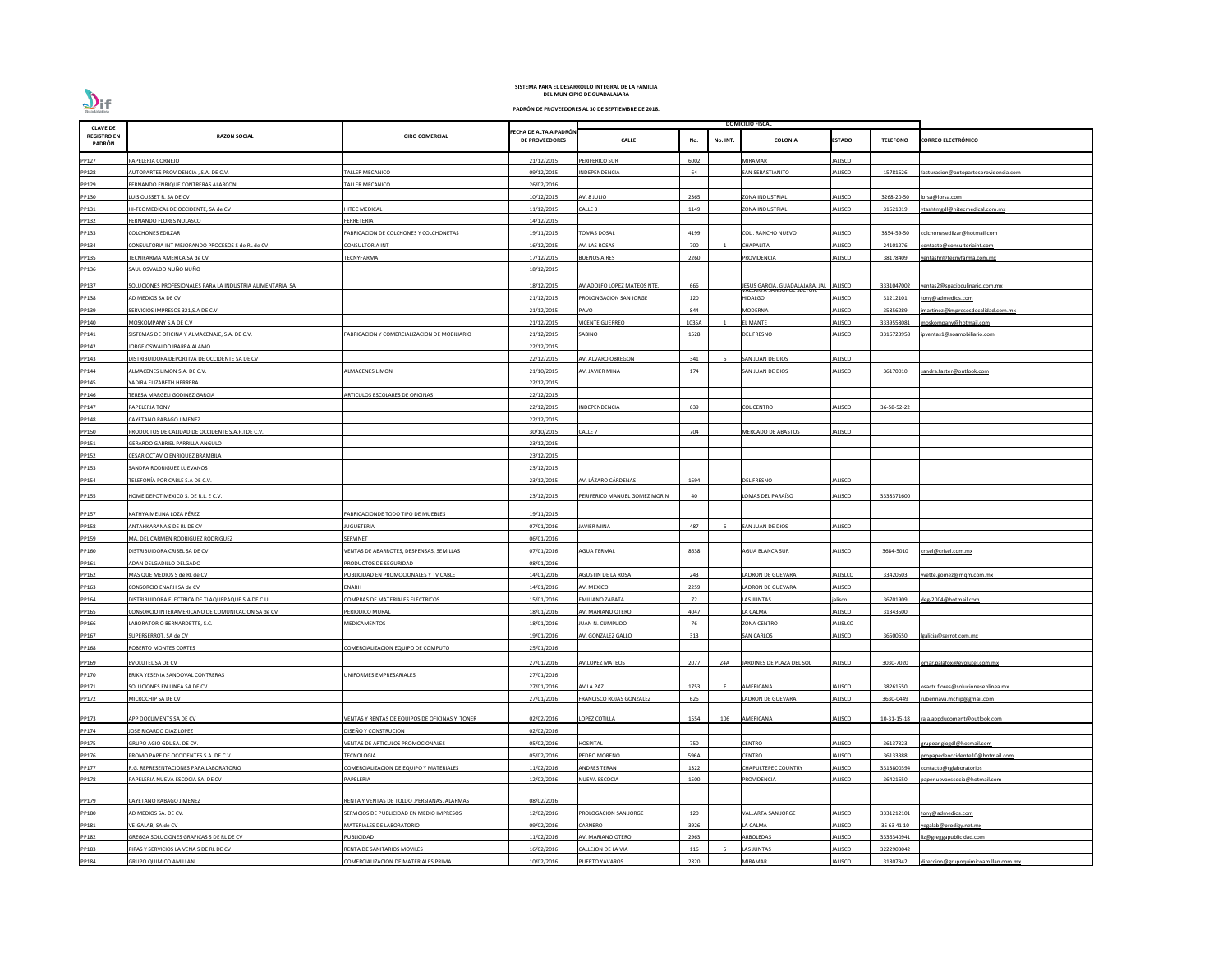| <b>CLAVE DE</b>              |                                                           |                                                |                                                 |                               |                 | <b>DOMICILIO FISCAL</b>        |                 |                 |                                       |
|------------------------------|-----------------------------------------------------------|------------------------------------------------|-------------------------------------------------|-------------------------------|-----------------|--------------------------------|-----------------|-----------------|---------------------------------------|
| <b>REGISTRO EN</b><br>PADRÓN | <b>RAZON SOCIAL</b>                                       | <b>GIRO COMERCIAL</b>                          | FECHA DE ALTA A PADRÓN<br><b>DE PROVEEDORES</b> | <b>CALLE</b>                  | No.<br>No. INT. | COLONIA                        | <b>ESTADO</b>   | <b>TELEFONO</b> | <b>CORREO ELECTRÓNICO</b>             |
| PP127                        | PAPELERIA CORNEJO                                         |                                                | 21/12/2015                                      | PERIFERICO SUR                | 6002            | <b>MIRAMAR</b>                 | JALISCO         |                 |                                       |
| PP128                        | AUTOPARTES PROVIDENCIA, S.A. DE C.V.                      | ALLER MECANICO                                 | 09/12/2015                                      | INDEPENDENCIA                 | 64              | SAN SEBASTIANITO               | JALISCO         | 15781626        | facturacion@autopartesprovidencia.com |
| PP129                        | FERNANDO ENRIQUE CONTRERAS ALARCON                        | ALLER MECANICO                                 | 26/02/2016                                      |                               |                 |                                |                 |                 |                                       |
| PP130                        | LUIS OUSSET R. SA DE CV                                   |                                                | 10/12/2015                                      | AV. 8 JULIO                   | 2365            | ZONA INDUSTRIAL                | JALISCO         | 3268-20-50      | orsa@lorsa.com                        |
| PP131                        | HI-TEC MEDICAL DE OCCIDENTE, SA de CV                     | <b>IITEC MEDICAL</b>                           | 11/12/2015                                      | CALLE <sub>3</sub>            | 1149            | ZONA INDUSTRIAL                | ALISCO          | 31621019        | tashtmgdl@hitecmedical.com.mx         |
| PP132                        | FERNANDO FLORES NOLASCO                                   | FERRETERIA                                     | 14/12/2015                                      |                               |                 |                                |                 |                 |                                       |
| PP133                        | <b>COLCHONES EDILZAR</b>                                  | ABRICACION DE COLCHONES Y COLCHONETAS          | 19/11/2015                                      | <b>OMAS DOSAL</b>             | 4199            | COL. RANCHO NUEVO              | JALISCO         | 3854-59-50      | colchonesedilzar@hotmail.com          |
| PP134                        | CONSULTORIA INT MEJORANDO PROCESOS S de RL de CV          | CONSULTORIA INT                                | 16/12/2015                                      | AV. LAS ROSAS                 | 700             | CHAPALITA                      | ALISCO          | 24101276        | ontacto@consultoriaint.com            |
| PP135                        | TECNIFARMA AMERICA SA de CV                               | <b>ECNYFARMA</b>                               | 17/12/2015                                      | <b>BUENOS AIRES</b>           | 2260            | <b>ROVIDENCIA</b>              | <b>JALISCO</b>  | 38178409        | entashr@tecnyfarma.com.mx             |
| PP136                        | SAUL OSVALDO NUÑO NUÑO                                    |                                                | 18/12/2015                                      |                               |                 |                                |                 |                 |                                       |
| PP137                        | SOLUCIONES PROFESIONALES PARA LA INDUSTRIA ALIMENTARIA SA |                                                | 18/12/2015                                      | AV.ADOLFO LOPEZ MATEOS NTE.   | 666             | JESUS GARCIA, GUADALAJARA, JAL | <b>JALISCO</b>  | 3331047002      | ventas2@spacioculinario.com.mx        |
| PP138                        | AD MEDIOS SA DE CV                                        |                                                | 21/12/2015                                      | PROLONGACION SAN JORGE        | 120             | <b>IIDALGO</b>                 | JALISCO         | 31212101        | ony@admedios.com                      |
| PP139                        | SERVICIOS IMPRESOS 321, S.A DE C.V                        |                                                | 21/12/2015                                      | PAVO                          | 844             | MODERNA                        | JALISCO         | 35856289        | martinez@impresosdecalidad.com.mx     |
| PP140                        | MOSKOMPANY S.A DE C.V                                     |                                                | 21/12/2015                                      | <b>ICENTE GUERREO</b>         | 1035A           | L MANTE                        | ALISCO          | 3339558081      | noskompany@hotmail.com                |
| PP141                        | SISTEMAS DE OFICINA Y ALMACENAJE, S.A. DE C.V.            | FABRICACION Y COMERCIALIZACION DE MOBILIARIO   | 21/12/2015                                      | SABINO                        | 1528            | <b>DEL FRESNO</b>              | JALISCO         | 3316723958      | oventas1@soamobiliario.com            |
| PP142                        | <b>JORGE OSWALDO IBARRA ALAMO</b>                         |                                                | 22/12/2015                                      |                               |                 |                                |                 |                 |                                       |
| PP143                        | DISTRIBUIDORA DEPORTIVA DE OCCIDENTE SA DE CV             |                                                | 22/12/2015                                      | AV. ALVARO OBREGON            | 341             | SAN JUAN DE DIOS               | JALISCO         |                 |                                       |
| PP144                        | ALMACENES LIMON S.A. DE C.V.                              | <b>LMACENES LIMON</b>                          | 21/10/2015                                      | <b>V. JAVIER MINA</b>         | 174             | SAN JUAN DE DIOS               | JALISCO         | 36170010        | andra.faster@outlook.com              |
| PP145                        | YADIRA ELIZABETH HERRERA                                  |                                                | 22/12/2015                                      |                               |                 |                                |                 |                 |                                       |
| PP146                        | TERESA MARGELI GODINEZ GARCIA                             | ARTICULOS ESCOLARES DE OFICINAS                | 22/12/2015                                      |                               |                 |                                |                 |                 |                                       |
| PP147                        | PAPELERIA TONY                                            |                                                | 22/12/2015                                      | NDEPENDENCIA                  | 639             | <b>COL CENTRO</b>              | JALISCO         | 36-58-52-22     |                                       |
| PP148                        | CAYETANO RABAGO JIMENEZ                                   |                                                | 22/12/2015                                      |                               |                 |                                |                 |                 |                                       |
| PP150                        | PRODUCTOS DE CALIDAD DE OCCIDENTE S.A.P.I DE C.V.         |                                                | 30/10/2015                                      | Calle 7                       | 704             | MERCADO DE ABASTOS             | JALISCO         |                 |                                       |
| PP151                        | GERARDO GABRIEL PARRILLA ANGULO                           |                                                | 23/12/2015                                      |                               |                 |                                |                 |                 |                                       |
| PP152                        | CESAR OCTAVIO ENRIQUEZ BRAMBILA                           |                                                | 23/12/2015                                      |                               |                 |                                |                 |                 |                                       |
| PP153                        | SANDRA RODRIGUEZ LUEVANOS                                 |                                                | 23/12/2015                                      |                               |                 |                                |                 |                 |                                       |
| PP154                        | TELEFONÍA POR CABLE S.A DE C.V.                           |                                                | 23/12/2015                                      | AV. LÁZARO CÁRDENAS           | 1694            | <b>DEL FRESNO</b>              | JALISCO         |                 |                                       |
| PP155                        | HOME DEPOT MEXICO S. DE R.L. E C.V.                       |                                                | 23/12/2015                                      | PERIFERICO MANUEL GOMEZ MORIN | 40              | LOMAS DEL PARAÍSO              | JALISCO         | 3338371600      |                                       |
| PP157                        | KATHYA MELINA LOZA PÉREZ                                  | FABRICACIONDE TODO TIPO DE MUEBLES             | 19/11/2015                                      |                               |                 |                                |                 |                 |                                       |
| PP158                        | ANTAHKARANA S DE RL DE CV                                 | <b>IUGUETERIA</b>                              | 07/01/2016                                      | <b>JAVIER MINA</b>            | 487<br>- 6      | SAN JUAN DE DIOS               | JALISCO         |                 |                                       |
| PP159                        | MA. DEL CARMEN RODRIGUEZ RODRIGUEZ                        | SERVINET                                       | 06/01/2016                                      |                               |                 |                                |                 |                 |                                       |
| PP160                        | DISTRIBUIDORA CRISEL SA DE CV                             | ENTAS DE ABARROTES, DESPENSAS, SEMILLAS        | 07/01/2016                                      | <b>AGUA TERMAL</b>            | 8638            | AGUA BLANCA SUR                | ALISCO          | 3684-5010       | risel@crisel.com.mx                   |
| PP161                        | ADAN DELGADILLO DELGADO                                   | RODUCTOS DE SEGURIDAD                          | 08/01/2016                                      |                               |                 |                                |                 |                 |                                       |
| PP162                        | MAS QUE MEDIOS S de RL de CV                              | UBLICIDAD EN PROMOCIONALES Y TV CABLE          | 14/01/2016                                      | AGUSTIN DE LA ROSA            | 243             | ADRON DE GUEVARA               | ALISLCO         | 33420503        | vette.gomez@mgm.com.mx                |
| PP163                        | CONSORCIO ENARH SA de CV                                  | ENARH                                          | 14/01/2016                                      | AV. MEXICO                    | 2259            | LADRON DE GUEVARA              | JALISCO         |                 |                                       |
| PP164                        | DISTRIBUIDORA ELECTRICA DE TLAQUEPAQUE S.A DE C.U.        | COMPRAS DE MATERIALES ELECTRICOS               | 15/01/2016                                      | EMILIANO ZAPATA               | 72              | LAS JUNTAS                     | jalisco         | 36701909        | leg-2004@hotmail.com                  |
| PP165                        | CONSORCIO INTERAMERICANO DE COMUNICACION SA de CV         | PERIODICO MURAL                                | 18/01/2016                                      | AV. MARIANO OTERO             | 4047            | LA CALMA                       | JALISCO         | 31343500        |                                       |
| PP166                        | LABORATORIO BERNARDETTE, S.C.                             | MEDICAMENTOS                                   | 18/01/2016                                      | IUAN N. CUMPLIDO              | 76              | <b>ZONA CENTRO</b>             | <b>JALISLCO</b> |                 |                                       |
| PP167                        | SUPERSERROT, SA de CV                                     |                                                | 19/01/2016                                      | AV. GONZALEZ GALLO            | 313             | <b>SAN CARLOS</b>              | JALISCO         | 36500550        | galicia@serrot.com.mx                 |
| PP168                        | ROBERTO MONTES CORTES                                     | COMERCIALIZACION EQUIPO DE COMPUTO             | 25/01/2016                                      |                               |                 |                                |                 |                 |                                       |
| PP169                        | EVOLUTEL SA DE CV                                         |                                                | 27/01/2016                                      | AV.LOPEZ MATEOS               | 2077<br>Z4A     | IARDINES DE PLAZA DEL SOL      | ALISCO          | 3030-7020       | omar.palafox@evolutel.com.mx          |
| PP170                        | ERIKA YESENIA SANDOVAL CONTRERAS                          | JNIFORMES EMPRESARIALES                        | 27/01/2016                                      |                               |                 |                                |                 |                 |                                       |
| PP171                        | SOLUCIONES EN LINEA SA DE CV                              |                                                | 27/01/2016                                      | AV LA PAZ                     | 1753            | <b>MERICANA</b>                | ALISCO          | 38261550        | sactr.flores@solucionesenlinea.mx     |
| PP172                        | MICROCHIP SA DE CV                                        |                                                | 27/01/2016                                      | FRANCISCO ROJAS GONZALEZ      | 626             | ADRON DE GUEVARA               | JALISCO         | 3630-0449       | ubennava.mchip@gmail.com              |
|                              |                                                           |                                                |                                                 |                               |                 |                                |                 |                 |                                       |
| PP173                        | APP DOCUMENTS SA DE CV                                    | VENTAS Y RENTAS DE EQUIPOS DE OFICINAS Y TONER | 02/02/2016                                      | LOPEZ COTILLA                 | 1554<br>106     | AMERICANA                      | JALISCO         | 10-31-15-18     | raja.appducoment@outlook.com          |
| PP174                        | <b>JOSE RICARDO DIAZ LOPEZ</b>                            | DISEÑO Y CONSTRUCION                           | 02/02/2016                                      |                               |                 |                                |                 |                 |                                       |
| PP175                        | GRUPO AGIO GDL SA. DE CV.                                 | <b>/ENTAS DE ARTICULOS PROMOCIONALES</b>       | 05/02/2016                                      | HOSPITAL                      | 750             | CENTRO                         | ALISCO          | 36137323        | rupoangiogdl@hotmail.com              |
| PP176                        | PROMO PAPE DE OCCIDENTES S.A. DE C.V.                     | <b>ECNOLOGIA</b>                               | 05/02/2016                                      | PEDRO MORENO                  | 596A            | <b>CENTRO</b>                  | <b>JALISCO</b>  | 36133388        | ropapedeoccidente10@hotmail.com       |
| PP177                        | R.G. REPRESENTACIONES PARA LABORATORIO                    | COMERCIALIZACION DE EQUIPO Y MATERIALES        | 11/02/2016                                      | ANDRES TERAN                  | 1322            | CHAPULTEPEC COUNTRY            | <b>JALISCO</b>  | 3313800394      | ontacto@rglaboratorios                |
| PP178                        | PAPELERIA NUEVA ESCOCIA SA. DE CV                         | PAPELERIA                                      | 12/02/2016                                      | NUEVA ESCOCIA                 | 1500            | <b>ROVIDENCIA</b>              | JALISCO         | 36421650        | apenuevaescocia@hotmail.com           |
| PP179                        | CAYETANO RABAGO JIMENEZ                                   | RENTA Y VENTAS DE TOLDO ,PERSIANAS, ALARMAS    | 08/02/2016                                      |                               |                 |                                |                 |                 |                                       |
| PP180                        | AD MEDIOS SA. DE CV.                                      | SERVICIOS DE PUBLICIDAD EN MEDIO IMPRESOS      | 12/02/2016                                      | PROLOGACION SAN JORGE         | 120             | VALLARTA SAN JORGE             | ALISCO          | 3331212101      | tony@admedios.com                     |
| PP181                        | VE-GALAB, SA de CV                                        | MATERIALES DE LABORATORIO                      | 09/02/2016                                      | CARNERO                       | 3926            | A CALMA                        | ALISCO          | 35 63 41 10     | egalab@prodigy.net.mx                 |
| PP182                        | GREGGA SOLUCIONES GRAFICAS S DE RL DE CV                  | PUBLICIDAD                                     | 11/02/2016                                      | AV. MARIANO OTERO             | 2963            | ARBOLEDAS                      | JALISCO         | 3336340941      | z@greggapublicidad.com                |
| PP183                        | PIPAS Y SERVICIOS LA VENA S DE RL DE CV                   | RENTA DE SANITARIOS MOVILES                    | 16/02/2016                                      | CALLEJON DE LA VIA            | 116             | LAS JUNTAS                     | JALISCO         | 3222903042      |                                       |
| PP184                        | <b>GRUPO QUIMICO AMILLAN</b>                              | COMERCIALIZACION DE MATERIALES PRIMA           | 10/02/2016                                      | PUERTO YAVAROS                | 2820            | <b>MIRAMAR</b>                 | JALISCO         | 31807342        | direccion@grupoquimicoamillan.com.mx  |
|                              |                                                           |                                                |                                                 |                               |                 |                                |                 |                 |                                       |

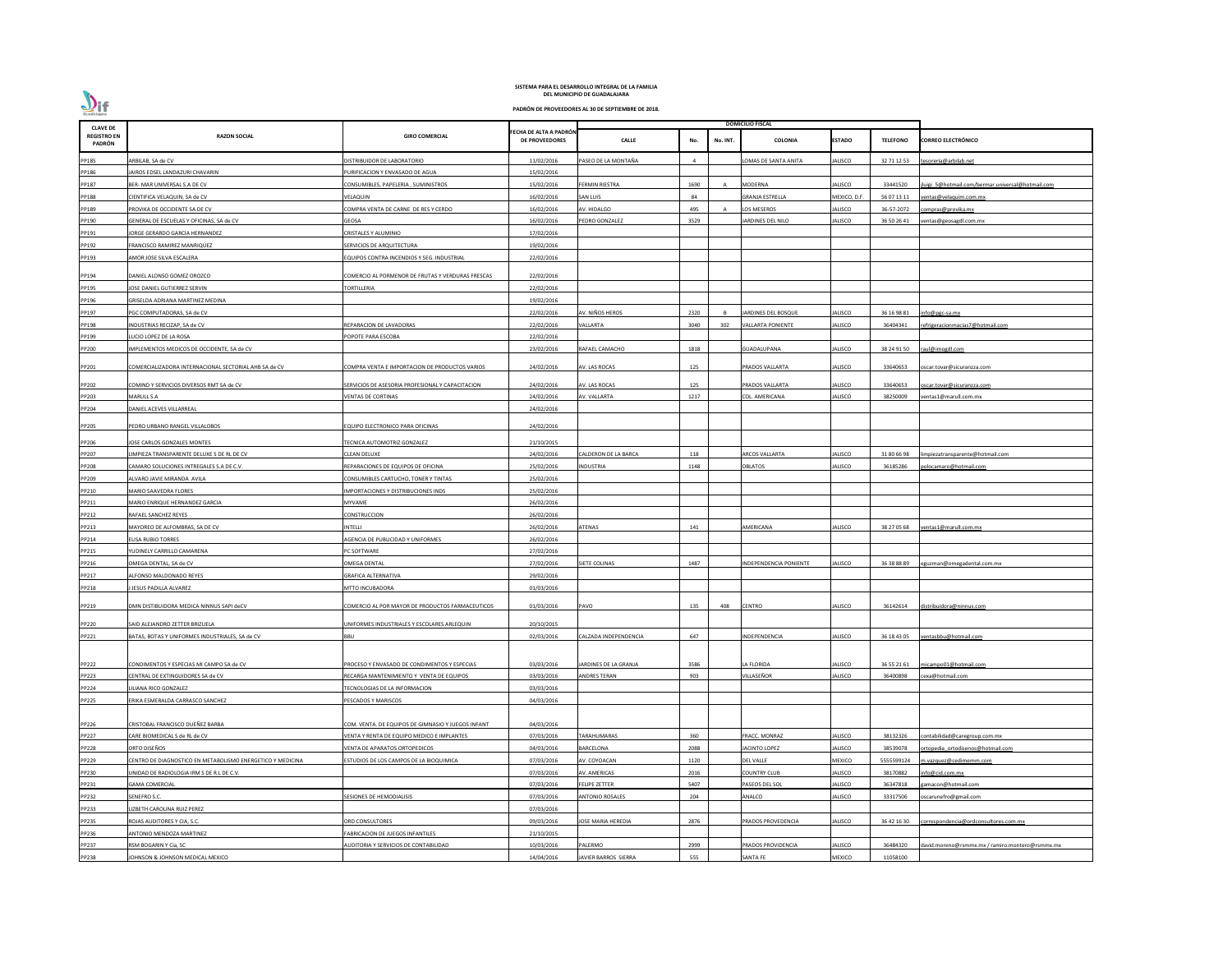| <b>CLAVE DE</b>              |                                                            |                                                    |                                                 |                        |      |          | <b>DOMICILIO FISCAL</b>  |                |                 |                                                 |
|------------------------------|------------------------------------------------------------|----------------------------------------------------|-------------------------------------------------|------------------------|------|----------|--------------------------|----------------|-----------------|-------------------------------------------------|
| <b>REGISTRO EN</b><br>PADRÓN | <b>RAZON SOCIAL</b>                                        | <b>GIRO COMERCIAL</b>                              | FECHA DE ALTA A PADRÓN<br><b>DE PROVEEDORES</b> | <b>CALLE</b>           | No.  | No. INT. | COLONIA                  | <b>ESTADO</b>  | <b>TELEFONO</b> | <b>CORREO ELECTRÓNICO</b>                       |
| PP185                        | ARBILAB, SA de CV                                          | DISTRIBUIDOR DE LABORATORIO                        | 11/02/2016                                      | PASEO DE LA MONTAÑA    | - 4  |          | LOMAS DE SANTA ANITA     | <b>IALISCO</b> | 32 71 12 53     | esoreria@arbilab.net                            |
| PP186                        | JAIROS EDSEL LANDAZURI CHAVARIN                            | URIFICACION Y ENVASADO DE AGUA                     | 15/02/2016                                      |                        |      |          |                          |                |                 |                                                 |
| PP187                        | BER- MAR UNIVERSAL S.A DE CV                               | CONSUMIBLES, PAPELERIA, SUMINISTROS                | 15/02/2016                                      | FERMIN RIESTRA         | 1690 |          | MODERNA                  | <b>IALISCO</b> | 33441520        | uigi 5@hotmail.com/bermar.universal@hotmail.com |
| PP188                        | CIENTIFICA VELAQUIN, SA de CV                              | VELAQUIN                                           | 16/02/2016                                      | SAN LUIS               | 84   |          | <b>GRANJA ESTRELLA</b>   | MEXICO, D.F    | 56 07 13 11     | entas@velaquim.com.mx                           |
| PP189                        | PROVIKA DE OCCIDENTE SA DE CV                              | COMPRA VENTA DE CARNE DE RES Y CERDO               | 16/02/2016                                      | AV. HIDALGO            | 495  |          | LOS MESEROS              | IALISCO        | 36-57-2072      | ompras@provika.mx                               |
| PP190                        | GENERAL DE ESCUELAS Y OFICINAS, SA de CV                   | GEOSA                                              | 16/02/2016                                      | <b>EDRO GONZALEZ</b>   | 3529 |          | ARDINES DEL NILO         | IALISCO        | 36 50 26 41     | entas@geosagdl.com.mx                           |
| PP191                        | JORGE GERARDO GARCIA HERNANDEZ                             | CRISTALES Y ALUMINIO                               | 17/02/2016                                      |                        |      |          |                          |                |                 |                                                 |
| PP192                        | FRANCISCO RAMIREZ MANRIQUEZ                                | SERVICIOS DE ARQUITECTURA                          | 19/02/2016                                      |                        |      |          |                          |                |                 |                                                 |
| PP193                        | AMOR JOSE SILVA ESCALERA                                   | EQUIPOS CONTRA INCENDIOS Y SEG. INDUSTRIAL         | 22/02/2016                                      |                        |      |          |                          |                |                 |                                                 |
|                              |                                                            |                                                    |                                                 |                        |      |          |                          |                |                 |                                                 |
| PP194                        | DANIEL ALONSO GOMEZ OROZCO                                 | COMERCIO AL PORMENOR DE FRUTAS Y VERDURAS FRESCAS  | 22/02/2016                                      |                        |      |          |                          |                |                 |                                                 |
| PP195                        | JOSE DANIEL GUTIERREZ SERVIN                               | <b>TORTILLERIA</b>                                 | 22/02/2016                                      |                        |      |          |                          |                |                 |                                                 |
| PP196                        | GRISELDA ADRIANA MARTINEZ MEDINA                           |                                                    | 19/02/2016                                      |                        |      |          |                          |                |                 |                                                 |
| PP197                        | PGC COMPUTADORAS, SA de CV                                 |                                                    | 22/02/2016                                      | AV. NIÑOS HEROS        | 2320 |          | JARDINES DEL BOSQUE      | <b>IALISCO</b> | 36 16 98 81     | info@pgc-sa.mx                                  |
| PP198                        | INDUSTRIAS RECIZAP, SA de CV                               | REPARACION DE LAVADORAS                            | 22/02/2016                                      | /ALLARTA               | 3040 | 302      | <b>VALLARTA PONIENTE</b> | <b>IALISCO</b> | 36404341        | efrigeracionmacias7@hotmail.com                 |
| PP199                        | LUCIO LOPEZ DE LA ROSA                                     | POPOTE PARA ESCOBA                                 | 22/02/2016                                      |                        |      |          |                          |                |                 |                                                 |
| PP200                        | IMPLEMENTOS MEDICOS DE OCCIDENTE, SA de CV                 |                                                    | 23/02/2016                                      | RAFAEL CAMACHO         | 1818 |          | GUADALUPANA              | <b>ALISCO</b>  | 38 24 91 50     | aul@imogdl.com                                  |
| PP201                        | COMERCIALIZADORA INTERNACIONAL SECTORIAL AHB SA de CV      | COMPRA VENTA E IMPORTACION DE PRODUCTOS VARIOS     | 24/02/2016                                      | AV. LAS ROCAS          | 125  |          | PRADOS VALLARTA          | <b>JALISCO</b> | 33640653        | scar.tovar@sicuranzza.com                       |
| PP202                        | COMIND Y SERVICIOS DIVERSOS RMT SA de CV                   | SERVICIOS DE ASESORIA PROFESIONAL Y CAPACITACION   | 24/02/2016                                      | AV. LAS ROCAS          | 125  |          | PRADOS VALLARTA          | <b>IALISCO</b> | 33640653        | scar.tovar@sicuranzza.com                       |
| PP203                        | MARULL S.A                                                 | VENTAS DE CORTINAS                                 | 24/02/2016                                      | AV. VALLARTA           | 1217 |          | COL. AMERICANA           | <b>IALISCO</b> | 38250009        | entas1@marull.com.mx                            |
| PP204                        | DANIEL ACEVES VILLARREAL                                   |                                                    | 24/02/2016                                      |                        |      |          |                          |                |                 |                                                 |
| PP205                        | PEDRO URBANO RANGEL VILLALOBOS                             | EQUIPO ELECTRONICO PARA OFICINAS                   | 24/02/2016                                      |                        |      |          |                          |                |                 |                                                 |
| PP206                        | JOSE CARLOS GONZALES MONTES                                | TECNICA AUTOMOTRIZ GONZALEZ                        | 21/10/2015                                      |                        |      |          |                          |                |                 |                                                 |
| PP207                        | LIMPIEZA TRANSPARENTE DELUXE S DE RL DE CV                 | CLEAN DELUXE                                       | 24/02/2016                                      | ALDERON DE LA BARCA    | 118  |          | ARCOS VALLARTA           | <b>IALISCO</b> | 31 80 66 98     | impiezatransparente@hotmail.com                 |
| PP208                        | CAMARO SOLUCIONES INTREGALES S.A DE C.V.                   | REPARACIONES DE EQUIPOS DE OFICINA                 | 25/02/2016                                      | INDUSTRIA              | 1148 |          | <b>OBLATOS</b>           | IALISCO        | 36185286        | olocamaro@hotmail.com                           |
| PP209                        | ALVARO JAVIE MIRANDA AVILA                                 | CONSUMIBLES CARTUCHO, TONER Y TINTAS               | 25/02/2016                                      |                        |      |          |                          |                |                 |                                                 |
| PP210                        | MARIO SAAVEDRA FLORES                                      | MPORTACIONES Y DISTRIBUCIONES INDS                 | 25/02/2016                                      |                        |      |          |                          |                |                 |                                                 |
| PP211                        | MARIO ENRIQUE HERNANDEZ GARCIA                             | MYVAME                                             | 26/02/2016                                      |                        |      |          |                          |                |                 |                                                 |
| PP212                        | RAFAEL SANCHEZ REYES                                       | CONSTRUCCION                                       | 26/02/2016                                      |                        |      |          |                          |                |                 |                                                 |
| PP213                        | MAYOREO DE ALFOMBRAS, SA DE CV                             | INTELLI                                            | 26/02/2016                                      | ATENAS                 | 141  |          | AMERICANA                | IALISCO        | 38 27 05 68     | ventas1@marull.com.mx                           |
| PP214                        | <b>ELISA RUBIO TORRES</b>                                  | <b>AGENCIA DE PUBLICIDAD Y UNIFORMES</b>           | 26/02/2016                                      |                        |      |          |                          |                |                 |                                                 |
| PP215                        | YUDINELY CARRILLO CAMARENA                                 | PC SOFTWARE                                        | 27/02/2016                                      |                        |      |          |                          |                |                 |                                                 |
| PP216                        | OMEGA DENTAL, SA de CV                                     | OMEGA DENTAL                                       | 27/02/2016                                      | SIETE COLINAS          | 1487 |          | NDEPENDENCIA PONIENTE    | <b>IALISCO</b> | 36 38 88 89     | eguzman@omegadental.com.mx                      |
| PP217                        | ALFONSO MALDONADO REYES                                    | <b>GRAFICA ALTERNATIVA</b>                         | 29/02/2016                                      |                        |      |          |                          |                |                 |                                                 |
| PP218                        | JESUS PADILLA ALVAREZ                                      | MTTO INCUBADORA                                    | 01/03/2016                                      |                        |      |          |                          |                |                 |                                                 |
|                              |                                                            |                                                    |                                                 |                        |      |          |                          |                |                 |                                                 |
| PP219                        | DMN DISTIBUIDORA MEDICA NINNUS SAPI deCV                   | COMERCIO AL POR MAYOR DE PRODUCTOS FARMACEUTICOS   | 01/03/2016                                      | PAVO                   | 135  | 408      | <b>CENTRO</b>            | IALISCO        | 36142614        | distribuidora@ninnus.com                        |
| PP220                        | SAID ALEJANDRO ZETTER BRIZUELA                             | JNIFORMES INDUSTRIALES Y ESCOLARES ARLEQUIN        | 20/10/2015                                      |                        |      |          |                          |                |                 |                                                 |
| PP221                        | BATAS, BOTAS Y UNIFORMES INDUSTRIALES, SA de CV            | BBU                                                | 02/03/2016                                      | CALZADA INDEPENDENCIA  | 647  |          | INDEPENDENCIA            | <b>ALISCO</b>  | 36 18 43 05     | ventasbbu@hotmail.com                           |
|                              |                                                            |                                                    |                                                 |                        |      |          |                          |                |                 |                                                 |
| PP222                        | CONDIMENTOS Y ESPECIAS MI CAMPO SA de CV                   | PROCESO Y ENVASADO DE CONDIMENTOS Y ESPECIAS       | 03/03/2016                                      | JARDINES DE LA GRANJA  | 3586 |          | LA FLORIDA               | <b>IALISCO</b> | 36 55 21 61     | micampo01@hotmail.com                           |
| PP223                        | CENTRAL DE EXTINGUIDORES SA de CV                          | RECARGA MANTENIMIENTO Y VENTA DE EQUIPOS           | 03/03/2016                                      | <b>ANDRES TERAN</b>    | 903  |          | VILLASEÑOR               | <b>IALISCO</b> | 36400898        | exa@hotmail.com                                 |
| PP224                        | LILIANA RICO GONZALEZ                                      | <b>FECNOLOGIAS DE LA INFORMACION</b>               | 03/03/2016                                      |                        |      |          |                          |                |                 |                                                 |
| PP225                        | ERIKA ESMERALDA CARRASCO SANCHEZ                           | PESCADOS Y MARISCOS                                | 04/03/2016                                      |                        |      |          |                          |                |                 |                                                 |
|                              |                                                            |                                                    |                                                 |                        |      |          |                          |                |                 |                                                 |
| PP226                        | CRISTOBAL FRANCISCO DUEÑEZ BARBA                           | COM. VENTA. DE EQUIPOS DE GIMNASIO Y JUEGOS INFANT | 04/03/2016                                      |                        |      |          |                          |                |                 |                                                 |
| PP227                        | CARE BIOMEDICAL S de RL de CV                              | ENTA Y RENTA DE EQUIPO MEDICO E IMPLANTES          | 07/03/2016                                      | TARAHUMARAS            | 360  |          | FRACC. MONRAZ            | IALISCO        | 38132326        | contabilidad@caregroup.com.mx                   |
| PP228                        | ORTO DISEÑOS                                               | VENTA DE APARATOS ORTOPEDICOS                      | 04/03/2016                                      | BARCELONA              | 2088 |          | JACINTO LOPEZ            | <b>IALISCO</b> | 38539078        | ortopedia ortodisenos@hotmail.com               |
| PP229                        | CENTRO DE DIAGNOSTICO EN METABOLISMO ENERGETICO Y MEDICINA | ESTUDIOS DE LOS CAMPOS DE LA BIOQUIMICA            | 07/03/2016                                      | AV. COYOACAN           | 1120 |          | <b>DEL VALLE</b>         | MEXICO         | 5555599124      | n.vazquez@cedimemm.com                          |
| PP230                        | UNIDAD DE RADIOLOGIA IRM S DE R.L DE C.V.                  |                                                    | 07/03/2016                                      | AV. AMERICAS           | 2016 |          | <b>COUNTRY CLUB</b>      | <b>IALISCO</b> | 38170882        | nfo@cid.com.mx                                  |
| PP231                        | <b>GAMA COMERCIAL</b>                                      |                                                    | 07/03/2016                                      | <b>FELIPE ZETTER</b>   | 5407 |          | PASEOS DEL SOL           | <b>IALISCO</b> | 36347818        | amacon@hotmail.com                              |
| PP232                        | SENEFRO S.C.                                               | ESIONES DE HEMODIALISIS                            | 07/03/2016                                      | <b>ANTONIO ROSALES</b> | 204  |          | ANALCO                   | <b>ALISCO</b>  | 33317506        | oscarunefro@gmail.com                           |
| PP233                        | LIZBETH CAROLINA RUIZ PEREZ                                |                                                    | 07/03/2016                                      |                        |      |          |                          |                |                 |                                                 |
| PP235                        | ROJAS AUDITORES Y CIA, S.C.                                | ORD CONSULTORES                                    | 09/03/2016                                      | JOSE MARIA HEREDIA     | 2876 |          | PRADOS PROVEDENCIA       | <b>IALISCO</b> | 36 42 16 30     | orrespondencia@ordconsultores.com.mx            |
| PP236                        | ANTONIO MENDOZA MARTINEZ                                   | ABRICACION DE JUEGOS INFANTILES                    | 21/10/2015                                      |                        |      |          |                          |                |                 |                                                 |
| PP237                        | RSM BOGARIN Y Cia, SC                                      | AUDITORIA Y SERVICIOS DE CONTABILIDAD              | 10/03/2016                                      | PALERMO                | 2999 |          | PRADOS PROVIDENCIA       | IALISCO        | 36484320        | david.moreno@rsmmx.mx / ramiro.montero@rsmmx.mx |
| PP238                        | JOHNSON & JOHNSON MEDICAL MEXICO                           |                                                    | 14/04/2016                                      | JAVIER BARROS SIERRA   | 555  |          | SANTA FE                 | MEXICO         | 11058100        |                                                 |

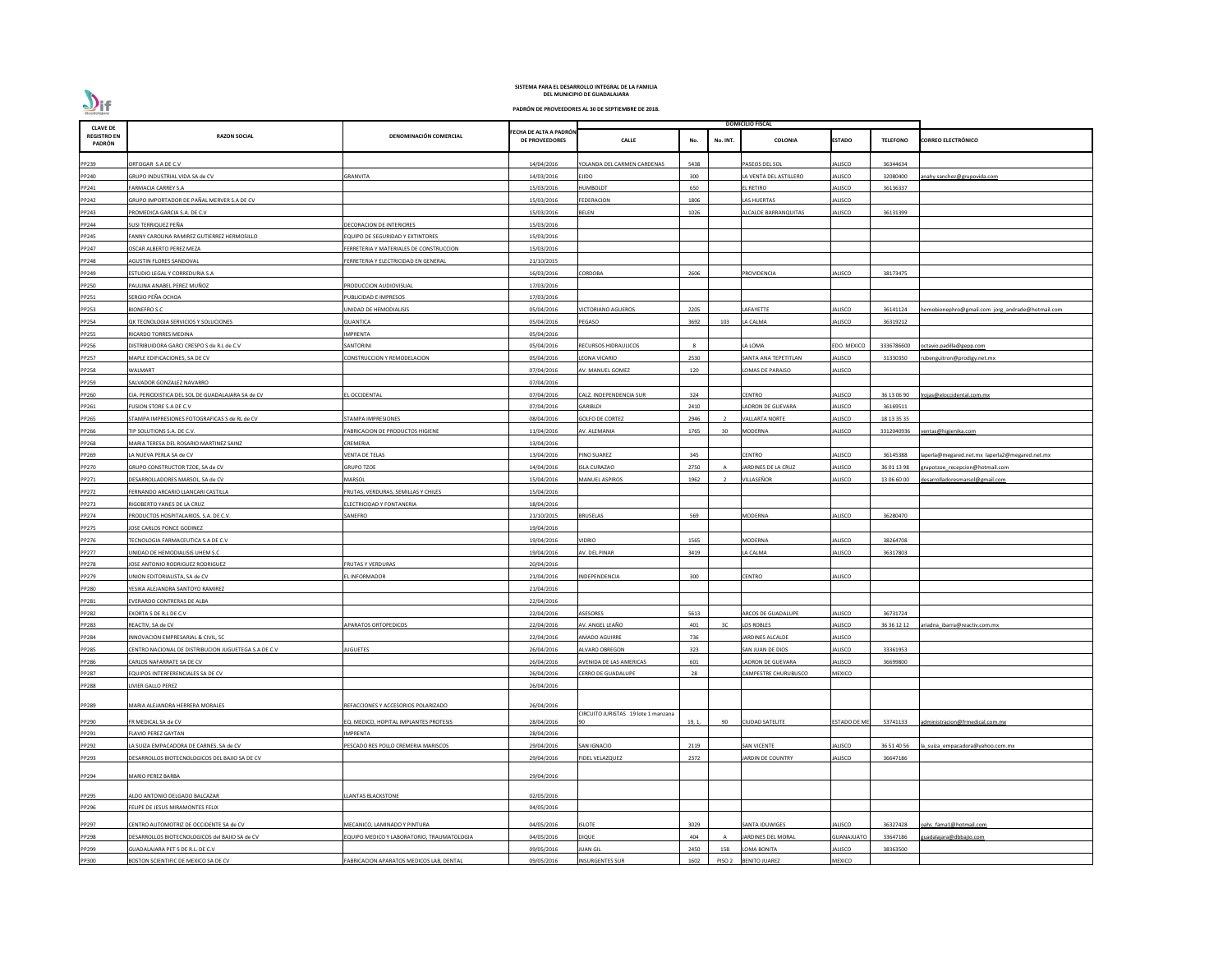| <b>CLAVE DE</b>              |                                                      |                                            |                                                 |                                     |              |          | DOMICILIO FISCAL        |                     |                 |                                                  |
|------------------------------|------------------------------------------------------|--------------------------------------------|-------------------------------------------------|-------------------------------------|--------------|----------|-------------------------|---------------------|-----------------|--------------------------------------------------|
| <b>REGISTRO EN</b><br>PADRÓN | <b>RAZON SOCIAL</b>                                  | DENOMINACIÓN COMERCIAL                     | FECHA DE ALTA A PADRÓN<br><b>DE PROVEEDORES</b> | <b>CALLE</b>                        | No.          | No. INT. | <b>COLONIA</b>          | <b>ESTADO</b>       | <b>TELEFONO</b> | <b>CORREO ELECTRÓNICO</b>                        |
| PP239                        | ORTOGAR S.A DE C.V                                   |                                            | 14/04/2016                                      | YOLANDA DEL CARMEN CARDENAS         | 5438         |          | PASEOS DEL SOL          | ALISCO              | 36344634        |                                                  |
| PP240                        | GRUPO INDUSTRIAL VIDA SA de CV                       | GRANVITA                                   | 14/03/2016                                      | EJIDO                               | 300          |          | LA VENTA DEL ASTILLERO  | ALISCO              | 32080400        | anahy.sanchez@grupovida.com                      |
| PP241                        | FARMACIA CARREY S.A                                  |                                            | 15/03/2016                                      | <b>HUMBOLDT</b>                     | 650          |          | L RETIRO                | ALISCO              | 36136337        |                                                  |
|                              | GRUPO IMPORTADOR DE PAÑAL MERVER S.A DE CV           |                                            | 15/03/2016                                      | <b>FEDERACION</b>                   | 1806         |          | LAS HUERTAS             | ALISCO              |                 |                                                  |
| PP242                        |                                                      |                                            |                                                 |                                     |              |          |                         |                     |                 |                                                  |
| PP243                        | PROMEDICA GARCIA S.A. DE C.V                         |                                            | 15/03/2016                                      | BELEN                               | 1026         |          | ALCALDE BARRANQUITAS    | ALISCO              | 36131399        |                                                  |
| PP244                        | SUSI TERRIQUEZ PEÑA                                  | DECORACION DE INTERIORES                   | 15/03/2016                                      |                                     |              |          |                         |                     |                 |                                                  |
| PP245                        | FANNY CAROLINA RAMIREZ GUTIERREZ HERMOSILLO          | <b>EQUIPO DE SEGURIDAD Y EXTINTORES</b>    | 15/03/2016                                      |                                     |              |          |                         |                     |                 |                                                  |
| PP247                        | OSCAR ALBERTO PEREZ MEZA                             | ERRETERIA Y MATERIALES DE CONSTRUCCION     | 15/03/2016                                      |                                     |              |          |                         |                     |                 |                                                  |
| PP248                        | AGUSTIN FLORES SANDOVAL                              | ERRETERIA Y ELECTRICIDAD EN GENERAL        | 21/10/2015                                      |                                     |              |          |                         |                     |                 |                                                  |
| PP249                        | ESTUDIO LEGAL Y CORREDURIA S.A                       |                                            | 16/03/2016                                      | CORDOBA                             | 2606         |          | PROVIDENCIA             | ALISCO              | 38173475        |                                                  |
| PP250                        | PAULINA ANABEL PEREZ MUÑOZ                           | <b>PRODUCCION AUDIOVISUAL</b>              | 17/03/2016                                      |                                     |              |          |                         |                     |                 |                                                  |
| PP251                        | SERGIO PEÑA OCHOA                                    | PUBLICIDAD E IMPRESOS                      | 17/03/2016                                      |                                     |              |          |                         |                     |                 |                                                  |
| PP253                        | <b>BIONEFRO S.C</b>                                  | JNIDAD DE HEMODIALISIS                     | 05/04/2016                                      | <b>VICTORIANO AGUEROS</b>           | 2205         |          | AFAYETTE                | ALISCO              | 36141124        | hemobionephro@gmail.com jorg_andrade@hotmail.com |
| PP254                        | QK TECNOLOGIA SERVICIOS Y SOLUCIONES                 | QUANTICA                                   | 05/04/2016                                      | PEGASO                              | 3692         | 103      | LA CALMA                | ALISCO              | 36319212        |                                                  |
| PP255                        | RICARDO TORRES MEDINA                                | MPRENTA                                    | 05/04/2016                                      |                                     |              |          |                         |                     |                 |                                                  |
| PP256                        | DISTRIBUIDORA GARCI CRESPO S de R.L de C.V           | SANTORINI                                  | 05/04/2016                                      | RECURSOS HIDRAULICOS                | $\mathbf{R}$ |          | A LOMA                  | <b>EDO. MEXICO</b>  | 3336786600      | octavio.padilla@gepp.com                         |
| PP257                        | MAPLE EDIFICACIONES, SA DE CV                        | CONSTRUCCION Y REMODELACION                | 05/04/2016                                      | LEONA VICARIO                       | 2530         |          | SANTA ANA TEPETITLAN    | ALISCO              | 31330350        | rubenguitron@prodigy.net.mx                      |
| PP258                        | <b>WALMART</b>                                       |                                            | 07/04/2016                                      | AV. MANUEL GOMEZ                    | 120          |          | LOMAS DE PARAISO        | ALISCO              |                 |                                                  |
| PP259                        | SALVADOR GONZALEZ NAVARRO                            |                                            | 07/04/2016                                      |                                     |              |          |                         |                     |                 |                                                  |
| PP260                        | CIA. PERIODISTICA DEL SOL DE GUADALAJARA SA de CV    | L OCCIDENTAL                               | 07/04/2016                                      | CALZ. INDEPENDENCIA SUR             | 324          |          | CENTRO                  | ALISCO              | 36 13 06 90     | Irojas@eloccidental.com.mx                       |
| PP261                        | FUSION STORE S.A DE C.V                              |                                            | 07/04/2016                                      | GARIBLDI                            | 2410         |          | ADRON DE GUEVARA        | ALISCO              | 36169511        |                                                  |
|                              | STAMPA IMPRESIONES FOTOGRAFICAS S de RL de CV        | <b>STAMPA IMPRESIONES</b>                  | 08/04/2016                                      | <b>GOLFO DE CORTEZ</b>              | 2946         |          | <b>VALLARTA NORTE</b>   | ALISCO              | 18 13 35 35     |                                                  |
| PP265                        |                                                      |                                            |                                                 |                                     |              |          |                         |                     |                 |                                                  |
| PP266                        | TIP SOLUTIONS S.A. DE C.V.                           | ABRICACION DE PRODUCTOS HIGIENE            | 11/04/2016                                      | AV. ALEMANIA                        | 1765         | 30       | <b>MODERNA</b>          | ALISCO              | 3312040936      | entas@higienika.com                              |
| PP268                        | MARIA TERESA DEL ROSARIO MARTINEZ SAINZ              | CREMERIA                                   | 13/04/2016                                      |                                     |              |          |                         |                     |                 |                                                  |
| PP269                        | LA NUEVA PERLA SA de CV                              | VENTA DE TELAS                             | 13/04/2016                                      | PINO SUAREZ                         | 345          |          | <b>CENTRO</b>           | ALISCO              | 36145388        | laperla@megared.net.mx laperla2@megared.net.mx   |
| PP270                        | GRUPO CONSTRUCTOR TZOE, SA de CV                     | <b>GRUPO TZOE</b>                          | 14/04/2016                                      | <b>ISLA CURAZAO</b>                 | 2750         |          | JARDINES DE LA CRUZ     | ALISCO              | 36 01 13 98     | grupotzoe recepcion@hotmail.com                  |
| PP271                        | DESARROLLADORES MARSOL, SA de CV                     | VIARSOL                                    | 15/04/2016                                      | MANUEL ASPIROS                      | 1962         |          | VILLASEÑOR              | ALISCO              | 13 06 60 00     | desarrolladoresmarsol@gmail.com                  |
| PP272                        | FERNANDO ARCARIO LLANCARI CASTILLA                   | FRUTAS, VERDURAS, SEMILLAS Y CHILES        | 15/04/2016                                      |                                     |              |          |                         |                     |                 |                                                  |
| PP273                        | RIGOBERTO YANES DE LA CRUZ                           | ELECTRICIDAD Y FONTANERIA                  | 18/04/2016                                      |                                     |              |          |                         |                     |                 |                                                  |
| PP274                        | PRODUCTOS HOSPITALARIOS, S.A. DE C.V.                | SANEFRO                                    | 21/10/2015                                      | <b>BRUSELAS</b>                     | 569          |          | MODERNA                 | ALISCO              | 36280470        |                                                  |
| PP275                        | JOSE CARLOS PONCE GODINEZ                            |                                            | 19/04/2016                                      |                                     |              |          |                         |                     |                 |                                                  |
| PP276                        | TECNOLOGIA FARMACEUTICA S.A DE C.V                   |                                            | 19/04/2016                                      | Vidrio                              | 1565         |          | MODERNA                 | ALISCO              | 38264708        |                                                  |
| PP277                        | UNIDAD DE HEMODIALISIS UHEM S.C                      |                                            | 19/04/2016                                      | AV. DEL PINAR                       | 3419         |          | LA CALMA                | ALISCO              | 36317803        |                                                  |
| PP278                        | JOSE ANTONIO RODRIGUEZ RODRIGUEZ                     | <b>RUTAS Y VERDURAS</b>                    | 20/04/2016                                      |                                     |              |          |                         |                     |                 |                                                  |
| PP279                        | UNION EDITORIALISTA, SA de CV                        | EL INFORMADOR                              | 21/04/2016                                      | INDEPENDENCIA                       | 300          |          | <b>CENTRO</b>           | ALISCO              |                 |                                                  |
| PP280                        | YESIKA ALEJANDRA SANTOYO RAMIREZ                     |                                            | 21/04/2016                                      |                                     |              |          |                         |                     |                 |                                                  |
| PP281                        | EVERARDO CONTRERAS DE ALBA                           |                                            | 22/04/2016                                      |                                     |              |          |                         |                     |                 |                                                  |
| PP282                        | EXORTA S DE R.L DE C.V                               |                                            | 22/04/2016                                      | <b>ASESORES</b>                     | 5613         |          | ARCOS DE GUADALUPE      | ALISCO              | 36731724        |                                                  |
| PP283                        | REACTIV, SA de CV                                    | <b>APARATOS ORTOPEDICOS</b>                | 22/04/2016                                      | AV. ANGEL LEAÑO                     | 401          | 3C       | LOS ROBLES              | ALISCO              | 36 36 12 12     | ariadna ibarra@reactiv.com.mx                    |
| PP284                        | INNOVACION EMPRESARIAL & CIVIL, SC                   |                                            | 22/04/2016                                      | <b>AMADO AGUIRRE</b>                | 736          |          | <b>JARDINES ALCALDE</b> | ALISCO              |                 |                                                  |
| PP285                        | CENTRO NACIONAL DE DISTRIBUCION JUGUETEGA S.A DE C.V | <b>UGUETES</b>                             | 26/04/2016                                      | ALVARO OBREGON                      | 323          |          | SAN JUAN DE DIOS        | ALISCO              | 33361953        |                                                  |
| PP286                        | CARLOS NAFARRATE SA DE CV                            |                                            | 26/04/2016                                      |                                     | 601          |          | ADRON DE GUEVARA        | ALISCO              | 36699800        |                                                  |
|                              |                                                      |                                            |                                                 | AVENIDA DE LAS AMERICAS             |              |          |                         |                     |                 |                                                  |
| PP287                        | EQUIPOS INTERFERENCIALES SA DE CV                    |                                            | 26/04/2016                                      | CERRO DE GUADALUPE                  | 28           |          | CAMPESTRE CHURUBUSCO    | MEXICO              |                 |                                                  |
| PP288                        | LIVIER GALLO PEREZ                                   |                                            | 26/04/2016                                      |                                     |              |          |                         |                     |                 |                                                  |
| PP289                        | MARIA ALEJANDRA HERRERA MORALES                      | REFACCIONES Y ACCESORIOS POLARIZADO        | 26/04/2016                                      |                                     |              |          |                         |                     |                 |                                                  |
|                              |                                                      |                                            |                                                 | CIRCUITO JURISTAS 19 lote 1 manzana |              |          |                         |                     |                 |                                                  |
| PP290                        | FR MEDICAL SA de CV                                  | EQ. MEDICO, HOPITAL IMPLANTES PROTESIS     | 28/04/2016                                      |                                     | 19, 1,       | 90       | <b>CIUDAD SATELITE</b>  | <b>ESTADO DE ME</b> | 53741133        | administracion@frmedical.com.mx                  |
| PP291                        | <b>FLAVIO PEREZ GAYTAN</b>                           | <b>MPRENTA</b>                             | 28/04/2016                                      |                                     |              |          |                         |                     |                 |                                                  |
| PP292                        | LA SUIZA EMPACADORA DE CARNES, SA de CV              | PESCADO RES POLLO CREMERIA MARISCOS        | 29/04/2016                                      | <b>SAN IGNACIO</b>                  | 2119         |          | <b>SAN VICENTE</b>      | ALISCO              | 36 51 40 56     | a suiza empacadora@yahoo.com.mx                  |
| PP293                        | DESARROLLOS BIOTECNOLOGICOS DEL BAJIO SA DE CV       |                                            | 29/04/2016                                      | FIDEL VELAZQUEZ                     | 2372         |          | JARDIN DE COUNTRY       | ALISCO              | 36647186        |                                                  |
| PP294                        | <b>MARIO PEREZ BARBA</b>                             |                                            | 29/04/2016                                      |                                     |              |          |                         |                     |                 |                                                  |
|                              |                                                      |                                            |                                                 |                                     |              |          |                         |                     |                 |                                                  |
| PP295                        | ALDO ANTONIO DELGADO BALCAZAR                        | <b>LANTAS BLACKSTONE</b>                   | 02/05/2016                                      |                                     |              |          |                         |                     |                 |                                                  |
| PP296                        | FELIPE DE JESUS MIRAMONTES FELIX                     |                                            | 04/05/2016                                      |                                     |              |          |                         |                     |                 |                                                  |
| PP297                        | CENTRO AUTOMOTRIZ DE OCCIDENTE SA de CV              | <b>MECANICO, LAMINADO Y PINTURA</b>        | 04/05/2016                                      | <b>ISLOTE</b>                       | 3029         |          | <b>SANTA IDUWIGES</b>   | ALISCO              | 36327428        | oahs fama1@hotmail.com                           |
|                              |                                                      |                                            |                                                 |                                     | 404          |          |                         |                     | 33647186        | uadalajara@dbbajio.com                           |
| PP298                        | DESARROLLOS BIOTECNOLOGICOS del BAJIO SA de CV       | EQUIPO MEDICO Y LABORATORIO, TRAUMATOLOGIA | 04/05/2016                                      | DIQUE                               |              |          | JARDINES DEL MORAL      | <b>GUANAJUATO</b>   |                 |                                                  |
| PP299                        | GUADALAJARA PET S DE R.L. DE C.V                     |                                            | 09/05/2016                                      | JUAN GIL                            | 2450         | 15B      | OMA BONITA              | ALISCO              | 38363500        |                                                  |
| PP300                        | BOSTON SCIENTIFIC DE MEXICO SA DE CV                 | ABRICACION APARATOS MEDICOS LAB, DENTAL    | 09/05/2016                                      | <b>INSURGENTES SUR</b>              | 1602         |          | PISO 2 BENITO JUAREZ    | MEXICO              |                 |                                                  |



**PADRÓN DE PROVEEDORES AL 30 DE SEPTIEMBRE DE 2018.**

# **DEL MUNICIPIO DE GUADALAJARA SISTEMA PARA EL DESARROLLO INTEGRAL DE LA FAMILIA**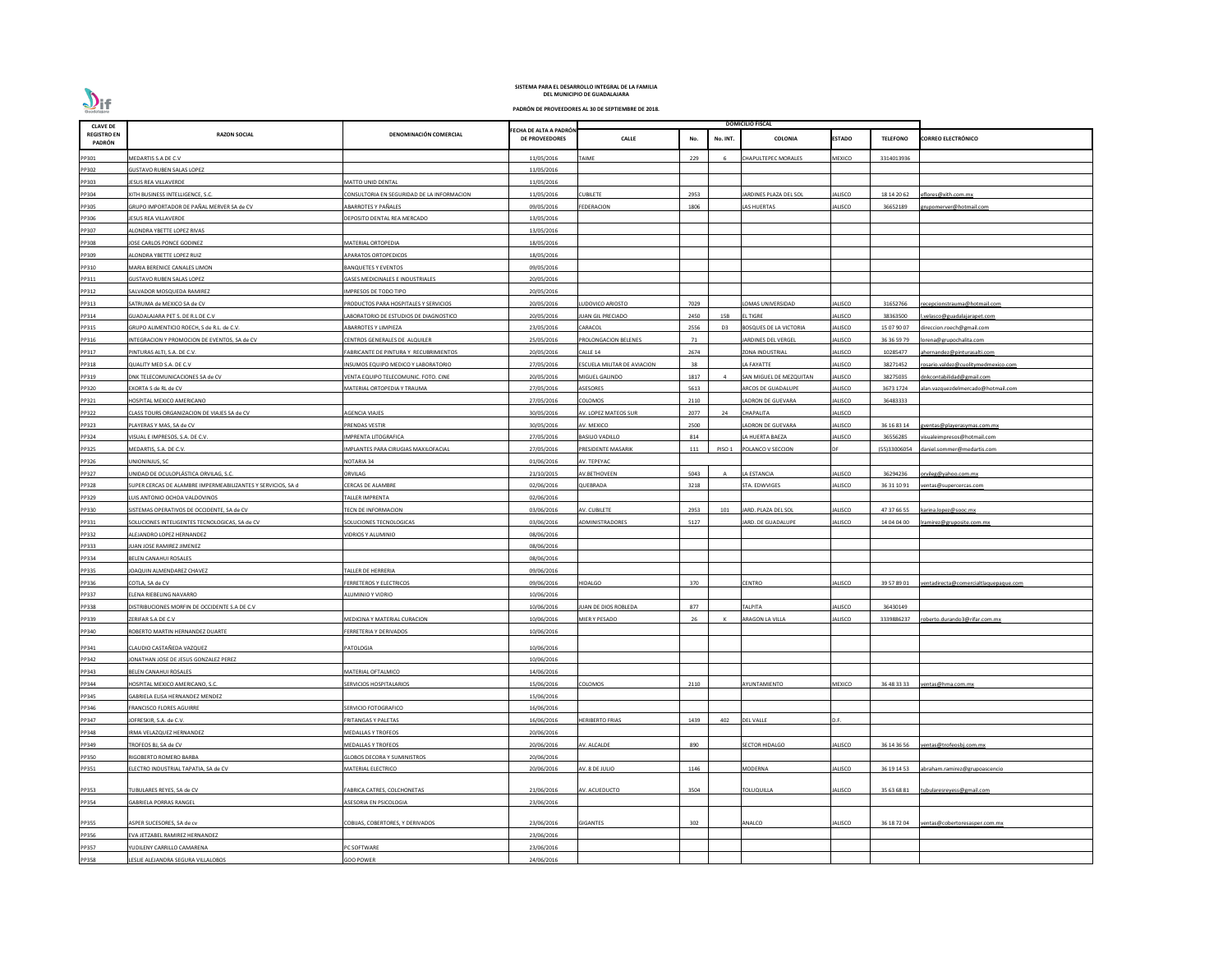

| <b>CLAVE DE</b>              |                                                              |                                            |                                          |                                    |      |                | <b>DOMICILIO FISCAL</b>       |                |                 |                                       |
|------------------------------|--------------------------------------------------------------|--------------------------------------------|------------------------------------------|------------------------------------|------|----------------|-------------------------------|----------------|-----------------|---------------------------------------|
| <b>REGISTRO EN</b><br>PADRÓN | <b>RAZON SOCIAL</b>                                          | DENOMINACIÓN COMERCIAL                     | FECHA DE ALTA A PADRÓN<br>DE PROVEEDORES | <b>CALLE</b>                       | No.  | No. INT.       | <b>COLONIA</b>                | ESTADO         | <b>TELEFONO</b> | <b>CORREO ELECTRÓNICO</b>             |
| PP301                        | MEDARTIS S.A DE C.V                                          |                                            | 11/05/2016                               | <b>TAIME</b>                       | 229  |                | CHAPULTEPEC MORALES           | MEXICO         | 3314013936      |                                       |
| PP302                        | <b>GUSTAVO RUBEN SALAS LOPEZ</b>                             |                                            | 11/05/2016                               |                                    |      |                |                               |                |                 |                                       |
| PP303                        | JESUS REA VILLAVERDE                                         | <b>MATTO UNID DENTAL</b>                   | 11/05/2016                               |                                    |      |                |                               |                |                 |                                       |
| PP304                        | XITH BUSINESS INTELLIGENCE, S.C.                             | CONSULTORIA EN SEGURIDAD DE LA INFORMACION | 11/05/2016                               | <b>CUBILETE</b>                    | 2953 |                | ARDINES PLAZA DEL SOL         | JALISCO        | 18 14 20 62     | eflores@xith.com.mx                   |
| PP305                        | GRUPO IMPORTADOR DE PAÑAL MERVER SA de CV                    | ABARROTES Y PAÑALES                        | 09/05/2016                               | FEDERACION                         | 1806 |                | AS HUERTAS                    | JALISCO        | 36652189        | rupomerver@hotmail.com                |
| PP306                        | IESUS REA VILLAVERDE                                         | DEPOSITO DENTAL REA MERCADO                | 13/05/2016                               |                                    |      |                |                               |                |                 |                                       |
| PP307                        | ALONDRA YBETTE LOPEZ RIVAS                                   |                                            | 13/05/2016                               |                                    |      |                |                               |                |                 |                                       |
| PP308                        | JOSE CARLOS PONCE GODINEZ                                    | MATERIAL ORTOPEDIA                         | 18/05/2016                               |                                    |      |                |                               |                |                 |                                       |
| PP309                        | ALONDRA YBETTE LOPEZ RUIZ                                    | <b>APARATOS ORTOPEDICOS</b>                | 18/05/2016                               |                                    |      |                |                               |                |                 |                                       |
|                              |                                                              |                                            |                                          |                                    |      |                |                               |                |                 |                                       |
| PP310                        | MARIA BERENICE CANALES LIMON                                 | BANQUETES Y EVENTOS                        | 09/05/2016                               |                                    |      |                |                               |                |                 |                                       |
| PP311                        | <b>GUSTAVO RUBEN SALAS LOPEZ</b>                             | GASES MEDICINALES E INDUSTRIALES           | 20/05/2016                               |                                    |      |                |                               |                |                 |                                       |
| PP312                        | SALVADOR MOSQUEDA RAMIREZ                                    | IMPRESOS DE TODO TIPO                      | 20/05/2016                               |                                    |      |                |                               |                |                 |                                       |
| PP313                        | SATRUMA de MEXICO SA de CV                                   | PRODUCTOS PARA HOSPITALES Y SERVICIOS      | 20/05/2016                               | LUDOVICO ARIOSTO                   | 7029 |                | OMAS UNIVERSIDAD              | JALISCO        | 31652766        | recepcionstrauma@hotmail.com          |
| PP314                        | GUADALAJARA PET S. DE R.L DE C.V                             | ABORATORIO DE ESTUDIOS DE DIAGNOSTICO      | 20/05/2016                               | JUAN GIL PRECIADO                  | 2450 | 15B            | <b>L TIGRE</b>                | JALISCO        | 38363500        | .velasco@guadalajarapet.com           |
| PP315                        | GRUPO ALIMENTICIO ROECH, S de R.L. de C.V.                   | <b>ABARROTES Y LIMPIEZA</b>                | 23/05/2016                               | CARACOL                            | 2556 | D <sub>3</sub> | <b>BOSQUES DE LA VICTORIA</b> | JALISCO        | 15 07 90 07     | direccion.roech@gmail.com             |
| PP316                        | INTEGRACION Y PROMOCION DE EVENTOS, SA de CV                 | CENTROS GENERALES DE ALQUILER              | 25/05/2016                               | PROLONGACION BELENES               | 71   |                | <b>ARDINES DEL VERGEL</b>     | JALISCO        | 36 36 59 79     | orena@grupochalita.com                |
| PP317                        | PINTURAS ALTI, S.A. DE C.V.                                  | ABRICANTE DE PINTURA Y RECUBRIMIENTOS      | 20/05/2016                               | CALLE 14                           | 2674 |                | ZONA INDUSTRIAL               | JALISCO        | 10285477        | ahernandez@pinturasalti.com           |
| PP318                        | QUALITY MED S.A. DE C.V                                      | INSUMOS EQUIPO MEDICO Y LABORATORIO        | 27/05/2016                               | <b>ESCUELA MILITAR DE AVIACION</b> | 38   |                | A FAYATTE                     | JALISCO        | 38271452        | rosario.valdez@cuolitymedmexico.com   |
| PP319                        | DNK TELECOMUNICACIONES SA de CV                              | VENTA EQUIPO TELECOMUNIC. FOTO. CINE       | 20/05/2016                               | MIGUEL GALINDO                     | 1817 |                | SAN MIGUEL DE MEZQUITAN       | JALISCO        | 38275035        | dnkcontabilidad@gmail.com             |
| PP320                        | EXORTA S de RL de CV                                         | MATERIAL ORTOPEDIA Y TRAUMA                | 27/05/2016                               | <b>ASESORES</b>                    | 5613 |                | ARCOS DE GUADALUPE            | JALISCO        | 3673 1724       | alan.vazquezdelmercado@hotmail.com    |
| PP321                        | HOSPITAL MEXICO AMERICANO                                    |                                            | 27/05/2016                               | COLOMOS                            | 2110 |                | ADRON DE GUEVARA              | JALISCO        | 36483333        |                                       |
| PP322                        | CLASS TOURS ORGANIZACION DE VIAJES SA de CV                  | AGENCIA VIAJES                             | 30/05/2016                               | AV. LOPEZ MATEOS SUR               | 2077 | 24             | CHAPALITA                     | JALISCO        |                 |                                       |
| PP323                        | PLAYERAS Y MAS, SA de CV                                     | PRENDAS VESTIR                             | 30/05/2016                               | AV. MEXICO                         | 2500 |                | ADRON DE GUEVARA              | JALISCO        | 36 16 83 14     | gventas@playerasymas.com.mx           |
| PP324                        | VISUAL E IMPRESOS, S.A. DE C.V.                              | MPRENTA LITOGRAFICA                        | 27/05/2016                               | <b>BASILIO VADILLO</b>             | 814  |                | A HUERTA BAEZA                | JALISCO        | 36556285        | isualeimpresos@hotmail.com            |
| PP325                        | MEDARTIS, S.A. DE C.V.                                       | MPLANTES PARA CIRUGIAS MAXILOFACIAL        | 27/05/2016                               | PRESIDENTE MASARIK                 | 111  | PISO 1         | POLANCO V SECCION             |                | (55)33006054    | daniel.sommer@medartis.com            |
| PP326                        | UNIONINJUS. SC                                               | NOTARIA 34                                 | 01/06/2016                               | AV. TEPEYAC                        |      |                |                               |                |                 |                                       |
| PP327                        | UNIDAD DE OCULOPLÁSTICA ORVILAG, S.C.                        | ORVILAG                                    | 21/10/2015                               | AV.BETHOVEEN                       | 5043 |                | LA ESTANCIA                   | JALISCO        | 36294236        | orvileg@yahoo.com.mx                  |
| PP328                        | SUPER CERCAS DE ALAMBRE IMPERMEABILIZANTES Y SERVICIOS, SA d | CERCAS DE ALAMBRE                          | 02/06/2016                               | QUEBRADA                           | 3218 |                | STA. EDWVIGES                 | JALISCO        | 36 31 10 91     | ventas@supercercas.com                |
| PP329                        | LUIS ANTONIO OCHOA VALDOVINOS                                | <b>TALLER IMPRENTA</b>                     | 02/06/2016                               |                                    |      |                |                               |                |                 |                                       |
| PP330                        | SISTEMAS OPERATIVOS DE OCCIDENTE, SA de CV                   | <b>TECN DE INFORMACION</b>                 | 03/06/2016                               | AV. CUBILETE                       | 2953 | 101            | JARD. PLAZA DEL SOL           | JALISCO        | 47 37 66 55     | karina.lopez@sooc.mx                  |
| PP331                        | SOLUCIONES INTELIGENTES TECNOLOGICAS, SA de CV               | SOLUCIONES TECNOLOGICAS                    | 03/06/2016                               | <b>ADMINISTRADORES</b>             | 5127 |                | JARD. DE GUADALUPE            | JALISCO        | 14 04 04 00     | Iramirez@gruposite.com.mx             |
| PP332                        | ALEJANDRO LOPEZ HERNANDEZ                                    | <b>IDRIOS Y ALUMINIO</b>                   | 08/06/2016                               |                                    |      |                |                               |                |                 |                                       |
| PP333                        | JUAN JOSE RAMIREZ JIMENEZ                                    |                                            | 08/06/2016                               |                                    |      |                |                               |                |                 |                                       |
| PP334                        | <b>BELEN CANAHUI ROSALES</b>                                 |                                            | 08/06/2016                               |                                    |      |                |                               |                |                 |                                       |
| PP335                        | JOAQUIN ALMENDAREZ CHAVEZ                                    | TALLER DE HERRERIA                         | 09/06/2016                               |                                    |      |                |                               |                |                 |                                       |
| PP336                        | COTLA, SA de CV                                              | FERRETEROS Y ELECTRICOS                    | 09/06/2016                               | <b>HIDALGO</b>                     | 370  |                | CENTRO                        | JALISCO        | 39 57 89 01     | ventadirecta@comercialtlaquepaque.com |
| PP337                        | ELENA RIEBELING NAVARRO                                      | ALUMINIO Y VIDRIO                          | 10/06/2016                               |                                    |      |                |                               |                |                 |                                       |
| PP338                        | DISTRIBUCIONES MORFIN DE OCCIDENTE S.A DE C.V                |                                            | 10/06/2016                               | JUAN DE DIOS ROBLEDA               | 877  |                | ΓΑΙΡΙΤΑ                       | JALISCO        | 36430149        |                                       |
| PP339                        | ZERIFAR S.A DE C.V                                           | MEDICINA Y MATERIAL CURACION               | 10/06/2016                               | MIER Y PESADO                      | 26   |                | ARAGON LA VILLA               | JALISCO        | 3339886237      | oberto.durando3@rifar.com.mx          |
| PP340                        | ROBERTO MARTIN HERNANDEZ DUARTE                              | FERRETERIA Y DERIVADOS                     | 10/06/2016                               |                                    |      |                |                               |                |                 |                                       |
|                              |                                                              |                                            |                                          |                                    |      |                |                               |                |                 |                                       |
| PP341                        | CLAUDIO CASTAÑEDA VAZQUEZ                                    | <b>ATOLOGIA</b>                            | 10/06/2016                               |                                    |      |                |                               |                |                 |                                       |
| PP342                        | JONATHAN JOSE DE JESUS GONZALEZ PEREZ                        |                                            | 10/06/2016                               |                                    |      |                |                               |                |                 |                                       |
| PP343                        | BELEN CANAHUI ROSALES                                        | MATERIAL OFTALMICO                         | 14/06/2016                               |                                    |      |                |                               |                |                 |                                       |
| PP344                        | HOSPITAL MEXICO AMERICANO, S.C.                              | <b>SERVICIOS HOSPITALARIOS</b>             | 15/06/2016                               | COLOMOS                            | 2110 |                | AYUNTAMIENTO                  | <b>MEXICO</b>  | 36 48 33 33     | ventas@hma.com.mx                     |
| PP345                        | GABRIELA ELISA HERNANDEZ MENDEZ                              |                                            | 15/06/2016                               |                                    |      |                |                               |                |                 |                                       |
| PP346                        | <b>FRANCISCO FLORES AGUIRRE</b>                              | SERVICIO FOTOGRAFICO                       | 16/06/2016                               |                                    |      |                |                               |                |                 |                                       |
| PP347                        | JOFRESKIR, S.A. de C.V.                                      | FRITANGAS Y PALETAS                        | 16/06/2016                               | <b>HERIBERTO FRIAS</b>             | 1439 | 402            | <b>DEL VALLE</b>              | D.F.           |                 |                                       |
| PP348                        | IRMA VELAZQUEZ HERNANDEZ                                     | MEDALLAS Y TROFEOS                         | 20/06/2016                               |                                    |      |                |                               |                |                 |                                       |
| PP349                        | TROFEOS BJ, SA de CV                                         | MEDALLAS Y TROFEOS                         | 20/06/2016                               | AV. ALCALDE                        | 890  |                | <b>SECTOR HIDALGO</b>         | <b>JALISCO</b> | 36 14 36 56     | ventas@trofeosbj.com.mx               |
| PP350                        | RIGOBERTO ROMERO BARBA                                       | <b>GLOBOS DECORA Y SUMINISTROS</b>         | 20/06/2016                               |                                    |      |                |                               |                |                 |                                       |
| PP351                        | ELECTRO INDUSTRIAL TAPATIA, SA de CV                         | MATERIAL ELECTRICO                         | 20/06/2016                               | AV. 8 DE JULIO                     | 1146 |                | MODERNA                       | JALISCO        | 36 19 14 53     | abraham.ramirez@grupoascencio         |
|                              |                                                              |                                            |                                          |                                    |      |                |                               |                |                 |                                       |
| PP353                        | TUBULARES REYES, SA de CV                                    | FABRICA CATRES, COLCHONETAS                | 21/06/2016                               | AV. ACUEDUCTO                      | 3504 |                | <b><i>FOLUQUILLA</i></b>      | JALISCO        | 35 63 68 81     | :ubularesreyess@gmail.com             |
| PP354                        | <b>GABRIELA PORRAS RANGEL</b>                                | ASESORIA EN PSICOLOGIA                     | 23/06/2016                               |                                    |      |                |                               |                |                 |                                       |
|                              |                                                              |                                            |                                          |                                    |      |                |                               |                |                 |                                       |
| PP355                        | ASPER SUCESORES, SA de cv                                    | COBIJAS, COBERTORES, Y DERIVADOS           | 23/06/2016                               | <b>GIGANTES</b>                    | 302  |                | ANALCO                        | JALISCO        | 36 18 72 04     | ventas@cobertoresasper.com.mx         |
| PP356                        | EVA JETZABEL RAMIREZ HERNANDEZ                               |                                            | 23/06/2016                               |                                    |      |                |                               |                |                 |                                       |
| PP357                        | YUDILENY CARRILLO CAMARENA                                   | <b>C SOFTWARE</b>                          | 23/06/2016                               |                                    |      |                |                               |                |                 |                                       |
| PP358                        | LESLIE ALEJANDRA SEGURA VILLALOBOS                           | <b>GOO POWER</b>                           | 24/06/2016                               |                                    |      |                |                               |                |                 |                                       |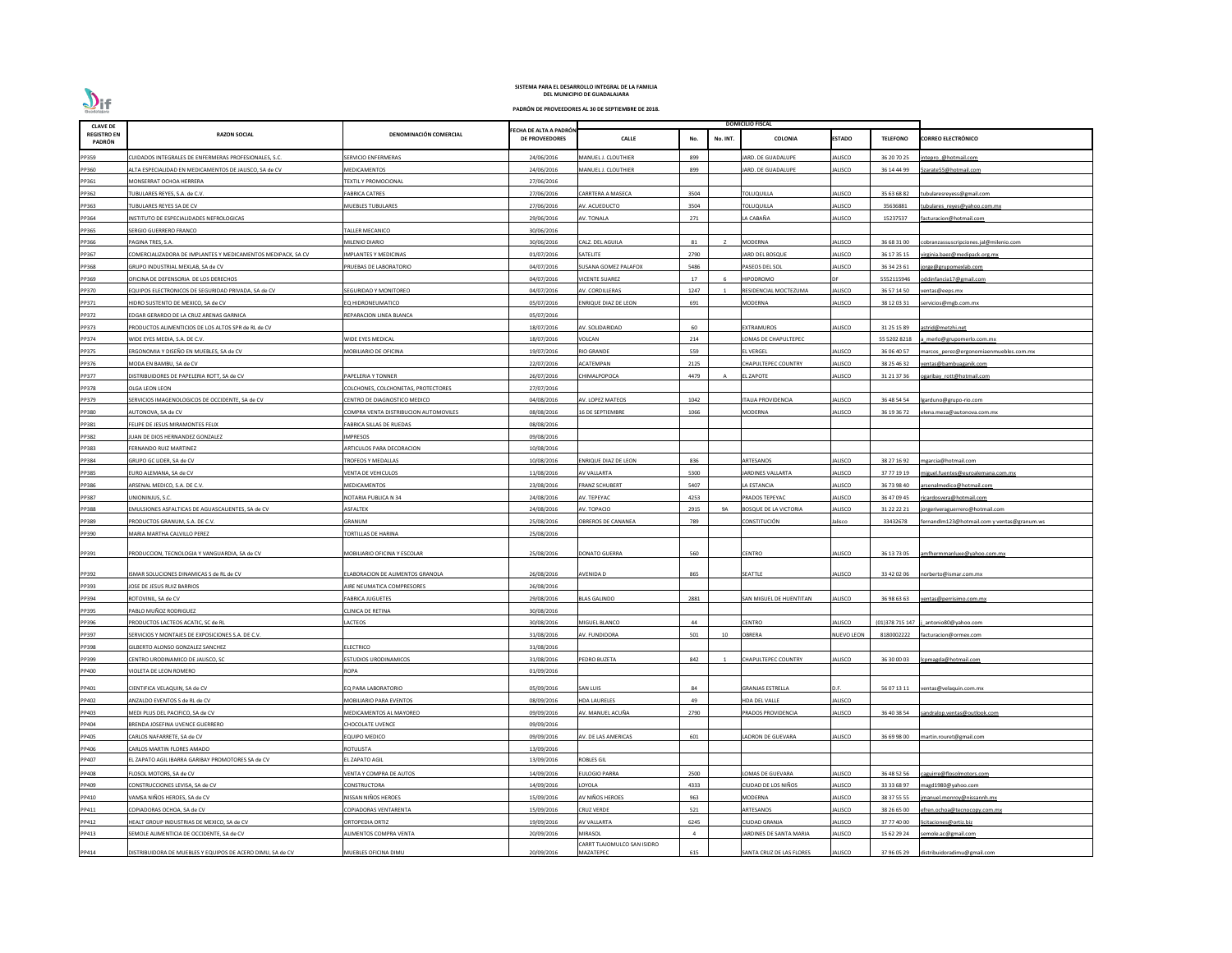

| <b>CLAVE DE</b>              |                                                              |                                       |                                                 |                             |      |          | <b>DOMICILIO FISCAL</b>      |                |                  |                                             |
|------------------------------|--------------------------------------------------------------|---------------------------------------|-------------------------------------------------|-----------------------------|------|----------|------------------------------|----------------|------------------|---------------------------------------------|
| <b>REGISTRO EN</b><br>PADRÓN | <b>RAZON SOCIAL</b>                                          | DENOMINACIÓN COMERCIAL                | FECHA DE ALTA A PADRÓN<br><b>DE PROVEEDORES</b> | <b>CALLE</b>                | No.  | No. INT. | <b>COLONIA</b>               | <b>ESTADO</b>  | <b>TELEFONO</b>  | <b>CORREO ELECTRÓNICO</b>                   |
| PP359                        | CUIDADOS INTEGRALES DE ENFERMERAS PROFESIONALES, S.C.        | SERVICIO ENFERMERAS                   | 24/06/2016                                      | MANUEL J. CLOUTHIER         | 899  |          | <b>ARD. DE GUADALUPE</b>     | ALISCO         | 36 20 70 25      | intepro @hotmail.com                        |
| PP360                        | ALTA ESPECIALIDAD EN MEDICAMENTOS DE JALISCO, SA de CV       | MEDICAMENTOS                          | 24/06/2016                                      | MANUEL J. CLOUTHIER         | 899  |          | JARD. DE GUADALUPE           | <b>JALISCO</b> | 36 14 44 99      | 5zarate55@hotmail.com                       |
| PP361                        | MONSERRAT OCHOA HERRERA                                      | <b>FEXTIL Y PROMOCIONAL</b>           | 27/06/2016                                      |                             |      |          |                              |                |                  |                                             |
| PP362                        | TUBULARES REYES, S.A. de C.V.                                | <b>FABRICA CATRES</b>                 | 27/06/2016                                      | CARRTERA A MASECA           | 3504 |          | <b>TOLUQUILLA</b>            | <b>JALISCO</b> | 35 63 68 82      | tubularesreyess@gmail.com                   |
| PP363                        | UBULARES REYES SA DE CV                                      | MUEBLES TUBULARES                     | 27/06/2016                                      | AV. ACUEDUCTO               | 3504 |          | TOLUQUILLA                   | <b>JALISCO</b> | 35636881         | tubulares reyes@yahoo.com.mx                |
| PP364                        | INSTITUTO DE ESPECIALIDADES NEFROLOGICAS                     |                                       | 29/06/2016                                      | AV. TONALA                  | 271  |          | LA CABAÑA                    | JALISCO        | 15237537         | facturacion@hotmail.com                     |
| PP365                        | ERGIO GUERRERO FRANCO                                        | <b>FALLER MECANICO</b>                | 30/06/2016                                      |                             |      |          |                              |                |                  |                                             |
| PP366                        | PAGINA TRES, S.A.                                            | MILENIO DIARIO                        | 30/06/2016                                      | CALZ. DEL AGUILA            | 81   | z        | <b>MODERNA</b>               | <b>ALISCO</b>  | 36 68 31 00      | cobranzassuscripciones.jal@milenio.com      |
| PP367                        | COMERCIALIZADORA DE IMPLANTES Y MEDICAMENTOS MEDIPACK, SA CV | <b>IMPLANTES Y MEDICINAS</b>          | 01/07/2016                                      | SATELITE                    | 2790 |          | JARD DEL BOSQUE              | <b>JALISCO</b> | 36 17 35 15      | virginia.baez@medipack.org.mx               |
| PP368                        | GRUPO INDUSTRIAL MEXLAB, SA de CV                            | PRUEBAS DE LABORATORIO                | 04/07/2016                                      | SUSANA GOMEZ PALAFOX        | 5486 |          | PASEOS DEL SOL               | ALISCO         | 36 34 23 61      | jorge@grupomexlab.com                       |
| PP369                        | OFICINA DE DEFENSORIA DE LOS DERECHOS                        |                                       | 04/07/2016                                      | <b>ICENTE SUAREZ</b>        | 17   |          | <b>HIPODROMO</b>             |                | 5552115946       | oddinfancia17@gmail.com                     |
| PP370                        | EQUIPOS ELECTRONICOS DE SEGURIDAD PRIVADA, SA de CV          | SEGURIDAD Y MONITOREO                 | 04/07/2016                                      | AV. CORDILLERAS             | 1247 |          | RESIDENCIAL MOCTEZUMA        | <b>JALISCO</b> | 36 57 14 50      | ventas@eeps.mx                              |
| PP371                        | HIDRO SUSTENTO DE MEXICO, SA de CV                           | EQ HIDRONEUMATICO                     | 05/07/2016                                      | NRIQUE DIAZ DE LEON         | 691  |          | MODERNA                      | <b>JALISCO</b> | 38 12 03 31      | servicios@mgb.com.mx                        |
| PP372                        | EDGAR GERARDO DE LA CRUZ ARENAS GARNICA                      | REPARACION LINEA BLANCA               | 05/07/2016                                      |                             |      |          |                              |                |                  |                                             |
| PP373                        | PRODUCTOS ALIMENTICIOS DE LOS ALTOS SPR de RL de CV          |                                       | 18/07/2016                                      | V. SOLIDARIDAD              | 60   |          | <b>EXTRAMUROS</b>            | JALISCO        | 31 25 15 89      | astrid@metzhi.net                           |
| PP374                        | VIDE EYES MEDIA, S.A. DE C.V.                                | WIDE EYES MEDICAL                     | 18/07/2016                                      | VOLCAN                      | 214  |          | LOMAS DE CHAPULTEPEC         |                | 55 5202 8218     | merlo@grupomerlo.com.mx                     |
| PP375                        | ERGONOMIA Y DISEÑO EN MUEBLES, SA de CV                      | MOBILIARIO DE OFICINA                 | 19/07/2016                                      | <b>RIO GRANDE</b>           | 559  |          | <b>EL VERGEL</b>             | <b>JALISCO</b> | 36 06 40 57      | marcos perez@ergonomiaenmuebles.com.mx      |
| PP376                        | MODA EN BAMBU, SA de CV                                      |                                       | 22/07/2016                                      | ACATEMPAN                   | 2125 |          | <b>CHAPULTEPEC COUNTRY</b>   | JALISCO        | 38 25 46 32      | ventas@bambuaganik.com                      |
| PP377                        | DISTRIBUIDORES DE PAPELERIA ROTT, SA de CV                   | PAPELERIA Y TONNER                    | 26/07/2016                                      | <b>HIMALPOPOCA</b>          | 4479 |          | EL ZAPOTE                    | JALISCO        | 31 21 37 36      | ogaribay rott@hotmail.com                   |
| PP378                        | OLGA LEON LEON                                               | COLCHONES, COLCHONETAS, PROTECTORES   | 27/07/2016                                      |                             |      |          |                              |                |                  |                                             |
| PP379                        | SERVICIOS IMAGENOLOGICOS DE OCCIDENTE, SA de CV              | CENTRO DE DIAGNOSTICO MEDICO          | 04/08/2016                                      | V. LOPEZ MATEOS             | 1042 |          | TALIA PROVIDENCIA            | ALISCO         | 36 48 54 54      | lgarduno@grupo-rio.com                      |
| PP380                        | AUTONOVA, SA de CV                                           | COMPRA VENTA DISTRIBUCION AUTOMOVILES | 08/08/2016                                      | <b>6 DE SEPTIEMBRE</b>      | 1066 |          | <b>MODERNA</b>               | <b>JALISCO</b> | 36 19 36 72      | elena.meza@autonova.com.mx                  |
| PP381                        | FELIPE DE JESUS MIRAMONTES FELIX                             | ABRICA SILLAS DE RUEDAS               | 08/08/2016                                      |                             |      |          |                              |                |                  |                                             |
| PP382                        | UAN DE DIOS HERNANDEZ GONZALEZ                               | IMPRESOS                              | 09/08/2016                                      |                             |      |          |                              |                |                  |                                             |
| PP383                        | ERNANDO RUIZ MARTINEZ                                        | ARTICULOS PARA DECORACION             | 10/08/2016                                      |                             |      |          |                              |                |                  |                                             |
| PP384                        | GRUPO GC LIDER, SA de CV                                     | <b>TROFEOS Y MEDALLAS</b>             | 10/08/2016                                      | ENRIQUE DIAZ DE LEON        | 836  |          | ARTESANOS                    | <b>JALISCO</b> | 38 27 16 92      | mgarcia@hotmail.com                         |
| PP385                        | EURO ALEMANA, SA de CV                                       | VENTA DE VEHICULOS                    | 11/08/2016                                      | <b>AV VALLARTA</b>          | 5300 |          | <b>ARDINES VALLARTA</b>      | JALISCO        | 37 77 19 19      | niguel.fuentes@euroalemana.com.mx           |
| PP386                        | ARSENAL MEDICO, S.A. DE C.V.                                 | MEDICAMENTOS                          | 23/08/2016                                      | <b>FRANZ SCHUBERT</b>       | 5407 |          | LA ESTANCIA                  | JALISCO        | 36 73 98 40      | arsenalmedico@hotmail.com                   |
| PP387                        | UNIONINJUS, S.C.                                             | <b>NOTARIA PUBLICA N 34</b>           | 24/08/2016                                      | AV. TEPEYAC                 | 4253 |          | PRADOS TEPEYAC               | JALISCO        | 36 47 09 45      | ricardosvera@hotmail.com                    |
| PP388                        | EMULSIONES ASFALTICAS DE AGUASCALIENTES, SA de CV            | ASFALTEK                              | 24/08/2016                                      | AV. TOPACIO                 | 2915 | 9A       | <b>BOSQUE DE LA VICTORIA</b> | <b>JALISCO</b> | 31 22 22 21      | jorgeriveraguerrero@hotmail.com             |
| PP389                        | PRODUCTOS GRANUM, S.A. DE C.V.                               | GRANUM                                | 25/08/2016                                      | OBREROS DE CANANEA          | 789  |          | CONSTITUCIÓN                 | Jalisco        | 33432678         | fernandlm123@hotmail.com y ventas@granum.ws |
| PP390                        | MARIA MARTHA CALVILLO PEREZ                                  | <b>FORTILLAS DE HARINA</b>            | 25/08/2016                                      |                             |      |          |                              |                |                  |                                             |
|                              |                                                              |                                       |                                                 |                             |      |          |                              |                |                  |                                             |
| PP391                        | PRODUCCION, TECNOLOGIA Y VANGUARDIA, SA de CV                | MOBILIARIO OFICINA Y ESCOLAR          | 25/08/2016                                      | <b>DONATO GUERRA</b>        | 560  |          | <b>CENTRO</b>                | JALISCO        | 36 13 73 05      | amfhermmanluxe@yahoo.com.mx                 |
|                              |                                                              |                                       |                                                 |                             |      |          |                              |                |                  |                                             |
| PP392                        | SMAR SOLUCIONES DINAMICAS S de RL de CV                      | LABORACION DE ALIMENTOS GRANOLA       | 26/08/2016                                      | AVENIDA D                   | 865  |          | SEATTLE                      | JALISCO        | 33 42 02 06      | norberto@ismar.com.mx                       |
| PP393                        | <b>JOSE DE JESUS RUIZ BARRIOS</b>                            | <b>NRE NEUMATICA COMPRESORES</b>      | 26/08/2016                                      |                             |      |          |                              |                |                  |                                             |
| PP394                        | ROTOVINIL, SA de CV                                          | ABRICA JUGUETES                       | 29/08/2016                                      | <b>ILAS GALINDO</b>         | 2881 |          | SAN MIGUEL DE HUENTITAN      | JALISCO        | 36 98 63 63      | ventas@perrisimo.com.mx                     |
| PP395                        | PABLO MUÑOZ RODRIGUEZ                                        | CLINICA DE RETINA                     | 30/08/2016                                      |                             |      |          |                              |                |                  |                                             |
| PP396                        | PRODUCTOS LACTEOS ACATIC, SC de RL                           | ACTEOS                                | 30/08/2016                                      | MIGUEL BLANCO               | 44   |          | CENTRO                       | ALISCO         | (01) 378 715 147 | j antonio80@yahoo.com                       |
| PP397                        | SERVICIOS Y MONTAJES DE EXPOSICIONES S.A. DE C.V.            |                                       | 31/08/2016                                      | AV. FUNDIDORA               | 501  | 10       | <b>OBRERA</b>                | NUEVO LEON     | 8180002222       | facturacion@ormex.com                       |
| PP398                        | GILBERTO ALONSO GONZALEZ SANCHEZ                             | <b>LECTRICO</b>                       | 31/08/2016                                      |                             |      |          |                              |                |                  |                                             |
| PP399                        | CENTRO URODINAMICO DE JALISCO, SC                            | STUDIOS URODINAMICOS                  | 31/08/2016                                      | PEDRO BUZETA                | 842  |          | CHAPULTEPEC COUNTRY          | JALISCO        | 36 30 00 03      | lcpmagda@hotmail.com                        |
| PP400                        | VIOLETA DE LEON ROMERO                                       | ROPA                                  | 01/09/2016                                      |                             |      |          |                              |                |                  |                                             |
| PP401                        | CIENTIFICA VELAQUIN, SA de CV                                | EQ PARA LABORATORIO                   | 05/09/2016                                      | SAN LUIS                    | 84   |          | <b>GRANJAS ESTRELLA</b>      | D.F.           | 56 07 13 11      | ventas@velaquin.com.mx                      |
| PP402                        | ANZALDO EVENTOS S de RL de CV                                | MOBILIARIO PARA EVENTOS               | 08/09/2016                                      | <b>HDA LAURELES</b>         | 49   |          | <b>HDA DEL VALLE</b>         | JALISCO        |                  |                                             |
| PP403                        | MEDI PLUS DEL PACIFICO, SA de CV                             | MEDICAMENTOS AL MAYOREO               | 09/09/2016                                      | IV. MANUEL ACUÑA            | 2790 |          | PRADOS PROVIDENCIA           | ALISCO         | 36 40 38 54      | sandralop.ventas@outlook.com                |
| PP404                        | BRENDA JOSEFINA UVENCE GUERRERO                              | CHOCOLATE UVENCE                      | 09/09/2016                                      |                             |      |          |                              |                |                  |                                             |
| PP405                        | CARLOS NAFARRETE, SA de CV                                   | <b>QUIPO MEDICO</b>                   | 09/09/2016                                      | AV. DE LAS AMERICAS         | 601  |          | <b>LADRON DE GUEVARA</b>     | JALISCO        | 36 69 98 00      | martin.rouret@gmail.com                     |
| PP406                        | CARLOS MARTIN FLORES AMADO                                   | ROTULISTA                             | 13/09/2016                                      |                             |      |          |                              |                |                  |                                             |
| PP407                        | EL ZAPATO AGIL IBARRA GARIBAY PROMOTORES SA de CV            | EL ZAPATO AGIL                        | 13/09/2016                                      | <b>ROBLES GIL</b>           |      |          |                              |                |                  |                                             |
| PP408                        | FLOSOL MOTORS, SA de CV                                      | VENTA Y COMPRA DE AUTOS               | 14/09/2016                                      | <b>EULOGIO PARRA</b>        | 2500 |          | LOMAS DE GUEVARA             | JALISCO        | 36 48 52 56      | caguirre@flosolmotors.com                   |
| PP409                        | CONSTRUCCIONES LEVISA, SA de CV                              | CONSTRUCTORA                          | 14/09/2016                                      | OYOLA                       | 4333 |          | CIUDAD DE LOS NIÑOS          | <b>JALISCO</b> | 33 33 68 97      | magd1980@yahoo.com                          |
| PP410                        | VAMSA NIÑOS HEROES, SA de CV                                 | NISSAN NIÑOS HEROES                   | 15/09/2016                                      | AV NIÑOS HEROES             | 963  |          | MODERNA                      | JALISCO        | 38 37 55 55      | manuel.monroy@nissannh.mx                   |
| PP411                        | COPIADORAS OCHOA, SA de CV                                   | COPIADORAS VENTARENTA                 | 15/09/2016                                      | CRUZ VERDE                  | 521  |          | ARTESANOS                    | <b>JALISCO</b> | 38 26 65 00      | efren.ochoa@tecnocopy.com.mx                |
| PP412                        | HEALT GROUP INDUSTRIAS DE MEXICO, SA de CV                   | ORTOPEDIA ORTIZ                       | 19/09/2016                                      | <b>V VALLARTA</b>           | 6245 |          | CIUDAD GRANJA                | <b>JALISCO</b> | 37 77 40 00      | icitaciones@ortiz.biz                       |
| PP413                        | SEMOLE ALIMENTICIA DE OCCIDENTE, SA de CV                    | LIMENTOS COMPRA VENTA                 | 20/09/2016                                      | <b>MIRASOL</b>              |      |          | ARDINES DE SANTA MARIA       | <b>JALISCO</b> | 15 62 29 24      | semole.ac@gmail.com                         |
|                              |                                                              |                                       |                                                 | CARRT TLAJOMULCO SAN ISIDRO |      |          |                              |                |                  |                                             |
| PP414                        | DISTRIBUIDORA DE MUEBLES Y EQUIPOS DE ACERO DIMU, SA de CV   | MUEBLES OFICINA DIMU                  | 20/09/2016                                      | MAZATEPEC                   | 615  |          | SANTA CRUZ DE LAS FLORES     | <b>JALISCO</b> |                  | 37 96 05 29 distribuidoradimu@gmail.com     |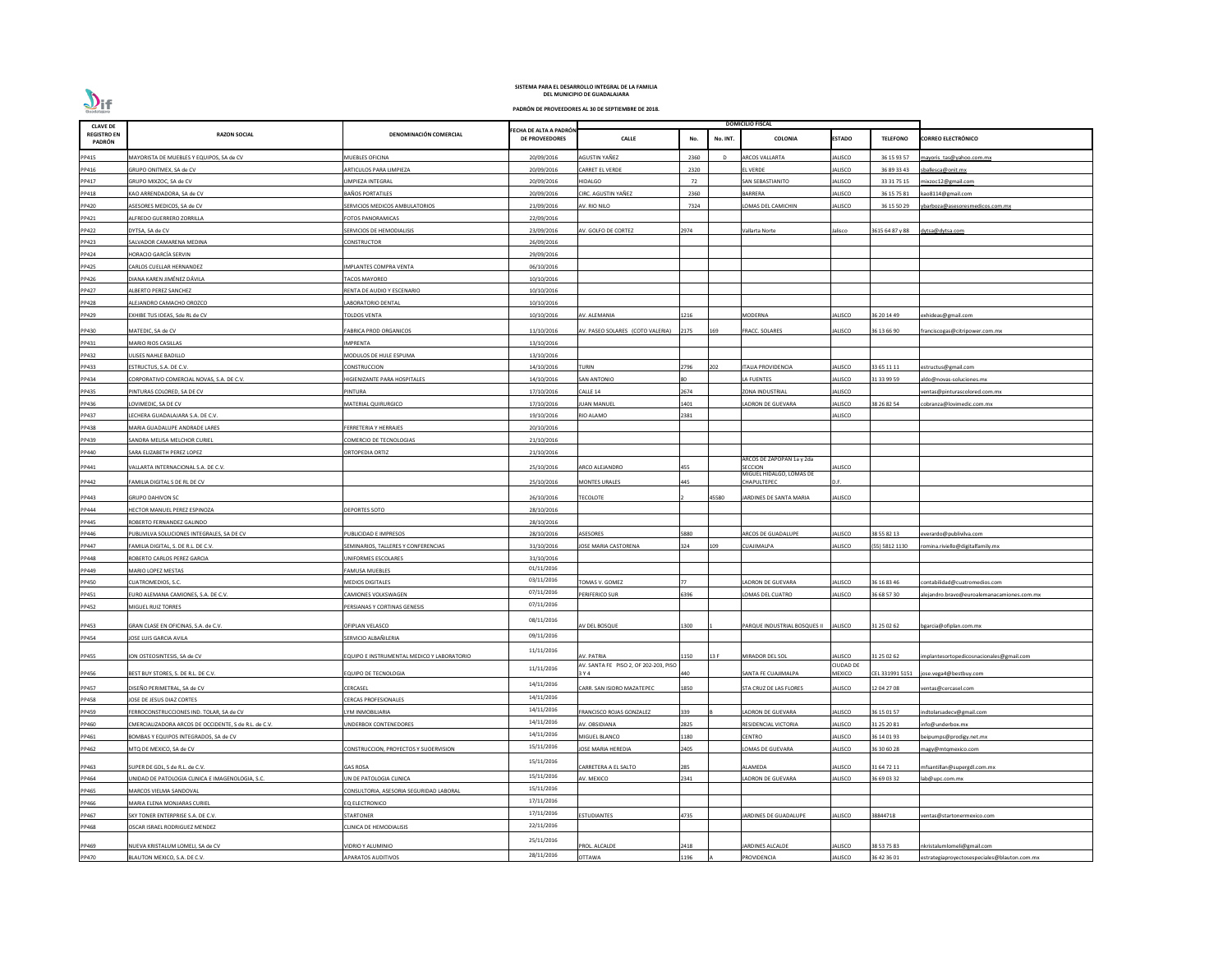| <b>CLAVE DE</b>              |                                                                    |                                            |                                                |                                                     |              | <b>DOMICILIO FISCAL</b>                    |                             |                 |                                                           |
|------------------------------|--------------------------------------------------------------------|--------------------------------------------|------------------------------------------------|-----------------------------------------------------|--------------|--------------------------------------------|-----------------------------|-----------------|-----------------------------------------------------------|
| <b>REGISTRO EN</b><br>PADRÓN | <b>RAZON SOCIAL</b>                                                | DENOMINACIÓN COMERCIAL                     | ECHA DE ALTA A PADRÓN<br><b>DE PROVEEDORES</b> | <b>CALLE</b>                                        | No.          | No. INT.<br>COLONIA                        | <b>ESTADO</b>               | <b>TELEFONO</b> | <b>CORREO ELECTRÓNICO</b>                                 |
| PP415                        | MAYORISTA DE MUEBLES Y EQUIPOS, SA de CV                           | MUEBLES OFICINA                            | 20/09/2016                                     | AGUSTIN YAÑEZ                                       | 2360         | <b>ARCOS VALLARTA</b>                      | JALISCO                     | 36 15 93 57     | mayoris tas@yahoo.com.mx                                  |
| PP416                        | GRUPO ONITMEX, SA de CV                                            | ARTICULOS PARA LIMPIEZA                    | 20/09/2016                                     | <b>CARRET EL VERDE</b>                              | 2320         | <b>LVERDE</b>                              | ALISCO                      | 36 89 33 43     | ballesca@onit.mx                                          |
| PP417                        | GRUPO MIXZOC, SA de CV                                             | IMPIEZA INTEGRAL                           | 20/09/2016                                     | HIDALGO                                             | 72           | AN SEBASTIANITO                            | <b>JALISCO</b>              | 33 31 75 15     | mixzoc12@gmail.com                                        |
| PP418                        | KAO ARRENDADORA, SA de CV                                          | BAÑOS PORTATILES                           | 20/09/2016                                     | CIRC. AGUSTIN YAÑEZ                                 | 2360         | <b>BARRERA</b>                             | JALISCO                     | 36 15 75 81     | kao8114@gmail.com                                         |
| PP420                        | ASESORES MEDICOS, SA de CV                                         | SERVICIOS MEDICOS AMBULATORIOS             | 21/09/2016                                     | AV. RIO NILO                                        | 7324         | OMAS DEL CAMICHIN                          | <b>JALISCO</b>              | 36 15 50 29     | barboza@asesoresmedicos.com.mx                            |
| PP421                        | ALFREDO GUERRERO ZORRILLA                                          | FOTOS PANORAMICAS                          | 22/09/2016                                     |                                                     |              |                                            |                             |                 |                                                           |
| PP422                        | DYTSA, SA de CV                                                    | SERVICIOS DE HEMODIALISIS                  | 23/09/2016                                     | <b>NV. GOLFO DE CORTEZ</b>                          | 2974         | Vallarta Norte                             | alisco                      | 3615 64 87 y 88 | dytsa@dytsa.com                                           |
| PP423                        | SALVADOR CAMARENA MEDINA                                           | CONSTRUCTOR                                | 26/09/2016                                     |                                                     |              |                                            |                             |                 |                                                           |
| PP424                        | <b>HORACIO GARCÍA SERVIN</b>                                       |                                            | 29/09/2016                                     |                                                     |              |                                            |                             |                 |                                                           |
| PP425                        | CARLOS CUELLAR HERNANDEZ                                           | <b>MPLANTES COMPRA VENTA</b>               | 06/10/2016                                     |                                                     |              |                                            |                             |                 |                                                           |
| PP426                        | DIANA KAREN JIMÉNEZ DÁVILA                                         | ACOS MAYOREO                               | 10/10/2016                                     |                                                     |              |                                            |                             |                 |                                                           |
| PP427                        | <b>ALBERTO PEREZ SANCHEZ</b>                                       | RENTA DE AUDIO Y ESCENARIO                 | 10/10/2016                                     |                                                     |              |                                            |                             |                 |                                                           |
| PP428                        | ALEJANDRO CAMACHO OROZCO                                           | ABORATORIO DENTAL                          | 10/10/2016                                     |                                                     |              |                                            |                             |                 |                                                           |
| PP429                        | EXHIBE TUS IDEAS, Sde RL de CV                                     | TOLDOS VENTA                               | 10/10/2016                                     | AV. ALEMANIA                                        | 1216         | MODERNA                                    | <b>JALISCO</b>              | 36 20 14 49     | xhideas@gmail.com                                         |
|                              |                                                                    |                                            |                                                |                                                     |              |                                            |                             |                 |                                                           |
| PP430                        | MATEDIC, SA de CV                                                  | FABRICA PROD ORGANICOS                     | 11/10/2016                                     | AV. PASEO SOLARES (COTO VALERIA)                    | 2175<br>169  | FRACC. SOLARES                             | JALISCO                     | 36 13 66 90     | ranciscogas@citripower.com.mx                             |
| PP431                        | MARIO RIOS CASILLAS                                                | IMPRENTA                                   | 13/10/2016                                     |                                                     |              |                                            |                             |                 |                                                           |
| PP432                        | ULISES NAHLE BADILLO                                               | MODULOS DE HULE ESPUMA                     | 13/10/2016                                     |                                                     |              |                                            |                             |                 |                                                           |
| PP433                        | ESTRUCTUS, S.A. DE C.V.                                            | CONSTRUCCION                               | 14/10/2016                                     | TURIN                                               | 2796<br>202  | <b>ITALIA PROVIDENCIA</b>                  | <b>JALISCO</b>              | 33 65 11 11     | estructus@gmail.com                                       |
| PP434                        | CORPORATIVO COMERCIAL NOVAS, S.A. DE C.V.                          | <b>IIGIENIZANTE PARA HOSPITALES</b>        | 14/10/2016                                     | <b>SAN ANTONIO</b>                                  |              | <b>A FUENTES</b>                           | JALISCO                     | 31 33 99 59     | do@novas-soluciones.mx                                    |
| PP435                        | PINTURAS COLORED, SA DE CV                                         | PINTURA                                    | 17/10/2016                                     | CALLE 14                                            | 2674         | ZONA INDUSTRIAL                            | JALISCO                     |                 | entas@pinturascolored.com.mx                              |
| PP436                        | LOVIMEDIC, SA DE CV                                                | MATERIAL QUIRURGICO                        | 17/10/2016                                     | <b>UAN MANUEL</b>                                   | 1401         | LADRON DE GUEVARA                          | JALISCO                     | 38 26 82 54     | cobranza@lovimedic.com.mx                                 |
| PP437                        | LECHERA GUADALAJARA S.A. DE C.V.                                   |                                            | 19/10/2016                                     | RIO ALAMO                                           | 2381         |                                            | JALISCO                     |                 |                                                           |
| PP438                        | MARIA GUADALUPE ANDRADE LARES                                      | <b>ERRETERIA Y HERRAJES</b>                | 20/10/2016                                     |                                                     |              |                                            |                             |                 |                                                           |
| PP439                        | SANDRA MELISA MELCHOR CURIEL                                       | COMERCIO DE TECNOLOGIAS                    | 21/10/2016                                     |                                                     |              |                                            |                             |                 |                                                           |
| PP440                        | SARA ELIZABETH PEREZ LOPEZ                                         | ORTOPEDIA ORTIZ                            | 21/10/2016                                     |                                                     |              | ARCOS DE ZAPOPAN 1a y 2da                  |                             |                 |                                                           |
| PP441                        | VALLARTA INTERNACIONAL S.A. DE C.V.                                |                                            | 25/10/2016                                     | ARCO ALEJANDRO                                      | 455          | <b>SECCION</b><br>MIGUEL HIDALGO, LOMAS DE | ALISCO                      |                 |                                                           |
| PP442                        | FAMILIA DIGITAL S DE RL DE CV                                      |                                            | 25/10/2016                                     | <b>MONTES URALES</b>                                | 445          | CHAPULTEPEC                                | D.F.                        |                 |                                                           |
| PP443                        | <b>GRUPO DAHIVON SC</b>                                            |                                            | 26/10/2016                                     | <b>ECOLOTE</b>                                      | 45580        | JARDINES DE SANTA MARIA                    | <b>JALISCO</b>              |                 |                                                           |
| PP444                        | HECTOR MANUEL PEREZ ESPINOZA                                       | <b>DEPORTES SOTO</b>                       | 28/10/2016                                     |                                                     |              |                                            |                             |                 |                                                           |
| PP445                        | ROBERTO FERNANDEZ GALINDO                                          |                                            | 28/10/2016                                     |                                                     |              |                                            |                             |                 |                                                           |
| PP446                        |                                                                    | UBLICIDAD E IMPRESOS                       | 28/10/2016                                     | ASESORES                                            | 5880         | <b>ARCOS DE GUADALUPE</b>                  | ALISCO                      | 38 55 82 13     |                                                           |
|                              | PUBLIVILVA SOLUCIONES INTEGRALES, SA DE CV                         | EMINARIOS. TALLERES Y CONFERENCIAS         | 31/10/2016                                     | <b>JOSE MARIA CASTORENA</b>                         | 109<br>324   | UAJIMALPA                                  | <b>JALISCO</b>              | (55) 5812 1130  | verardo@publivilva.com<br>omina.riviello@digitalfamily.mx |
| PP447<br>PP448               | FAMILIA DIGITAL, S. DE R.L. DE C.V.<br>ROBERTO CARLOS PEREZ GARCIA | <b>JNIFORMES ESCOLARES</b>                 | 31/10/2016                                     |                                                     |              |                                            |                             |                 |                                                           |
|                              |                                                                    |                                            | 01/11/2016                                     |                                                     |              |                                            |                             |                 |                                                           |
| PP449                        | MARIO LOPEZ MESTAS                                                 | FAMUSA MUEBLES<br><b>MEDIOS DIGITALES</b>  | 03/11/2016                                     |                                                     |              |                                            |                             |                 |                                                           |
| PP450                        | CUATROMEDIOS, S.C.                                                 |                                            | 07/11/2016                                     | OMAS V. GOMEZ                                       |              | ADRON DE GUEVARA                           | JALISCO                     | 36 16 83 46     | :ontabilidad@cuatromedios.com                             |
| PP451                        | URO ALEMANA CAMIONES, S.A. DE C.V.                                 | CAMIONES VOLKSWAGEN                        | 07/11/2016                                     | PERIFERICO SUR                                      | 396          | OMAS DEL CUATRO                            | ALISCO                      | 36 68 57 30     | lejandro.bravo@euroalemanacamiones.com.mx                 |
| PP452                        | MIGUEL RUIZ TORRES                                                 | PERSIANAS Y CORTINAS GENESIS               |                                                |                                                     |              |                                            |                             |                 |                                                           |
| PP453                        | GRAN CLASE EN OFICINAS, S.A. de C.V.                               | OFIPLAN VELASCO                            | 08/11/2016                                     | AV DEL BOSQUE                                       | 1300         | PARQUE INDUSTRIAL BOSQUES II               | JALISCO                     | 31 25 02 62     | ogarcia@ofiplan.com.mx                                    |
| PP454                        | <b>JOSE LUIS GARCIA AVILA</b>                                      | SERVICIO ALBAÑILERIA                       | 09/11/2016                                     |                                                     |              |                                            |                             |                 |                                                           |
|                              |                                                                    |                                            | 11/11/2016                                     |                                                     |              |                                            |                             |                 |                                                           |
| PP455                        | ION OSTEOSINTESIS, SA de CV                                        | EQUIPO E INSTRUMENTAL MEDICO Y LABORATORIO |                                                | AV. PATRIA<br>AV. SANTA FE PISO 2, OF 202-203, PISO | 1150<br>13 F | MIRADOR DEL SOL                            | JALISCO<br><b>CIUDAD DE</b> | 31 25 02 62     | mplantesortopedicosnacionales@gmail.com                   |
| PP456                        | BEST BUY STORES, S. DE R.L. DE C.V.                                | EQUIPO DE TECNOLOGIA                       | 11/11/2016                                     | 3 Y 4                                               | 440          | SANTA FE CUAJIMALPA                        | <b>MEXICO</b>               | CEL 331991 5151 | ose.vega4@bestbuy.com                                     |
| PP457                        | DISEÑO PERIMETRAL, SA de CV                                        | CERCASEL                                   | 14/11/2016                                     | CARR. SAN ISIDRO MAZATEPEC                          | L850         | STA CRUZ DE LAS FLORES                     | ALISCO                      | 12 04 27 08     | entas@cercasel.com                                        |
| PP458                        | <b>JOSE DE JESUS DIAZ CORTES</b>                                   | <b><i>CERCAS PROFESIONALES</i></b>         | 14/11/2016                                     |                                                     |              |                                            |                             |                 |                                                           |
| PP459                        | FERROCONSTRUCCIONES IND. TOLAR, SA de CV                           | YM INMOBILIARIA                            | 14/11/2016                                     | FRANCISCO ROJAS GONZALEZ                            | 339          | LADRON DE GUEVARA                          | <b>JALISCO</b>              | 36 15 01 57     | ndtolarsadecv@gmail.com                                   |
| PP460                        | CMERCIALIZADORA ARCOS DE OCCIDENTE, S de R.L. de C.V.              | <b>JNDERBOX CONTENEDORES</b>               | 14/11/2016                                     | AV. OBSIDIANA                                       | 2825         | RESIDENCIAL VICTORIA                       | ALISCO                      | 31 25 20 81     | nfo@underbox.mx                                           |
| PP461                        | BOMBAS Y EQUIPOS INTEGRADOS, SA de CV                              |                                            | 14/11/2016                                     | MIGUEL BLANCO                                       | 180          | CENTRO                                     | JALISCO                     | 36 14 01 93     | eipumps@prodigy.net.mx                                    |
| PP462                        | MTQ DE MEXICO, SA de CV                                            | CONSTRUCCION, PROYECTOS Y SUOERVISION      | 15/11/2016                                     | <b>JOSE MARIA HEREDIA</b>                           | 2405         | OMAS DE GUEVARA                            | JALISCO                     | 36 30 60 28     | nagy@mtqmexico.com                                        |
| PP463                        | SUPER DE GDL, S de R.L. de C.V.                                    | GAS ROSA                                   | 15/11/2016                                     | CARRETERA A EL SALTO                                | 285          | ALAMEDA                                    | JALISCO                     | 31 64 72 11     | nfsantillan@supergdl.com.mx                               |
| PP464                        | UNIDAD DE PATOLOGIA CLINICA E IMAGENOLOGIA, S.C.                   | UN DE PATOLOGIA CLINICA                    | 15/11/2016                                     | AV. MEXICO                                          | 2341         | LADRON DE GUEVARA                          | <b>JALISCO</b>              | 36 69 03 32     | ab@upc.com.mx                                             |
| PP465                        | MARCOS VIELMA SANDOVAL                                             | CONSULTORIA, ASESORIA SEGURIDAD LABORAL    | 15/11/2016                                     |                                                     |              |                                            |                             |                 |                                                           |
| PP466                        | MARIA ELENA MONJARAS CURIEL                                        | EQ ELECTRONICO                             | 17/11/2016                                     |                                                     |              |                                            |                             |                 |                                                           |
| PP467                        | SKY TONER ENTERPRISE S.A. DE C.V.                                  | STARTONER                                  | 17/11/2016                                     | ESTUDIANTES                                         | 4735         | ARDINES DE GUADALUPE                       | ALISCO                      | 38844718        | entas@startonermexico.com                                 |
| PP468                        | OSCAR ISRAEL RODRIGUEZ MENDEZ                                      | CLINICA DE HEMODIALISIS                    | 22/11/2016                                     |                                                     |              |                                            |                             |                 |                                                           |
|                              |                                                                    |                                            | 25/11/2016                                     |                                                     |              |                                            |                             |                 |                                                           |
| PP469                        | NUEVA KRISTALUM LOMELI, SA de CV                                   | VIDRIO Y ALUMINIO                          |                                                | PROL. ALCALDE                                       | 2418         | JARDINES ALCALDE                           | <b>JALISCO</b>              | 38 53 75 83     | nkristalumlomeli@gmail.com                                |
| PP470                        | BLAUTON MEXICO, S.A. DE C.V.                                       | APARATOS AUDITIVOS                         | 28/11/2016                                     | <b>OTTAWA</b>                                       | 1196         | PROVIDENCIA                                | JALISCO                     | 36 42 36 01     | estrategiaproyectosespeciales@blauton.com.mx              |

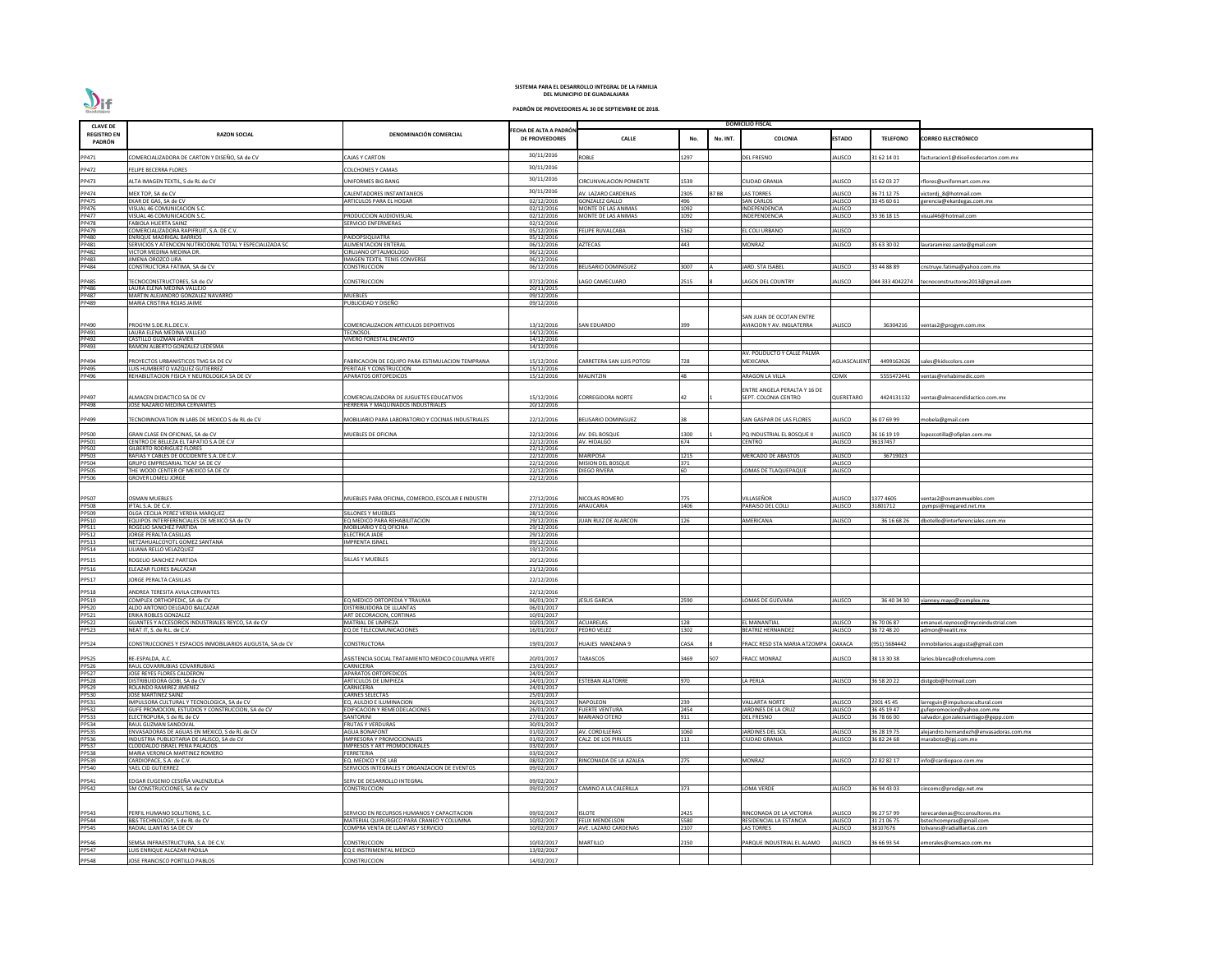| <b>CLAVE DE</b>                     |                                                                                                 |                                                                                 |                                                |                                                |              |             | <b>DOMICILIO FISCAL</b>                               |                           |                           |                                                               |
|-------------------------------------|-------------------------------------------------------------------------------------------------|---------------------------------------------------------------------------------|------------------------------------------------|------------------------------------------------|--------------|-------------|-------------------------------------------------------|---------------------------|---------------------------|---------------------------------------------------------------|
| <b>REGISTRO EN</b><br><b>PADRÓN</b> | <b>RAZON SOCIAL</b>                                                                             | DENOMINACIÓN COMERCIAL                                                          | ECHA DE ALTA A PADRÓN<br><b>DE PROVEEDORES</b> | <b>CALLE</b>                                   | No.          | No. INT.    | <b>COLONIA</b>                                        | <b>ESTADO</b>             | <b>TELEFONO</b>           | <b>CORREO ELECTRÓNICO</b>                                     |
| PP471                               | COMERCIALIZADORA DE CARTON Y DISEÑO, SA de CV                                                   | <b>CAJAS Y CARTON</b>                                                           | 30/11/2016                                     | ROBLE                                          | 1297         |             | DEL FRESNO                                            | ALISCO                    | 31 62 14 01               | acturacion1@diseñosdecarton.com.mx                            |
| PP472                               | FELIPE BECERRA FLORES                                                                           | COLCHONES Y CAMAS                                                               | 30/11/2016                                     |                                                |              |             |                                                       |                           |                           |                                                               |
| PP473                               | ALTA IMAGEN TEXTIL, S de RL de CV                                                               | UNIFORMES BIG BANG                                                              | 30/11/2016                                     | CIRCUNVALACION PONIENTE                        | 1539         |             | CIUDAD GRANJA                                         | JALISCO                   | 15 62 03 27               | rflores@uniformart.com.mx                                     |
| PP474                               | MEX TOP, SA de CV                                                                               | CALENTADORES INSTANTANEOS                                                       | 30/11/2016                                     | AV. LAZARO CARDENAS                            | 2305         | <b>B7B8</b> | LAS TORRES                                            | JALISCO                   | 36 71 12 75               | rictordi 8@hotmail.com                                        |
| <b>PP475</b>                        | EKAR DE GAS, SA de CV                                                                           | ARTICULOS PARA EL HOGAR                                                         | 02/12/2016                                     | <b>GONZALEZ GALLO</b>                          | 496          |             | <b>SAN CARLOS</b>                                     | JALISCO                   | 33 45 60 61               | erencia@ekardegas.com.mx                                      |
| PP476<br>PP477                      | VISUAL 46 COMUNICACION S.C.<br>VISUAL 46 COMUNICACION S.C.                                      | PRODUCCION AUDIOVISUAL                                                          | 02/12/2016<br>02/12/2016                       | MONTE DE LAS ANIMAS<br>MONTE DE LAS ANIMAS     | 1092<br>1092 |             | <b>INDEPENDENCIA</b><br><b>INDEPENDENCIA</b>          | <b>JALISCO</b><br>JALISCO | 33 36 18 15               | visual46@hotmail.com                                          |
| <b>PP478</b>                        | <b>FABIOLA HUERTA SAINZ</b>                                                                     | SERVICIO ENFERMERAS                                                             | 02/12/2016                                     |                                                |              |             |                                                       |                           |                           |                                                               |
| PP479<br>PP480                      | COMERCIALIZADORA RAPIFRUIT, S.A. DE C.V.<br><b>ENRIQUE MADRIGAL BARRIOS</b>                     | PAIDOPSIQUIATRA                                                                 | 05/12/2016<br>05/12/2016                       | <b>FELIPE RUVALCABA</b>                        | 5162         |             | EL COLI URBANO                                        | <b>JALISCO</b>            |                           |                                                               |
| PP481                               | SERVICIOS Y ATENCION NUTRICIONAL TOTAL Y ESPECIALIZADA SC                                       | <b>ALIMENTACION ENTERAL</b>                                                     | 06/12/2016                                     | <b>AZTECAS</b>                                 | 443          |             | MONRAZ                                                | JALISCO                   | 35 63 30 02               | lauraramirez.sante@gmail.com                                  |
| PP482<br><b>PP483</b>               | VICTOR MEDINA MEDINA DR.<br>JIMENA OROZCO LIRA                                                  | CIRUJANO OFTALMOLOGO<br><b>IMAGEN TEXTIL TENIS CONVERSE</b>                     | 06/12/2016<br>06/12/2016                       |                                                |              |             |                                                       |                           |                           |                                                               |
| PP484                               | CONSTRUCTORA FATIMA, SA de CV                                                                   | <b>CONSTRUCCION</b>                                                             | 06/12/2016                                     | <b>BELISARIO DOMINGUEZ</b>                     | 3007         |             | <b>JARD. STA ISABEL</b>                               | JALISCO                   | 33 44 88 89               | :nstruye.fatima@yahoo.com.mx                                  |
| PP485                               | ECNOCONSTRUCTORES, SA de CV                                                                     | CONSTRUCCION                                                                    | 07/12/2016                                     | <b>LAGO CAMECUARO</b>                          | 2515         |             | <b>AGOS DEL COUNTRY</b>                               | JALISCO                   |                           | 044 333 4042274 tecnoconstructores2013@gmail.com              |
| PP486                               | LAURA ELENA MEDINA VALLEJO                                                                      |                                                                                 | 20/11/2015                                     |                                                |              |             |                                                       |                           |                           |                                                               |
| PP487<br>PP489                      | MARTIN ALEJANDRO GONZALEZ NAVARRO<br>MARIA CRISTINA ROJAS JAIME                                 | <b>MUEBLES</b><br>PUBLICIDAD Y DISEÑO                                           | 09/12/2016<br>09/12/2016                       |                                                |              |             |                                                       |                           |                           |                                                               |
|                                     |                                                                                                 |                                                                                 |                                                |                                                |              |             |                                                       |                           |                           |                                                               |
| PP490                               | PROGYM S.DE.R.L.DEC.V.                                                                          | COMERCIALIZACION ARTICULOS DEPORTIVOS                                           | 13/12/2016                                     | <b>SAN EDUARDO</b>                             |              |             | SAN JUAN DE OCOTAN ENTRE<br>AVIACION Y AV. INGLATERRA | JALISCO                   | 36304216                  | /entas2@progym.com.mx                                         |
| PP491                               | LAURA ELENA MEDINA VALLEJO                                                                      | TECNOSOL                                                                        | 14/12/2016                                     |                                                |              |             |                                                       |                           |                           |                                                               |
| PP492<br>PP493                      | CASTILLO GUZMAN JAVIER<br>RAMON ALBERTO GONZALEZ LEDESMA                                        | VIVERO FORESTAL ENCANTO                                                         | 14/12/2016<br>14/12/2016                       |                                                |              |             |                                                       |                           |                           |                                                               |
|                                     |                                                                                                 |                                                                                 |                                                |                                                |              |             | AV. POLIDUCTO Y CALLE PALMA                           |                           |                           |                                                               |
| PP494<br>PP495                      | PROYECTOS URBANISTICOS TMG SA DE CV<br>UIS HUMBERTO VAZQUEZ GUTIERREZ                           | FABRICACION DE EQUIPO PARA ESTIMULACION TEMPRANA<br>PERITAJE Y CONSTRUCCION     | 15/12/2016<br>15/12/2016                       | CARRETERA SAN LUIS POTOSI                      | 728          |             | MEXICANA                                              | <b>AGUASCALIEN</b>        | 4499162626                | sales@kidscolors.com                                          |
| PP496                               | REHABILITACION FISICA Y NEUROLOGICA SA DE CV                                                    | <b>APARATOS ORTOPEDICOS</b>                                                     | 15/12/2016                                     | <b>MALINTZIN</b>                               | 48           |             | ARAGON LA VILLA                                       | <b>CDMX</b>               | 5555472441                | ventas@rehabimedic.com                                        |
|                                     |                                                                                                 |                                                                                 |                                                |                                                |              |             | ENTRE ANGELA PERALTA Y 16 DE                          |                           |                           |                                                               |
| PP497                               | ALMACEN DIDACTICO SA DE CV                                                                      | COMERCIALIZADORA DE JUGUETES EDUCATIVOS                                         | 15/12/2016                                     | <b>CORREGIDORA NORTE</b>                       |              |             | SEPT. COLONIA CENTRO                                  | QUERETARO                 | 4424131132                | ventas@almacendidactico.com.mx                                |
| PP498                               | JOSE NAZARIO MEDINA CERVANTES                                                                   | HERRERIA Y MAQUINADOS INDUSTRIALES                                              | 20/12/2016                                     |                                                |              |             |                                                       |                           |                           |                                                               |
| PP499                               | ECNOINNOVATION IN LABS DE MEXICO S de RL de CV                                                  | <b>MOBILIARIO PARA LABORATORIO Y COCINAS INDUSTRIALES</b>                       | 22/12/2016                                     | <b>BELISARIO DOMINGUEZ</b>                     |              |             | SAN GASPAR DE LAS FLORES                              | JALISCO                   | 36 07 69 99               | nobela@gmail.com                                              |
| <b>PP500</b>                        | GRAN CLASE EN OFICINAS, SA de CV                                                                | MUEBLES DE OFICINA                                                              | 22/12/2016                                     | AV. DEL BOSQUE                                 | 1300         |             | PQ INDUSTRIAL EL BOSQUE II                            | <b>JALISCO</b>            | 36 16 19 19               | opezcotilla@ofiplan.com.mx                                    |
| PP501                               | CENTRO DE BELLEZA EL TAPATIO S.A DE C.V                                                         |                                                                                 | 22/12/2016                                     | AV. HIDALGO                                    | 674          |             | CENTRO                                                | JALISCO                   | 36137457                  |                                                               |
| PP502<br>PP503                      | <b>GILBERTO RODRIGUEZ FLORES</b><br>RAFIAS Y CABLES DE OCCIDENTE S.A. DE C.V.                   |                                                                                 | 22/12/2016<br>22/12/2016                       | <b>MARIPOSA</b>                                | 1215         |             | MERCADO DE ABASTOS                                    | <b>JALISCO</b>            | 36719023                  |                                                               |
| PP504                               | GRUPO EMPRESARIAL TICAF SA DE CV                                                                |                                                                                 | $\overline{22}/12/2016$                        | <b>MISION DEL BOSQUE</b>                       | 371          |             |                                                       | <b>JALISCO</b>            |                           |                                                               |
| PP505<br>PP506                      | THE WOOD CENTER OF MEXICO SA DE CV<br><b>GROVER LOMELI JORGE</b>                                |                                                                                 | 22/12/2016                                     | <b>DIEGO RIVERA</b>                            | 60           |             | LOMAS DE TLAQUEPAQUE                                  | ALISCO                    |                           |                                                               |
|                                     |                                                                                                 |                                                                                 | 22/12/2016                                     |                                                |              |             |                                                       |                           |                           |                                                               |
| PP507                               | <b>OSMAN MUEBLES</b>                                                                            | MUEBLES PARA OFICINA, COMERCIO, ESCOLAR E INDUSTRI                              | 27/12/2016                                     | NICOLAS ROMERO                                 | 775          |             | VILLASEÑOR                                            | <b>JALISCO</b>            | 1377 4605                 | ventas2@osmanmuebles.com                                      |
| PP508<br>PP509                      | IFTAL S.A. DE C.V.                                                                              |                                                                                 | 27/12/2016                                     | <b>ARAUCARIA</b>                               | 1406         |             | PARAISO DEL COLLI                                     | JALISCO                   | 31801712                  | pympsi@megared.net.mx                                         |
| PP510                               | OLGA CECILIA PEREZ VERDIA MARQUEZ<br>EQUIPOS INTERFERENCIALES DE MEXICO SA de CV                | SILLONES Y MUEBLES<br>EQ MEDICO PARA REHABILITACION                             | 28/12/2016<br>29/12/2016                       | JUAN RUIZ DE ALARCON                           | 126          |             | <b>MERICANA</b>                                       | <b>JALISCO</b>            | 36 16 68 26               | dbotello@interferenciales.com.mx                              |
| PP511                               | ROGELIO SANCHEZ PARTIDA                                                                         | MOBILIARIO Y EO OFICINA                                                         | 29/12/2016                                     |                                                |              |             |                                                       |                           |                           |                                                               |
| PP512                               | JORGE PERALTA CASILLAS                                                                          | ELECTRICA JADE                                                                  | 29/12/2016                                     |                                                |              |             |                                                       |                           |                           |                                                               |
| PP513<br>PP514                      | NETZAHUALCOYOTL GOMEZ SANTANA<br>LILIANA RELLO VELAZQUEZ                                        | <b>IMPRENTA ISRAEL</b>                                                          | 09/12/2016<br>19/12/2016                       |                                                |              |             |                                                       |                           |                           |                                                               |
| PP515                               | ROGELIO SANCHEZ PARTIDA                                                                         | ILLAS Y MUEBLES                                                                 | 20/12/2016                                     |                                                |              |             |                                                       |                           |                           |                                                               |
| PP516                               | ELEAZAR FLORES BALCAZAR                                                                         |                                                                                 | 21/12/2016                                     |                                                |              |             |                                                       |                           |                           |                                                               |
| PP517                               | <b>ORGE PERALTA CASILLAS</b>                                                                    |                                                                                 | 22/12/2016                                     |                                                |              |             |                                                       |                           |                           |                                                               |
| PP518                               | ANDREA TERESITA AVILA CERVANTES                                                                 |                                                                                 | 22/12/2016                                     |                                                |              |             |                                                       |                           |                           |                                                               |
| PP519                               | COMPLEX ORTHOPEDIC, SA de CV                                                                    | EQ MEDICO ORTOPEDIA Y TRAUMA                                                    | 06/01/2017                                     | <b>JESUS GARCIA</b>                            | 2590         |             | OMAS DE GUEVARA                                       | JALISCO                   | 36 40 34 30               | vianney.mayo@complex.mx                                       |
| <b>PP520</b><br>PP521               | ALDO ANTONIO DELGADO BALCAZAR<br>ERIKA ROBLES GONZALEZ                                          | DISTRIBUIDORA DE LLLANTAS<br>ART DECORACION, CORTINAS                           | 06/01/2017<br>10/01/2017                       |                                                |              |             |                                                       |                           |                           |                                                               |
| <b>PP522</b>                        | GUANTES Y ACCESORIOS INDUSTRIALES REYCO, SA de CV                                               | MATRIAL DE LIMPIEZA                                                             | 10/01/2017                                     | <b>ACUARELAS</b>                               | 128          |             | L MANANTIAL                                           | <b>JALISCO</b>            | 36 70 06 87               | emanuel.reynoso@reycoindustrial.com                           |
| PP523                               | NEAT IT, S. de R.L. de C.V.                                                                     | EQ DE TELECOMUNICACIONES                                                        | 16/01/2017                                     | PEDRO VELEZ                                    | 1302         |             | BEATRIZ HERNANDEZ                                     | ALISCO                    | 36 72 48 20               | admon@neatit.mx                                               |
| PP524                               | CONSTRUCCIONES Y ESPACIOS INMOBILIARIOS AUGUSTA, SA de CV                                       | CONSTRUCTORA                                                                    | 19/01/2017                                     | <b>HUAJES MANZANA 9</b>                        | CASA         |             | FRACC RESD STA MARIA ATZOMPA                          | <b>OAXACA</b>             | 951) 5684442              | nmobiliarios.augusta@gmail.com                                |
| PP525                               | RE-ESPALDA, A.C.                                                                                | ASISTENCIA SOCIAL TRATAMIENTO MEDICO COLUMNA VERTE                              | 20/01/2017                                     | TARASCOS                                       | 3469         | 507         | <b>FRACC MONRAZ</b>                                   | <b>JALISCO</b>            | 38 13 30 38               | larios.blanca@cdcolumna.com                                   |
| PP526                               | RAUL COVARRUBIAS COVARRUBIAS                                                                    | CARNICERIA                                                                      | 23/01/2017                                     |                                                |              |             |                                                       |                           |                           |                                                               |
| <b>PP527</b><br><b>PP528</b>        | JOSE REYES FLORES CALDERON<br>DISTRIBUIDORA GOBI, SA de CV                                      | <b>APARATOS ORTOPEDICOS</b><br>ARTICULOS DE LIMPIEZA                            | 24/01/2017<br>24/01/2017                       | <b>ESTEBAN ALATORRE</b>                        | 970          |             | LA PERLA                                              | JALISCO                   | 36 58 20 22               | distgobi@hotmail.com                                          |
| PP529                               | ROLANDO RAMIREZ JIMENEZ                                                                         | CARNICERIA                                                                      | 24/01/2017                                     |                                                |              |             |                                                       |                           |                           |                                                               |
| PP530<br>PP531                      | JOSE MARTINEZ SAINZ                                                                             | <b>CARNES SELECTAS</b>                                                          | 25/01/2017                                     |                                                |              |             |                                                       |                           |                           |                                                               |
| PP532                               | IMPULSORA CULTURAL Y TECNOLOGICA, SA de CV<br>GUFE PROMOCION, ESTUDIOS Y CONSTRUCCION, SA de CV | EQ. AULDIO E ILUMINACION<br>EDIFICACION Y REMEODELACIONES                       | 26/01/2017<br>26/01/2017                       | <b>NAPOLEON</b><br><b>FUERTE VENTURA</b>       | 239<br>2454  |             | <b>VALLARTA NORTE</b><br><b>JARDINES DE LA CRUZ</b>   | <b>JALISCO</b><br>JALISCO | 2001 45 45<br>36 45 19 47 | larreguin@impulsoracultural.com<br>gufepromocion@yahoo.com.mx |
| PP533                               | ELECTROPURA, S de RL de CV                                                                      | <b>SANTORINI</b>                                                                | 27/01/2017                                     | <b>MARIANO OTERO</b>                           | 911          |             | <b>DEL FRESNO</b>                                     | <b>JALISCO</b>            | 36 78 66 00               | salvador.gonzalezsantiago@gepp.com                            |
| PP534<br>PP535                      | RAUL GUZMAN SANDOVAL<br>ENVASADORAS DE AGUAS EN MEXICO, S de RL de CV                           | <b>FRUTAS Y VERDURAS</b><br><b>AGUA BONAFONT</b>                                | 30/01/2017<br>01/02/2017                       | AV. CORDILLERAS                                | 1060         |             | <b>JARDINES DEL SOL</b>                               | <b>JALISCO</b>            | 36 28 19 75               | alejandro.hernandezh@envasadoras.com.mx                       |
| PP536<br>PP537                      | INDUSTRIA PUBLICITARIA DE JALISCO, SA de CV                                                     | <b>IMPRESORA Y PROMOCIONALES</b>                                                | 01/02/2017                                     | CALZ. DE LOS PIRULES                           | 113          |             | CIUDAD GRANJA                                         | JALISCO                   | 36 82 24 68               | maraboto@ipj.com.mx                                           |
| <b>PP538</b>                        | CLODOALDO ISRAEL PEÑA PALACIOS<br>MARIA VERONICA MARTINEZ ROMERO                                | <b>IMPRESOS Y ART PROMOCIONALES</b><br>FERRETERIA                               | 03/02/2017<br>03/02/2017                       |                                                |              |             |                                                       |                           |                           |                                                               |
| PP539                               | CARDIOPACE, S.A. de C.V                                                                         | EQ. MEDICO Y DE LAB                                                             | 08/02/2017                                     | RINCONADA DE LA AZALEA                         | 275          |             | MONRAZ                                                | ALISCO                    | 22 82 82 17               | info@cardiopace.com.mx                                        |
| PP540                               | YAEL CID GUTIERREZ                                                                              | SERVICIOS INTEGRALES Y ORGANZACION DE EVENTOS                                   | 09/02/2017                                     |                                                |              |             |                                                       |                           |                           |                                                               |
| PP541                               | EDGAR EUGENIO CESEÑA VALENZUELA                                                                 | SERV DE DESARROLLO INTEGRAL                                                     | 09/02/2017                                     |                                                |              |             |                                                       |                           |                           |                                                               |
| <b>PP542</b>                        | 5M CONSTRUCCIONES, SA de CV                                                                     | CONSTRUCCION                                                                    | 09/02/2017                                     | CAMINO A LA CALERILLA                          | 373          |             | LOMA VERDE                                            | JALISCO                   | 36 94 43 03               | cincomc@prodigy.net.mx                                        |
|                                     |                                                                                                 |                                                                                 |                                                |                                                |              |             |                                                       |                           |                           |                                                               |
| PP543                               | PERFIL HUMANO SOLUTIONS, S.C.                                                                   | SERVICIO EN RECURSOS HUMANOS Y CAPACITACION                                     | 09/02/2017                                     | <b>ISLOTE</b>                                  | 2425         |             | RINCONADA DE LA VICTORIA                              | <b>JALISCO</b>            | 96 27 57 99               | terecardenas@tcconsultores.mx                                 |
| PP544<br>PP545                      | B&S TECHNOLOGY, S de RL de CV<br>RADIAL LLANTAS SA DE CV                                        | MATERIAL QUIRURGICO PARA CRANEO Y COLUMNA<br>COMPRA VENTA DE LLANTAS Y SERVICIO | 10/02/2017<br>10/02/2017                       | <b>FELIX MENDELSON</b><br>AVE. LAZARO CARDENAS | 5580<br>2107 |             | RESIDENCIAL LA ESTANCIA<br>LAS TORRES                 | JALISCO<br><b>JALISCO</b> | 31 21 06 75<br>38107676   | bstechcompras@gmail.com<br>lolivares@radialllantas.com        |
|                                     |                                                                                                 |                                                                                 |                                                |                                                |              |             |                                                       |                           |                           |                                                               |
| PP546<br>PP547                      | SEMSA INFRAESTRUCTURA, S.A. DE C.V.<br>LUIS ENRIQUE ALCAZAR PADILLA                             | CONSTRUCCION<br>EQ E INSTRIMENTAL MEDICO                                        | 10/02/2017<br>13/02/2017                       | <b>MARTILLO</b>                                | 2150         |             | PARQUE INDUSTRIAL EL ALAMO                            | ALISCO                    | 36 66 93 54               | emorales@semsaco.com.mx                                       |
|                                     |                                                                                                 |                                                                                 |                                                |                                                |              |             |                                                       |                           |                           |                                                               |
| PP548                               | JOSE FRANCISCO PORTILLO PABLOS                                                                  | CONSTRUCCION                                                                    | 14/02/2017                                     |                                                |              |             |                                                       |                           |                           |                                                               |

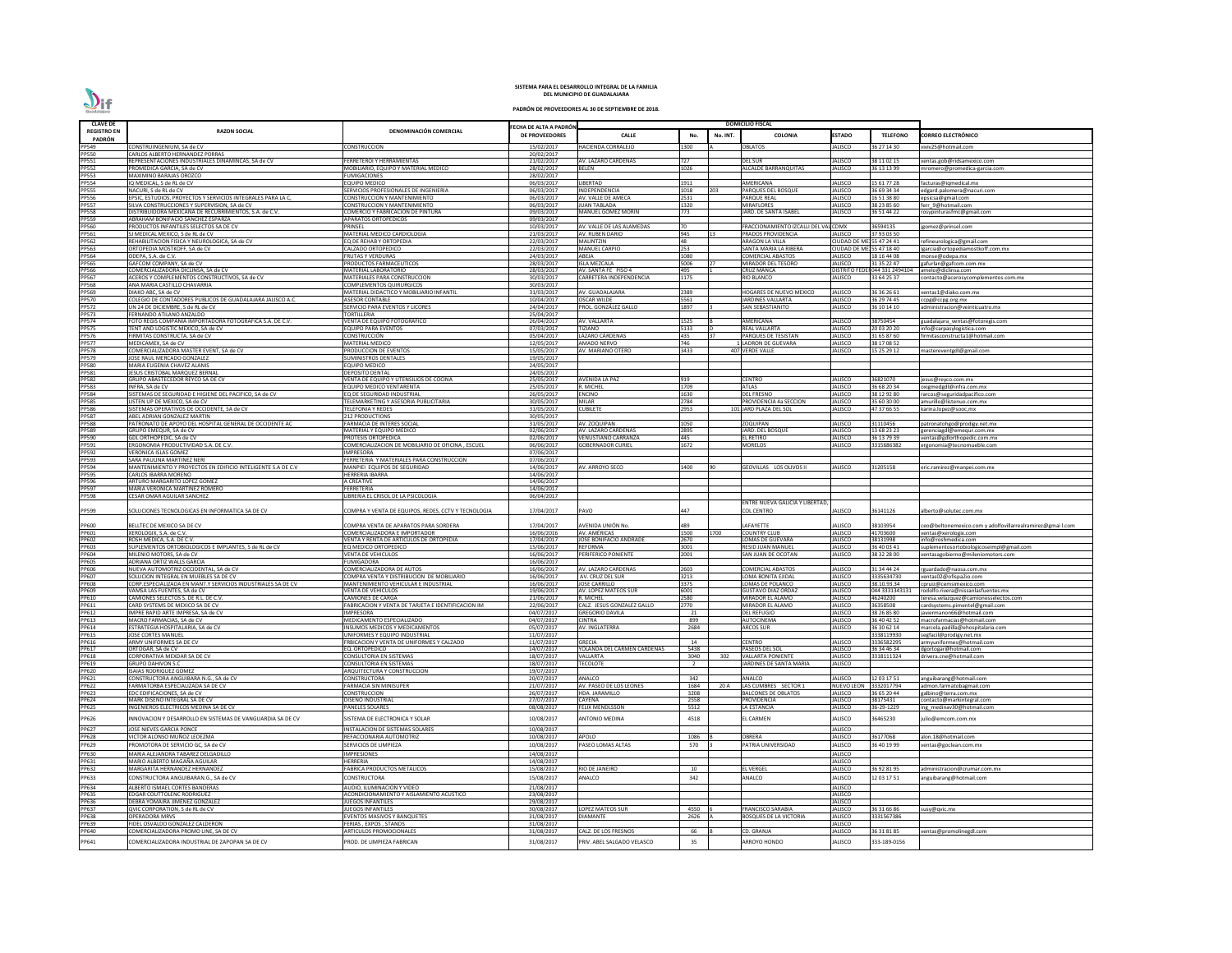| <b>CLAVE DE</b>              |                                                                                                        |                                                                                 |                                         |                                                      |              |          | <b>DOMICILIO FISCAL</b>                     |                                                 |                            |                                                               |
|------------------------------|--------------------------------------------------------------------------------------------------------|---------------------------------------------------------------------------------|-----------------------------------------|------------------------------------------------------|--------------|----------|---------------------------------------------|-------------------------------------------------|----------------------------|---------------------------------------------------------------|
| <b>REGISTRO EN</b>           | <b>RAZON SOCIAL</b>                                                                                    | DENOMINACIÓN COMERCIAL                                                          | ECHA DE ALTA A PADRÓN<br>DE PROVEEDORES | <b>CALLE</b>                                         | No.          | No. INT. | <b>COLONIA</b>                              | <b>ESTADO</b>                                   | <b>TELEFONO</b>            | CORREO ELECTRÓNICO                                            |
| PADRÓN<br>PP549              | CONSTRUINGENIUM. SA de CV                                                                              | CONSTRUCCION                                                                    | 15/02/2017                              | <b>HACIENDA CORRALEJO</b>                            | .300         |          | OBLATOS                                     | IALISCO                                         | 36 27 14 30                | iviv25@hotmail.com                                            |
| PP550                        | CARLOS ALBERTO HERNANDEZ PORRAS                                                                        |                                                                                 | 20/02/2017                              |                                                      |              |          |                                             |                                                 |                            |                                                               |
| PP551                        | REPRESENTACIONES INDUSTRIALES DINAMINCAS, SA de CV                                                     | FERRETEROI Y HERRAMIENTAS                                                       | 21/02/2017                              | AV. LAZARO CARDENAS                                  | 727          |          | <b>DEL SUR</b>                              | <b>JALISCO</b>                                  | 38 11 02 15                | ventas.gob@ridsamexico.com                                    |
| PP552                        | PROMEDICA GARCIA, SA de CV                                                                             | MOBILIARIO, EQUIPO Y MATERIAL MEDICO                                            | 28/02/2017                              | <b>BELEN</b>                                         | 1026         |          | ALCALDE BARRANQUITAS                        | JALISCO                                         | 36 13 13 99                | mromero@promedica-garcia.com                                  |
| PP553<br><b>PP554</b>        | MAXIMINO BARAJAS OROZCO<br>IQ MEDICAL, S de RL de CV                                                   | UMIGACIONES<br>QUIPO MEDICO                                                     | 28/02/2017<br>06/03/2017                | <b>LIBERTAD</b>                                      | 1911         |          | <b>AMERICANA</b>                            | JALISCO                                         | 15 61 77 28                | facturas@iqmedical.mx                                         |
| <b>PP555</b>                 | NACURI, S de RL de CV                                                                                  | SERVICIOS PROFESIONALES DE INGENIERIA                                           | 06/03/2017                              | INDEPENDENCIA                                        | 1018         | 203      | PARQUES DEL BOSQUE                          | JALISCO                                         | 36 69 34 34                | edgard.palomera@nacuri.com                                    |
| <b>PP556</b>                 | EPSIC, ESTUDIOS, PROYECTOS Y SERVICIOS INTEGRALES PARA LA C,                                           | CONSTRUCCION Y MANTENIMIENTO                                                    | 06/03/2017                              | AV. VALLE DE AMECA                                   | 2531         |          | <b>PARQUE REAL</b>                          | <b>JALISCO</b>                                  | 16 51 38 80                | epsicsa@gmail.com                                             |
| <b>PP557</b><br><b>PP558</b> | SILVA CONSTRUCCIONES Y SUPERVISION, SA de CV<br>DISTRIBUIDORA MEXICANA DE RECUBRIMIENTOS, S.A. de C.V. | CONSTRUCCION Y MANTENIMIENTO<br>COMERCIO Y FABRICACION DE PINTURA               | 06/03/2017<br>09/03/2017                | <b>JUAN TABLADA</b><br>MANUEL GOMEZ MORIN            | 1320<br>773  |          | <b>MIRAFLORES</b><br>JARD. DE SANTA ISABEL  | JALISCO<br>JALISCO                              | 38 23 85 60<br>36 51 44 22 | ferr_9@hotmail.com<br>rosypinturasfmc@gmail.com               |
| PP559                        | ABRAHAM BONIFACIO SANCHEZ ESPARZA                                                                      | <b>APARATOS ORTOPEDICOS</b>                                                     | 09/03/2017                              |                                                      |              |          |                                             |                                                 |                            |                                                               |
| PP560                        | PRODUCTOS INFANTILES SELECTOS SA DE CV                                                                 | <b>RINSEL</b>                                                                   | 10/03/2017                              | AV. VALLE DE LAS ALAMEDAS                            | 70           |          | FRACCIONAMIENTO IZCALLI DEL VAL CDMX        |                                                 | 36594135                   | gomez@prinsel.com                                             |
| PP561                        | SJ MEDICAL MEXICO, S de RL de CV                                                                       | MATERIAL MEDICO CARDIOLOGIA                                                     | 21/03/2017                              | AV. RUBEN DARIO                                      | 945<br>48    |          | PRADOS PROVIDENCIA                          | <b>IALISCO</b>                                  | 37 93 03 50                |                                                               |
| PP562<br>PP563               | REHABILITACION FISICA Y NEUROLOGICA, SA de CV<br>ORTOPEDIA MOSTKOFF, SA de CV                          | EQ DE REHAB Y ORTOPEDIA<br>CALZADO ORTOPEDICO                                   | 22/03/2017<br>22/03/2017                | <b>MALINTZIN</b><br><b>MANUEL CARPIO</b>             | 253          |          | ARAGON LA VILLA<br>SANTA MARIA LA RIBERA    | CIUDAD DE MEJ 55 47 24 41<br><b>CIUDAD DE M</b> | 55 47 18 40                | refineurologica@gmail.com<br>Igarcia@ortopediamostkoff.com.mx |
| PP564                        | ODEPA, S.A. de C.V.                                                                                    | FRUTAS Y VERDURAS                                                               | 24/03/2017                              | ABEJA                                                | 1080         |          | COMERCIAL ABASTOS                           | <b>JALISCO</b>                                  | 18 16 44 08                | monse@odepa.mx                                                |
| PP565                        | GAFCOM COMPANY, SA de CV                                                                               | RODUCTOS FARMACEUTICOS                                                          | 28/03/2017                              | <b>ISLA MEZCALA</b>                                  | 5006         |          | MIRADOR DEL TESORO                          | JALISCO                                         | 31 35 22 47                | gafurlan@gafcom.com.mx                                        |
| PP566<br><b>PP567</b>        | COMERCIALIZADORA DICLINSA, SA de CV                                                                    | MATERIAL LABORATORIO                                                            | 28/03/2017<br>30/03/2017                | AV. SANTA FE PISO 4                                  | 495<br>1175  |          | <b>CRUZ MANCA</b>                           | <b>DISTRITO FED</b><br>JALISCO                  | 044 331 249410             | amelo@diclinsa.com                                            |
| <b>PP568</b>                 | ACEROS Y COMPLEMENTOS CONSTRUCTIVOS, SA de CV<br>ANA MARIA CASTILLO CHAVARRIA                          | MATERIALES PARA CONSTRUCCION<br>COMPLEMENTOS QUIRURGICOS                        | 30/03/2017                              | CARRETERA INDEPENDENCIA                              |              |          | RIO BLANCO                                  |                                                 | 3 64 25 37                 | contacto@acerosycomplementos.com.mx                           |
| PP569                        | DIAKO ABC, SA de CV                                                                                    | MATERIAL DIDACTICO Y MOBILIARIO INFANTIL                                        | 31/03/2017                              | AV. GUADALAJARA                                      | 2389         |          | HOGARES DE NUEVO MEXICO                     | JALISCO                                         | 36 36 26 61                | ventas1@diako.com.mx                                          |
| PP570                        | COLEGIO DE CONTADORES PUBLICOS DE GUADALAJARA JALISCO A.C                                              | <b>ASESOR CONTABLE</b>                                                          | 10/04/2017                              | <b>OSCAR WILDE</b>                                   | 5561         |          | JARDINES VALLARTA                           | JALISCO                                         | 36 29 74 45                | cpg@ccpg.org.mx                                               |
| <b>PP572</b><br>PP573        | UN 24 DE DICIEMBRE, S de RL de CV<br>FERNANDO ATILANO ANZALDO                                          | SERVICIO PARA EVENTOS Y LICORES<br>TORTILLERIA                                  | 24/04/2017<br>25/04/2017                | PROL. GONZÁLEZ GALLO                                 | 1897         |          | <b>SAN SEBASTIANITO</b>                     | <b>JALISCO</b>                                  | 36 10 14 10                | administracion@veinticuatro.mx                                |
| PP574                        | FOTO REGIS COMPAÑIA IMPORTADORA FOTOGRAFICA S.A. DE C.V.                                               | VENTA DE EQUIPO FOTOGRAFICO                                                     | 26/04/2017                              | AV. VALLARTA                                         | 1525         |          | AMERICANA                                   | JALISCO                                         | 38750454                   | uadalajara ventas@fotoregis.com                               |
| <b>PP575</b>                 | TENT AND LOGISTIC MEXICO, SA de CV                                                                     | EQUIPO PARA EVENTOS                                                             | 07/03/2017                              | TIZIANO                                              | 5133         |          | REAL VALLARTA                               | JALISCO                                         | 20 03 20 20                | info@carpasylogistica.com                                     |
| PP576                        | FIRMITAS CONSTRUCTA, SA de CV                                                                          | CONSTRUCCIÓN                                                                    | 05/04/2017                              | LÁZARO CÁRDENAS                                      | 435          |          | PARQUES DE TESISTAN                         | JALISCO                                         | 31 65 87 60                | firmitasconstructa1@hotmail.com                               |
| <b>PP577</b><br><b>PP578</b> | MEDICAMEX. SA de CV<br>COMERCIALIZADORA MASTER EVENT, SA de CV                                         | <b>MATERIAL MEDICO</b><br><b>RODUCCION DE EVENTOS</b>                           | 12/05/2017<br>15/05/2017                | <b>AMADO NERVO</b><br>AV. MARIANO OTERO              | 746<br>3433  |          | <b>LADRON DE GUEVARA</b><br>407 VERDE VALLE | <b>JALISCO</b><br>JALISCO                       | 38 17 08 52<br>15 25 29 12 | mastereventgdl@gmail.com                                      |
| PP579                        | JOSE RAUL MERCADO GONZALEZ                                                                             | UMINISTROS DENTALES                                                             | 19/05/2017                              |                                                      |              |          |                                             |                                                 |                            |                                                               |
| <b>PP580</b>                 | MARIA EUGENIA CHAVEZ ALANIS                                                                            | EQUIPO MEDICO                                                                   | 24/05/2017                              |                                                      |              |          |                                             |                                                 |                            |                                                               |
| PP581                        | JESUS CRISTOBAL MARQUEZ BERNAI                                                                         | <b>DEPOSITO DENTAL</b>                                                          | 24/05/2017                              |                                                      |              |          |                                             |                                                 |                            |                                                               |
| PP582<br>PP583               | GRUPO ABASTECEDOR REYCO SA DE CV<br>INFRA, SA de CV                                                    | VENTA DE EQUIPO Y UTENSILIOS DE COCINA<br>EQUIPO MEDICO VENTARENTA              | 25/05/2017<br>25/05/2017                | <b>AVENIDA LA PAZ</b><br>R. MICHEL                   | 919<br>1709  |          | <b>CENTRO</b><br><b>ATLAS</b>               | JALISCO<br>JALISCO                              | 36821070<br>36 68 20 34    | jesus@reyco.com.mx<br>oxigmedgdl@infra.com.mx                 |
| <b>PP584</b>                 | SISTEMAS DE SEGURIDAD E HIGIENE DEL PACIFICO, SA de CV                                                 | Q DE SEGURIDAD INDUSTRIAL:                                                      | 26/05/2017                              | <b>ENCINO</b>                                        | 1630         |          | <b>DEL FRESNO</b>                           | JALISCO                                         | 38 12 92 80                | rarcos@seguridadpacifico.com                                  |
| <b>PP585</b>                 | LISTEN UP DE MEXICO, SA de CV                                                                          | ELEMARKETING Y ASESORIA PUBLICITARIA                                            | 30/05/2017                              | <b>MILAR</b>                                         | 2784         |          | PROVIDENCIA 4a SECCION                      | JALISCO                                         | 35 60 30 00                | amurillo@listenuo.com.mx                                      |
| <b>PP586</b>                 | SISTEMAS OPERATIVOS DE OCCIDENTE, SA de CV                                                             | <b>ELEFONIA Y REDES</b>                                                         | 31/05/2017                              | <b>CUBILETE</b>                                      | 2953         |          | 101 JARD PLAZA DEL SOL                      | JALISCO                                         | 47 37 66 55                | karina.lopez@sooc,mx                                          |
| <b>PP587</b>                 | ABEL ADRIAN GONZALEZ MARTIN                                                                            | <b>212 PRODUCTIONS</b><br>ARMACIA DE INTERES SOCIAL                             | 30/05/2017<br>31/05/2017                | AV. ZOQUIPAN                                         | 1050         |          | <b>ZOQUIPAN</b>                             | <b>JALISCO</b>                                  |                            |                                                               |
| PP588<br>PP589               | PATRONATO DE APOYO DEL HOSPITAL GENERAL DE OCCIDENTE AC<br>GRUPO EMEQUR, SA de CV                      | MATERIAL Y EQUIPO MEDICO                                                        | 02/06/2017                              | AV. LAZARO CARDENAS                                  | 2895         |          | JARD. DEL BOSQUI                            | <b>JALISCO</b>                                  | 31110456<br>13 68 23 23    | oatronatohgo@prodigy.net.mx<br>gerenciagdl@emequr.com.mx      |
| <b>PP590</b>                 | GDL ORTHOPEDIC, SA de CV                                                                               | <b>PROTESIS ORTOPEDICA</b>                                                      | 02/06/2017                              | <b>VENUSTIANO CARRANZA</b>                           | 445          |          | EL RETIRO                                   | JALISCO                                         | 36 13 79 39                | ventas@gdlorthopedic.com.mx                                   |
| PP591                        | ERGONOMIA PRODUCTIVIDAD S.A. DE C.V.                                                                   | OMERCIALIZACION DE MOBILIARIO DE OFICINA, ESCUEL                                | 06/06/2017                              | <b>GOBERNADOR CURIEL</b>                             | 1672         |          | <b>MORELOS</b>                              | JALISCO                                         | 315686382                  | ergonomia@tecnomueble.com                                     |
| PP592                        | VERONICA ISLAS GOMEZ                                                                                   | <b>MPRESORA</b>                                                                 | 07/06/2017                              |                                                      |              |          |                                             |                                                 |                            |                                                               |
| PP593<br>PP594               | SARA PAULINA MARTINEZ NERI<br>MANTENIMIENTO Y PROYECTOS EN EDIFICIO INTELIGENTE S.A DE C.V             | FERRETERIA Y MATERIALES PARA CONSTRUCCION<br>MANPIEI EQUIPOS DE SEGURIDAD       | 07/06/2017<br>14/06/2017                | AV. ARROYO SECO                                      | 1400         |          | GEOVILLAS LOS OLIVOS II                     | IALISCO                                         | 1205158                    | eric.ramirez@manpei.com.mx                                    |
| PP595                        | CARLOS IBARRA MORENO                                                                                   | HERRERIA IBARRA                                                                 | 14/06/2017                              |                                                      |              |          |                                             |                                                 |                            |                                                               |
| PP596                        | ARTURO MARGARITO LOPEZ GOMEZ                                                                           | A CREATIVE                                                                      | 14/06/2017                              |                                                      |              |          |                                             |                                                 |                            |                                                               |
| PP597                        | MARIA VERONICA MARTINEZ ROMERO                                                                         | <b>ERRETERIA</b>                                                                | 14/06/2017                              |                                                      |              |          |                                             |                                                 |                            |                                                               |
| <b>PP598</b>                 | <b>CESAR OMAR AGUILAR SANCHEZ</b>                                                                      | <b>IBRERIA EL CRISOL DE LA PSICOLOGIA</b>                                       | 06/04/2017                              |                                                      |              |          | ENTRE NUEVA GALICIA Y LIBERTAD,             |                                                 |                            |                                                               |
| PP599                        | SOLUCIONES TECNOLOGICAS EN INFORMATICA SA DE CV                                                        | COMPRA Y VENTA DE EQUIPOS. REDES. CCTV Y TECNOLOGIA                             | 17/04/2017                              | PAVO                                                 | 447          |          | COL CENTRO                                  | JALISCO                                         | 36141126                   | alberto@solutec.com.mx                                        |
|                              |                                                                                                        |                                                                                 |                                         |                                                      |              |          |                                             |                                                 |                            |                                                               |
| PP600                        | BELLTEC DE MEXICO SA DE CV                                                                             | COMPRA VENTA DE APARATOS PARA SORDERA                                           | 17/04/2017                              | AVENIDA UNIÓN No.                                    | 489          |          | LAFAYETTE                                   | <b>JALISCO</b>                                  | 38103954                   | ceo@beltonemexico.com y adolfovillarrealramirez@gmai l.com    |
| PP601<br>PP602               | XEROLOGIX, S.A. de C.V.<br>ROSH MEDICA, S.A. DE C.V.                                                   | COMERCIALIZADORA E IMPORTADOR<br><b>/ENTA Y RENTA DE ARTICULOS DE ORTOPEDIA</b> | 16/06/2016<br>17/04/2017                | AV. AMÉRICAS<br>JOSÉ BONIFACIO ANDRADE               | 1500<br>2670 | 1700     | <b>COUNTRY CLUB</b><br>LOMAS DE GUEVARA     | <b>JALISCO</b><br><b>JALISCO</b>                | 41703600<br>38131998       | ventas@xerologix.com<br>info@roshmedica.com                   |
| <b>PP603</b>                 | SUPLEMENTOS ORTOBIOLOGICOS E IMPLANTES. S de RL de CV                                                  | Q MEDICO ORTOPEDICO                                                             | 15/06/2017                              | <b>REFORMA</b>                                       | 3001         |          | RESID JUAN MANUEL                           | <b>JALISCO</b>                                  | 36 40 03 41                | uplementosortobiologicoseimpl@gmail.com                       |
| PP604                        | MILENIO MOTORS. SA de CV                                                                               | <b>VENTA DE VEHICULOS</b>                                                       | 16/06/2017                              | PERIFERICO PONIENTE                                  | 2001         |          | SAN JUAN DE OCOTAN                          | <b>JALISCO</b>                                  | 38 32 28 00                | ventasagobierno@mileniomotors.com                             |
| <b>PP605</b>                 | ADRIANA ORTIZ WALLS GARCIA                                                                             | <b>UMIGADORA</b>                                                                | 16/06/2017                              |                                                      |              |          |                                             |                                                 |                            |                                                               |
| PP606<br>PP607               | NUEVA AUTOMOTRIZ OCCIDENTAL, SA de CV<br>SOLUCION INTEGRAL EN MUEBLES SA DE CV                         | COMERCIALIZADORA DE AUTOS<br>COMPRA VENTA Y DISTRIBUCION DE MOBILIARIO          | 16/06/2017<br>16/06/2017                | AV. LAZARO CARDENAS<br>AV. CRUZ DEL SUR              | 2603<br>3213 |          | COMERCIAL ABASTOS<br>LOMA BONITA EJIDAL     | <b>JALISCO</b><br><b>JALISCO</b>                | 31 34 44 24<br>3335634730  | rguardado@naosa.com.m><br>ventas02@ofispa2io.com              |
| PP608                        | CORP.ESPECIALIZADA EN MANT.Y SERVICIOS INDUSTRIALES SA DE CV                                           | MANTENIMIENTO VEHICULAR E INDUSTRIAL                                            | 16/06/2017                              | <b>JOSE CARRILLO</b>                                 | 3375         |          | LOMAS DE POLANCO                            | <b>JALISCO</b>                                  | 38.10.93.34                | cpruiz@cemsimexico.com                                        |
| PP609                        | VAMSA LAS FUENTES, SA de CV                                                                            | <b>/ENTA DE VEHICULOS</b>                                                       | 19/06/2017                              | AV. LOPEZ MATEOS SUR                                 | 6001         |          | <b>GUSTAVO DIAZ ORDAZ</b>                   | <b>JALISCO</b>                                  | 044 333134313              | rodolfo.rivera@nissanlasfuentes.mx                            |
| PP610                        | CAMIONES SELECTOS S. DE R.L. DE C.V.                                                                   | CAMIONES DE CARGA                                                               | 21/06/2017                              | R. MICHEL                                            | 2580         |          | MIRADOR EL ALAMO                            | <b>JALISCO</b>                                  | 46240200                   | eresa.velazquez@camionesselectos.com                          |
| PP611<br>PP612               | CARD SYSTEMS DE MEXICO SA DE CV<br>IMPRE RAPID ARTE IMPRESA, SA de CV                                  | ABRICACION Y VENTA DE TARJETA E IDENTIFICACION IM<br><b>IMPRESORA</b>           | 22/06/2017<br>04/07/2017                | CALZ. JESUS GONZALEZ GALLO<br><b>GREGORIO DAVILA</b> | 2770<br>21   |          | MIRADOR EL ALAMO<br><b>DEL REFUGIO</b>      | <b>JALISCO</b><br><b>JALISCO</b>                | 36358508<br>38 26 85 80    | cardsystems.pimentel@gmail.com<br>javiermanon66@hotmail.com   |
| PP613                        | MACRO FARMACIAS, SA de CV                                                                              | MEDICAMENTO ESPECIALIZADO                                                       | 04/07/2017                              | <b>CINTRA</b>                                        | 899          |          | <b>AUTOCINEMA</b>                           | <b>JALISCO</b>                                  | 36 40 42 52                | macrofarmacias@hotmail.com                                    |
| PP614                        | ESTRATEGIA HOSPITALARIA, SA de CV                                                                      | <b>INSUMOS MEDICOS Y MEDICAMENTOS</b>                                           | 05/07/2017                              | AV. INGLATERRA                                       | 2684         |          | <b>ARCOS SUR</b>                            | JALISCO                                         | 36 30 62 14                | marcela.padilla@ehospitalaria.com                             |
| PP615                        | JOSE CORTES MANUEL                                                                                     | INIFORMES Y EQUIPO INDUSTRIAL                                                   | 11/07/2017                              |                                                      |              |          |                                             |                                                 | 338119930                  | segfacil@prodigy.net.mx                                       |
| PP616<br>PP617               | ARMY UNIFORMES SA DE CV<br>ORTOGAR, SA de CV                                                           | RBICACION Y VENTA DE UNIFORMES Y CALZADO<br>Q. ORTOPEDICO                       | 11/07/2017<br>14/07/2017                | <b>GRECIA</b><br>YOLANDA DEL CARMEN CARDENAS         | 14<br>5438   |          | <b>CENTRO</b><br>PASEOS DEL SOL             | <b>JALISCO</b><br>JALISCO                       | 3336582295<br>36 34 46 34  | armvuniformes@hotmail.com<br>lgortogar@hotmail.com            |
| PP618                        | CORPORATIVA MEXDAR SA DE CV                                                                            | CONSULTORIA EN SISTEMAS                                                         | 18/07/2017                              | VALLARTA                                             | 3040         | 302      | <b>VALLARTA PONIENTE</b>                    | <b>JALISCO</b>                                  | 3318111324                 | drivera.cne@hotmail.com                                       |
| PP619                        | <b>GRUPO DAHIVON S.C</b>                                                                               | CONSULTORIA EN SISTEMAS                                                         | 18/07/2017                              | <b>TECOLOTE</b>                                      | 2            |          | JARDINES DE SANTA MARIA                     | <b>JALISCO</b>                                  |                            |                                                               |
| PP620                        | <b>ISAIAS RODRIGUEZ GOMEZ</b>                                                                          | ARQUITECTURA Y CONSTRUCCION                                                     | 19/07/2017                              |                                                      |              |          |                                             |                                                 |                            |                                                               |
| PP621                        | CONSTRUCTORA ANGUIBARA N.G., SA de CV<br>FARMATORBA ESPECIALIZADA SA DE CV                             | CONSTRUCTORA<br>ARMACIA SIN MINISUPER                                           | 20/07/2017<br>21/07/2017                | <b>ANALCO</b><br>AV. PASEO DE LOS LEONES             | 342<br>1684  | 20 A     | <b>ANALCO</b><br>LAS CUMBRES SECTOR 1       | <b>JALISCO</b>                                  | 12 03 17 51<br>3332017794  | anguibarang@hotmail.com                                       |
| PP622<br>PP623               | EDC EDIFICACIONES, SA de CV                                                                            | CONSTRUCCION                                                                    | 26/07/2017                              | HDA. JARAMILLO                                       | 3208         |          | <b>BALCONES DE OBLATOS</b>                  | NUEVO LEON<br><b>JALISCO</b>                    | 36 65 20 44                | admon.farmatobagmail.com<br>galbino@terra.com.mx              |
| PP624                        | MARK DISEÑO INTEGRAL SA DE CV                                                                          | DISEÑO INDUSTRIAL                                                               | 27/07/2017                              | <b>CAYENA</b>                                        | 2558         |          | PROVIDENCIA                                 | <b>JALISCO</b>                                  | 38175431                   | contacto@markintegral.com                                     |
| PP625                        | INGENIEROS ELECTRICOS MEDINA SA DE CV                                                                  | PANELES SOLARES                                                                 | 08/08/2017                              | <b>FELIX MENDLSSON</b>                               | 5512         |          | LA ESTANCIA                                 | JALISCO                                         | 16-29-1229                 | ing medinav30@hotmail.com                                     |
| PP626                        | INNOVACION Y DESARROLLO EN SISTEMAS DE VANGUARDIA SA DE CV                                             | <b>ISTEMA DE ELECTRONICA Y SOLAR</b>                                            | 10/08/2017                              | <b>ANTONIO MEDINA</b>                                | 4518         |          | EL CARMEN                                   | <b>ALISCO</b>                                   | 6465230                    | ulio@emcom.com.mx                                             |
| PP627                        | JOSE NIEVES GARCIA PONCE                                                                               | <b>INSTALACION DE SISTEMAS SOLARES</b>                                          | 10/08/2017                              |                                                      |              |          |                                             | <b>JALISCO</b>                                  |                            |                                                               |
| PP628                        | VICTOR ALONSO MUÑOZ LEDEZMA                                                                            | REFACCIONARIA AUTOMOTRIZ                                                        | 10/08/2017                              | <b>APOLO</b>                                         | 1086         |          | <b>OBRERA</b>                               | <b>JALISCO</b>                                  | 36177068                   | alon.18@hotmail.com                                           |
| PP629                        | PROMOTORA DE SERVICIO GC, SA de CV                                                                     | SERVICIOS DE LIMPIEZA                                                           | 10/08/2017                              | PASEO LOMAS ALTAS                                    | 570          |          | PATRIA UNIVERSIDAD                          | <b>JALISCO</b>                                  | 36 40 19 99                | ventas@goclean.com.mx                                         |
| PP630                        | MARIA ALEJANDRA TABAREZ DELGADILLO                                                                     | <b>MPRESIONES</b>                                                               | 14/08/2017                              |                                                      |              |          |                                             | JALISCO                                         |                            |                                                               |
| PP631                        | MARIO ALBERTO MAGAÑA AGUILAR                                                                           | <b>IERRERIA</b>                                                                 | 14/08/2017                              |                                                      |              |          |                                             | <b>JALISCO</b>                                  |                            |                                                               |
| PP632                        | MARGARITA HERNANDEZ HERNANDEZ                                                                          | ABRICA PRODUCTOS METALICOS                                                      | 15/08/2017                              | RIO DE JANEIRO                                       | 10           |          | <b>EL VERGEL</b>                            | <b>JALISCO</b>                                  | 36 92 81 95                | administracion@crumar.com.mx                                  |
| PP633                        | CONSTRUCTORA ANGUIBARAN.G., SA de CV                                                                   | CONSTRUCTORA                                                                    | 15/08/2017                              | <b>ANALCO</b>                                        | 342          |          | <b>ANALCO</b>                               | <b>JALISCO</b>                                  | 12 03 17 51                | anguibarang@hotmail.com                                       |
| PP634                        | ALBERTO ISMAEL CORTES BANDERAS                                                                         | AUDIO. ILUMINACION Y VIDEO                                                      | 21/08/2017                              |                                                      |              |          |                                             | <b>JALISCO</b>                                  |                            |                                                               |
| <b>PP635</b><br>PP636        | EDGAR COUTTOLENC RODRIGUEZ<br>DEBRA YOMAIRA JIMENEZ GONZALEZ                                           | ACONDICIONAMIENTO Y AISLAMIENTO ACUSTICO<br><b>JUEGOS INFANTILES</b>            | 23/08/2017<br>29/08/2017                |                                                      |              |          |                                             | <b>JALISCO</b><br><b>JALISCO</b>                |                            |                                                               |
| PP637                        | QVIC CORPORATION. S de RL de CV                                                                        | IUEGOS INFANTILES                                                               | 30/08/2017                              | <b>LOPEZ MATEOS SUR</b>                              | 4550         |          | <b>FRANCISCO SARABIA</b>                    | JALISCO                                         | 36 31 66 86                | susy@qvic.mx                                                  |
| PP638                        | OPERADORA MRVS                                                                                         | VENTOS MASIVOS Y BANQUETES                                                      | 31/08/2017                              | <b>DIAMANTE</b>                                      | 2626         |          | BOSQUES DE LA VICTORIA                      | <b>JALISCO</b>                                  | 3331567386                 |                                                               |
| PP639                        | FIDEL OSVALDO GONZALEZ CALDERON                                                                        | ERIAS, EXPOS, STANDS                                                            | 31/08/2017                              |                                                      |              |          |                                             | JALISCO                                         |                            |                                                               |
| PP640                        | COMERCIALIZADORA PROMO LINE. SA DE CV                                                                  | ARTICULOS PROMOCIONALES                                                         | 31/08/2017                              | CALZ. DE LOS FRESNOS                                 | 66           |          | CD. GRANJA                                  | JALISCO                                         | 36 31 81 85                | ventas@promolinegdl.com                                       |
| PP641                        | COMERCIALIZADORA INDUSTRIAL DE ZAPOPAN SA DE CV                                                        | ROD. DE LIMPIEZA FABRICAN                                                       | 31/08/2017                              | PRIV. ABEL SALGADO VELASCO                           | 35           |          | <b>ARROYO HONDO</b>                         | <b>IALISCO</b>                                  | 333-189-0156               |                                                               |

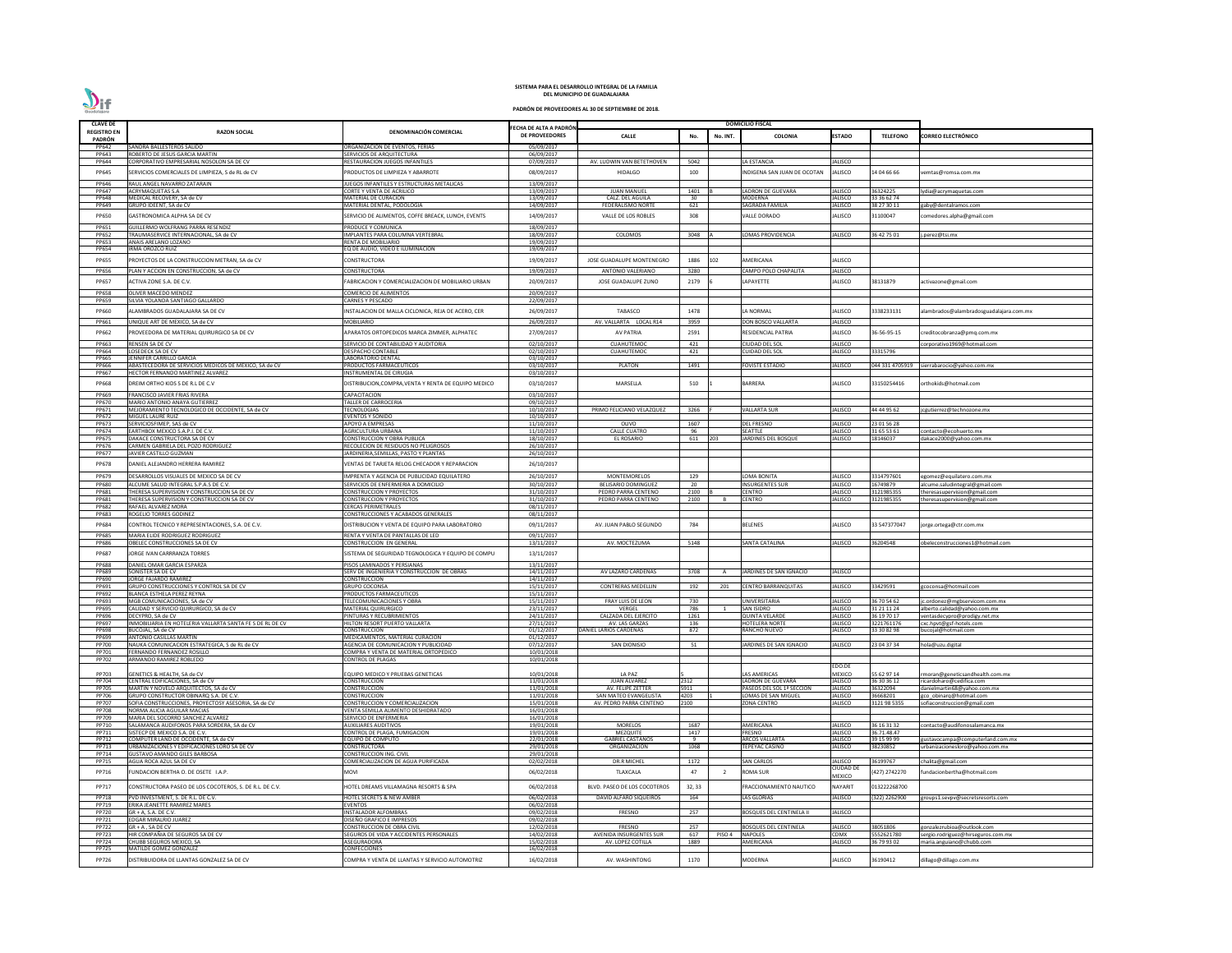| <b>CLAVE DE</b>       |                                                                                  |                                                                               |                                                 |                                          |              |                | <b>DOMICILIO FISCAL</b>                        |                                  |                            |                                                         |
|-----------------------|----------------------------------------------------------------------------------|-------------------------------------------------------------------------------|-------------------------------------------------|------------------------------------------|--------------|----------------|------------------------------------------------|----------------------------------|----------------------------|---------------------------------------------------------|
| <b>REGISTRO EN</b>    | <b>RAZON SOCIAL</b>                                                              | DENOMINACIÓN COMERCIAL                                                        | FECHA DE ALTA A PADRÓN<br><b>DE PROVEEDORES</b> |                                          |              |                | <b>COLONIA</b>                                 | <b>ESTADO</b>                    | <b>TELEFONO</b>            |                                                         |
| PADRÓN                |                                                                                  |                                                                               |                                                 | <b>CALLE</b>                             | No.          | No. INT.       |                                                |                                  |                            | CORREO ELECTRÓNICO                                      |
| PP642                 | SANDRA BALLESTEROS SALIDO                                                        | ORGANIZACION DE EVENTOS, FERIAS                                               | 05/09/2017                                      |                                          |              |                |                                                |                                  |                            |                                                         |
| PP643                 | ROBERTO DE JESUS GARCIA MARTIN                                                   | SERVICIOS DE ARQUITECTURA                                                     | 06/09/2017                                      |                                          |              |                |                                                |                                  |                            |                                                         |
| PP644                 | CORPORATIVO EMPRESARIAL NOSOLON SA DE CV                                         | RESTAURACION JUEGOS INFANTILES                                                | 07/09/2017                                      | AV. LUDWIN VAN BETETHOVEN                | 5042         |                | LA ESTANCIA                                    | JALISCO                          |                            |                                                         |
| PP645                 | SERVICIOS COMERCIALES DE LIMPIEZA, S de RL de CV                                 | PRODUCTOS DE LIMPIEZA Y ABARROTE                                              | 08/09/2017                                      | <b>HIDALGO</b>                           | 100          |                | INDIGENA SAN JUAN DE OCOTAN                    | <b>IALISCO</b>                   | 14 04 66 66                | /emtas@romsa.com.mx                                     |
| PP646                 | RAUL ANGEL NAVARRO ZATARAIN                                                      | JUEGOS INFANTILES Y ESTRUCTURAS METALICAS                                     | 13/09/2017                                      |                                          |              |                |                                                |                                  |                            |                                                         |
| PP647                 | <b>ACRYMAQUETAS S.A</b>                                                          | <b>CORTE Y VENTA DE ACRILICO</b>                                              | 13/09/2017                                      | <b>JUAN MANUEL</b>                       | 1401         |                | LADRON DE GUEVARA                              | <b>IALISCO</b>                   | 36324225                   | ydia@acrymaquetas.com                                   |
| PP648                 | MEDICAL RECOVERY, SA de CV                                                       | MATERIAL DE CURACION                                                          | 13/09/2017                                      | CALZ. DEL AGUILA                         | 30           |                | MODERNA                                        | IALISCO                          | 33 36 62 74                |                                                         |
| PP649                 | GRUPO IDEENT, SA de CV                                                           | MATERIAL DENTAL, PODOLOGIA                                                    | 14/09/2017                                      | FEDERALISMO NORTE                        | 621          |                | SAGRADA FAMILIA                                | <b>IALISCO</b>                   | 38 27 30 11                | gaby@dentalramos.com                                    |
| PP650                 | GASTRONOMICA ALPHA SA DE CV                                                      | SERVICIO DE ALIMENTOS, COFFE BREACK, LUNCH, EVENTS                            | 14/09/2017                                      | VALLE DE LOS ROBLES                      | 308          |                | <b>ALLE DORADO</b>                             | IALISCO                          | 31100047                   | omedores.alpha@gmail.com                                |
| PP651                 | GUILLERMO WOLFRANG PARRA RESENDIZ                                                | PRODUCE Y COMUNICA                                                            | 18/09/2017                                      |                                          |              |                |                                                |                                  |                            |                                                         |
| <b>PP652</b>          | <b>TRAUMASERVICE INTERNACIONAL, SA de CV</b>                                     | IMPLANTES PARA COLUMNA VERTEBRAL                                              | 18/09/2017                                      | COLOMOS                                  | 3048         |                | LOMAS PROVIDENCIA                              | JALISCO                          | 36 42 75 01                | .perez@tsi.mx                                           |
| PP653                 | ANAIS ARELANO LOZANO                                                             | RENTA DE MOBILIARIO                                                           | 19/09/2017                                      |                                          |              |                |                                                |                                  |                            |                                                         |
| PP654                 | IRMA OROZCO RUIZ                                                                 | EQ DE AUDIO, VIDEO E ILUMINACION                                              | 19/09/2017                                      |                                          |              |                |                                                |                                  |                            |                                                         |
| <b>PP655</b>          | PROYECTOS DE LA CONSTRUCCION METRAN, SA de CV                                    | CONSTRUCTORA                                                                  | 19/09/2017                                      | JOSE GUADALUPE MONTENEGRO                | 1886         | 102            | AMERICANA                                      | IALISCO                          |                            |                                                         |
| PP656                 | PLAN Y ACCION EN CONSTRUCCION, SA de CV                                          | CONSTRUCTORA                                                                  | 19/09/2017                                      | ANTONIO VALERIANO                        | 3280         |                | CAMPO POLO CHAPALITA                           | JALISCO                          |                            |                                                         |
| PP657                 |                                                                                  | FABRICACION Y COMERCIALIZACION DE MOBILIARIO URBAN                            |                                                 |                                          |              |                |                                                |                                  |                            |                                                         |
|                       | ACTIVA ZONE S.A. DE C.V.                                                         |                                                                               | 20/09/2017                                      | JOSE GUADALUPE ZUNO                      | 2179         |                | LAPAYETTE                                      | IALISCO                          | 38131879                   | activazone@gmail.com                                    |
| PP658                 | OLIVER MACEDO MENDEZ                                                             | <b>COMERCIO DE ALIMENTOS</b>                                                  | 20/09/2017                                      |                                          |              |                |                                                |                                  |                            |                                                         |
| PP659                 | SILVIA YOLANDA SANTIAGO GALLARDO                                                 | CARNES Y PESCADO                                                              | 22/09/2017                                      |                                          |              |                |                                                |                                  |                            |                                                         |
| PP660                 | ALAMBRADOS GUADALAJARA SA DE CV                                                  | INSTALACION DE MALLA CICLONICA, REJA DE ACERO, CER                            | 26/09/2017                                      | TABASCO                                  | 1478         |                | A NORMAL                                       | IALISCO                          | 3338233131                 | alambrados@alambradosguadalajara.com.mx                 |
| PP661                 | JNIQUE ART DE MEXICO, SA de CV                                                   | MOBILIARIO                                                                    | 26/09/2017                                      | AV. VALLARTA LOCAL R14                   | 3959         |                | <b>DON BOSCO VALLARTA</b>                      | JALISCO                          |                            |                                                         |
| PP662                 | PROVEEDORA DE MATERIAL QUIRURGICO SA DE CV                                       | APARATOS ORTOPEDICOS MARCA ZIMMER, ALPHATEC                                   | 27/09/2017                                      | <b>AV PATRIA</b>                         | 2591         |                | RESIDENCIAL PATRIA                             | JALISCO                          | 36-56-95-15                |                                                         |
|                       |                                                                                  |                                                                               |                                                 |                                          |              |                |                                                |                                  |                            | :reditocobranza@pmq.com.mx                              |
| PP663                 | RENSEN SA DE CV                                                                  | SERVICIO DE CONTABILIDAD Y AUDITORIA                                          | 02/10/2017                                      | <b>CUAHUTEMOC</b>                        | 421          |                | CIUDAD DEL SOL                                 | <b>JALISCO</b>                   |                            | corporativo1969@hotmail.com                             |
| PP664<br>PP665        | LOSEDECK SA DE CV<br>ENNIFER CARRILLO GARCIA                                     | <b>DESPACHO CONTABLE</b><br>LABORATORIO DENTAL                                | 02/10/2017<br>03/10/2017                        | <b>CUAHUTEMOC</b>                        | 421          |                | CUIDAD DEL SOL                                 | <b>JALISCO</b>                   | 33315796                   |                                                         |
| PP666                 | ABASTECEDORA DE SERVICIOS MEDICOS DE MEXICO, SA de CV                            | PRODUCTOS FARMACEUTICOS                                                       | 03/10/2017                                      | <b>PLATON</b>                            | 1491         |                | FOVISTE ESTADIO                                | IALISCO                          |                            | 044 331 4705919 sierrabarocio@yahoo.com.mx              |
| PP667                 | HECTOR FERNANDO MARTINEZ ALVAREZ                                                 | INSTRUMENTAL DE CIRUGIA                                                       | 03/10/2017                                      |                                          |              |                |                                                |                                  |                            |                                                         |
| PP668                 | DREIM ORTHO KIDS S DE R.L DE C.V                                                 | DISTRIBUCION, COMPRA, VENTA Y RENTA DE EQUIPO MEDICO                          | 03/10/2017                                      | MARSELLA                                 | 510          |                | BARRERA                                        | IALISCO                          | 33150254416                | orthokids@hotmail.com                                   |
|                       |                                                                                  |                                                                               |                                                 |                                          |              |                |                                                |                                  |                            |                                                         |
| PP669                 | FRANCISCO JAVIER FRIAS RIVERA                                                    | CAPACITACION<br>TALLER DE CARROCERIA                                          | 03/10/2017                                      |                                          |              |                |                                                |                                  |                            |                                                         |
| PP670<br>PP671        | MARIO ANTONIO ANAYA GUTIERREZ<br>MEJORAMIENTO TECNOLOGICO DE OCCIDENTE, SA de CV | <b>TECNOLOGIAS</b>                                                            | 09/10/2017<br>10/10/2017                        | PRIMO FELICIANO VELAZQUEZ                | 3266         |                | <b>VALLARTA SUR</b>                            | JALISCO                          | 44 44 95 62                | cgutierrez@technozone.mx                                |
| PP672                 | MIGUEL LAURE RUIZ                                                                | <b>EVENTOS Y SONIDO</b>                                                       | 10/10/2017                                      |                                          |              |                |                                                |                                  |                            |                                                         |
| PP673                 | SERVICIOSFIMEP, SAS de CV                                                        | APOYO A EMPRESAS                                                              | 11/10/2017                                      | OLIVO                                    | 1607         |                | <b>DEL FRESNO</b>                              | <b>JALISCO</b>                   | 23 01 56 28                |                                                         |
| PP674                 | EARTHBOX MEXICO S.A.P.I. DE C.V.                                                 | AGRICULTURA URBANA                                                            | 11/10/2017                                      | <b>CALLE CUATRO</b>                      | 96           |                | SEATTLE                                        | JALISCO                          | 31 65 53 61                | contacto@ecohuerto.mx                                   |
| <b>PP675</b>          | DAKACE CONSTRUCTORA SA DE CV                                                     | CONSTRUCCION Y OBRA PUBLICA                                                   | 18/10/2017                                      | EL ROSARIO                               | 611          | 203            | <b>JARDINES DEL BOSQUE</b>                     | <b>IALISCO</b>                   | 18146037                   | dakace2000@yahoo.com.mx                                 |
| PP676<br>PP677        | CARMEN GABRIELA DEL POZO RODRIGUEZ<br><b>IAVIER CASTILLO GUZMAN</b>              | RECOLECION DE RESIDUOS NO PELIGROSOS<br>JARDINERIA, SEMILLAS, PASTO Y PLANTAS | 26/10/2017<br>26/10/2017                        |                                          |              |                |                                                |                                  |                            |                                                         |
|                       |                                                                                  |                                                                               |                                                 |                                          |              |                |                                                |                                  |                            |                                                         |
| <b>PP678</b>          | DANIEL ALEJANDRO HERRERA RAMIREZ                                                 | VENTAS DE TARJETA RELOG CHECADOR Y REPARACION                                 | 26/10/2017                                      |                                          |              |                |                                                |                                  |                            |                                                         |
| PP679                 | DESARROLLOS VISUALES DE MEXICO SA DE CV                                          | IMPRENTA Y AGENCIA DE PUBLICIDAD EQUILATERO                                   | 26/10/2017                                      | MONTEMORELOS                             | 129          |                | OMA BONITA                                     | <b>IALISCO</b>                   | 3314797601                 | egomez@equilatero.com.mx                                |
| PP680                 | ALCUME SALUD INTEGRAL S.P.A.S DE C.V.                                            | SERVICIOS DE ENFERMERIA A DOMICILIO                                           | 30/10/2017                                      | <b>BELISARIO DOMINGUEZ</b>               | 20           |                | <b>INSURGENTES SUR</b>                         | JALISCO                          | 16749879                   | alcume.saludintegral@gmail.com                          |
| PP681                 | THERESA SUPERVISION Y CONSTRUCCION SA DE CV                                      | <b>CONSTRUCCION Y PROYECTOS</b>                                               | 31/10/2017                                      | PEDRO PARRA CENTENO                      | 2100         |                | <b>CENTRO</b>                                  | <b>IALISCO</b>                   | 3121985355                 | theresasupervision@gmail.com                            |
| PP681                 | THERESA SUPERVISION Y CONSTRUCCION SA DE CV                                      | <b>CONSTRUCCION Y PROYECTOS</b>                                               | 31/10/2017                                      | PEDRO PARRA CENTENO                      | 2100         |                | <b>CENTRO</b>                                  | JALISCO                          | 3121985355                 | theresasupervision@gmail.com                            |
| <b>PP682</b><br>PP683 | RAFAEL ALVAREZ MORA<br>ROGELIO TORRES GODINEZ                                    | CERCAS PERIMETRALES<br>CONSTRUCCIONES Y ACABADOS GENERALES                    | 08/11/2017<br>08/11/2017                        |                                          |              |                |                                                |                                  |                            |                                                         |
|                       |                                                                                  |                                                                               |                                                 |                                          |              |                |                                                |                                  |                            |                                                         |
| PP684                 | CONTROL TECNICO Y REPRESENTACIONES, S.A. DE C.V.                                 | DISTRIBUCION Y VENTA DE EQUIPO PARA LABORATORIO                               | 09/11/2017                                      | AV. JUAN PABLO SEGUNDO                   | 784          |                | BELENES                                        | <b>IALISCO</b>                   | 33 547377047               | orge.ortega@ctr.com.mx                                  |
| <b>PP685</b>          | MARIA ELIDE RODRIGUEZ RODRIGUEZ                                                  | RENTA Y VENTA DE PANTALLAS DE LED                                             | 09/11/2017                                      |                                          |              |                |                                                |                                  |                            |                                                         |
| PP686                 | OBELEC CONSTRUCCIONES SA DE CV                                                   | <b>CONSTRUCCION EN GENERAL</b>                                                | 13/11/2017                                      | AV. MOCTEZUMA                            | 5148         |                | SANTA CATALINA                                 | JALISCO                          | 36204548                   | beleconstrucciones1@hotmail.com                         |
| PP687                 | <b>ORGE IVAN CARRRANZA TORRES</b>                                                | SISTEMA DE SEGURIDAD TEGNOLOGICA Y EQUIPO DE COMPU                            | 13/11/2017                                      |                                          |              |                |                                                |                                  |                            |                                                         |
| <b>PP688</b>          | DANIEL OMAR GARCIA ESPARZA                                                       | PISOS LAMINADOS Y PERSIANAS                                                   | 13/11/2017                                      |                                          |              |                |                                                |                                  |                            |                                                         |
| PP689                 | <b>SONISTER SA DE CV</b>                                                         | SERV DE INGENIERIA Y CONSTRUCCION DE OBRAS                                    | 14/11/2017                                      | AV LAZARO CARDENAS                       | 3708         | A              | JARDINES DE SAN IGNACIO                        | JALISCO                          |                            |                                                         |
| PP690                 | <b>ORGE FAJARDO RAMIREZ</b>                                                      | <b>CONSTRUCCION</b>                                                           | 14/11/2017                                      |                                          |              |                |                                                |                                  |                            |                                                         |
| PP691                 | GRUPO CONSTRUCCIONES Y CONTROL SA DE CV                                          | <b>GRUPO COCONSA</b>                                                          | 15/11/2017                                      | <b>CONTRERAS MEDELLIN</b>                | 192          | 201            | <b>CENTRO BARRANQUITAS</b>                     | <b>IALISCO</b>                   | 33429591                   | coconsa@hotmail.com                                     |
| PP692<br>PP693        | <b>BLANCA ESTHELA PEREZ REYNA</b><br>MGB COMUNICACIONES, SA de CV                | PRODUCTOS FARMACEUTICOS<br>TELECOMUNICACIONES Y OBRA                          | 15/11/2017<br>15/11/2017                        | FRAY LUIS DE LEON                        | 730          |                | UNIVERSITARIA                                  | JALISCO                          | 36 70 54 62                | c.ordonez@mgbservicom.com.mx                            |
| PP695                 | CALIDAD Y SERVICIO QUIRURGICO, SA de CV                                          | <b>MATERIAL QUIRURGICO</b>                                                    | 23/11/2017                                      | VERGEL                                   | 786          | $\overline{1}$ | <b>SAN ISIDRO</b>                              | <b>JALISCO</b>                   | 31 21 11 24                | alberto.calidad@yahoo.com.mx                            |
| PP696                 | DECYPRO, SA de CV                                                                | PINTURAS Y RECUBRIMIENTOS                                                     | 24/11/2017                                      | CALZADA DEL EJERCITO                     | 1261         |                | <b>QUINTA VELARDE</b>                          | JALISCO                          | 36 19 70 17                | /entasdecypro@prodigy.net.mx                            |
| PP697                 | NMOBILIARIA EN HOTELERIA VALLARTA SANTA FE S DE RL DE CV                         | HILTON RESORT PUERTO VALLARTA                                                 | 27/11/2017                                      | AV. LAS GARZAS                           | 136          |                | <b>HOTELERA NORTE</b>                          | <b>IALISCO</b>                   | 3221761176                 | cxc.hpvt@gsf-hotels.com                                 |
| PP698                 | <b>BUCOJAL, SA de CV</b>                                                         | <b>CONSTRUCCION</b>                                                           | 01/12/2017                                      | DANIEL LARIOS CARDENAS                   | 872          |                | RANCHO NUEVO                                   | <b>JALISCO</b>                   | 33 30 82 98                | oucojal@hotmail.com                                     |
| PP699<br>PP700        | ANTONIO CASILLAS MARTIN<br>NAUKA COMUNICACION ESTRATEGICA, S de RL de CV         | MEDICAMENTOS, MATERIAL CURACION<br>AGENCIA DE COMUNICACION Y PUBLICIDAD       | 01/12/2017<br>07/12/2017                        | <b>SAN DIONISIO</b>                      | 51           |                | JARDINES DE SAN IGNACIO                        | JALISCO                          | 23 04 37 34                | hola@uzu.digital                                        |
| PP701                 | FERNANDO FERNANDEZ ROSILLO                                                       | COMPRA Y VENTA DE MATERIAL ORTOPEDICO                                         | 10/01/2018                                      |                                          |              |                |                                                |                                  |                            |                                                         |
| PP702                 | ARMANDO RAMIREZ ROBLEDO                                                          | <b>CONTROL DE PLAGAS</b>                                                      | 10/01/2018                                      |                                          |              |                |                                                |                                  |                            |                                                         |
|                       |                                                                                  |                                                                               |                                                 |                                          |              |                |                                                | EDO.DE                           |                            |                                                         |
| PP703                 | GENETICS & HEALTH, SA de CV                                                      | EQUIPO MEDICO Y PRUEBAS GENETICAS                                             | 10/01/2018                                      | LA PAZ                                   |              |                | <b>AS AMERICAS</b>                             | <b>MEXICO</b>                    | 55 62 97 14                | moran@geneticsandhealth.com.mx                          |
| PP704<br>PP705        | CENTRAL EDIFICACIONES, SA de CV<br>MARTIN Y NOVELO ARQUITECTOS, SA de CV         | <b>CONSTRUCCION</b><br>CONSTRUCCION                                           | 11/01/2018<br>11/01/2018                        | <b>JUAN ALVAREZ</b><br>AV. FELIPE ZETTER | 2312<br>5911 |                | LADRON DE GUEVARA<br>PASEOS DEL SOL 1ª SECCION | JALISCO<br><b>JALISCO</b>        | 36 30 36 12<br>36322094    | ricardoharo@cedifica.com<br>danielmartin68@yahoo.com.mx |
| PP706                 | GRUPO CONSTRUCTOR OBINARQ S.A. DE C.V.                                           | <b>CONSTRUCCION</b>                                                           | 11/01/2018                                      | SAN MATEO EVANGELISTA                    | 4203         |                | LOMAS DE SAN MIGUEL                            | <b>JALISCO</b>                   | 36668201                   | gco obinarq@hotmail.com                                 |
| PP707                 | SOFIA CONSTRUCCIONES, PROYECTOSY ASESORIA, SA de CV                              | CONSTRUCCION Y COMERCIALIZACION                                               | 15/01/2018                                      | AV. PEDRO PARRA CENTENO                  | 2100         |                | <b>ZONA CENTRO</b>                             | JALISCO                          | 3121 98 5355               | sofiaconstruccion@gmail.com                             |
| PP708                 | NORMA ALICIA AGUILAR MACIAS                                                      | VENTA SEMILLA ALIMENTO DESHIDRATADO                                           | 16/01/2018                                      |                                          |              |                |                                                |                                  |                            |                                                         |
| PP709                 | <b>MARIA DEL SOCORRO SANCHEZ ALVAREZ</b>                                         | SERVICIO DE ENFERMERIA                                                        | 16/01/2018                                      |                                          |              |                |                                                |                                  |                            |                                                         |
| PP710<br>PP711        | SALAMANCA AUDIFONOS PARA SORDERA, SA de CV<br>SISTECP DE MEXICO S.A. DE C.V.     | <b>AUXILIARES AUDITIVOS</b><br>CONTROL DE PLAGA, FUMIGACION                   | 19/01/2018<br>19/01/2018                        | <b>MORELOS</b><br>MEZQUITE               | 1687<br>1417 |                | <b>AMERICANA</b><br><b>FRESNO</b>              | <b>JALISCO</b><br><b>IALISCO</b> | 36 16 31 32<br>36.71.48.47 | contacto@audifonosalamanca.mx                           |
| PP712                 | COMPUTER LAND DE OCCIDENTE, SA de CV                                             | <b>EQUIPO DE COMPUTO</b>                                                      | 22/01/2018                                      | <b>GABRIEL CASTAÑOS</b>                  | - 9          |                | <b>ARCOS VALLARTA</b>                          | JALISCO                          | 39 15 99 99                | gustavocampa@computerland.com.mx                        |
| PP713                 | JRBANIZACIONES Y EDIFICACIONES LORO SA DE CV                                     | <b>CONSTRUCTORA</b>                                                           | 29/01/2018                                      | <b>ORGANIZACION</b>                      | 1068         |                | TEPEYAC CASINO                                 | <b>JALISCO</b>                   | 38230852                   | urbanizacionesloro@yahoo.com.mx                         |
| PP714                 | GUSTAVO AMANDO GILES BARBOSA                                                     | CONSTRUCCION ING. CIVIL                                                       | 29/01/2018                                      |                                          |              |                |                                                |                                  |                            |                                                         |
| PP715                 | AGUA ROCA AZUL SA DE CV                                                          | <b>COMERCIALIZACION DE AGUA PURIFICADA</b>                                    | 02/02/2018                                      | <b>DR.R MICHEL</b>                       | 1172         |                | <b>SAN CARLOS</b>                              | <b>JALISCO</b>                   | 36199767                   | chalita@gmail.com                                       |
| PP716                 | FUNDACION BERTHA O. DE OSETE I.A.P.                                              | <b>MOVI</b>                                                                   | 06/02/2018                                      | <b>TLAXCALA</b>                          | 47           | $\overline{2}$ | <b>ROMA SUR</b>                                | CIUDAD DE                        | 427) 2742270               | undacionbertha@hotmail.com                              |
|                       |                                                                                  |                                                                               |                                                 |                                          |              |                |                                                | <b>MEXICO</b>                    |                            |                                                         |
| PP717                 | CONSTRUCTORA PASEO DE LOS COCOTEROS, S. DE R.L. DE C.V.                          | HOTEL DREAMS VILLAMAGNA RESORTS & SPA                                         | 06/02/2018                                      | BLVD. PASEO DE LOS COCOTEROS             | 32, 33       |                | FRACCIONAMIENTO NAUTICO                        | NAYARIT                          | 013222268700               |                                                         |
| PP718                 | PVD INVESTMENT, S. DE R.L. DE C.V.                                               | HOTEL SECRETS & NEW AMBER                                                     | 06/02/2018                                      | DAVID ALFARO SIQUEIROS                   | 164          |                | <b>LAS GLORIAS</b>                             | <b>JALISCO</b>                   | (322) 2262900              | groups1.sevpv@secretsresorts.com                        |
| PP719                 | ERIKA JEANETTE RAMIREZ MARES                                                     | EVENTOS                                                                       | 06/02/2018                                      |                                          |              |                |                                                |                                  |                            |                                                         |
| PP720                 | GR + A. S.A. DE C.V.                                                             | <b>INSTALADOR ALFOMBRAS</b>                                                   | 09/02/2018                                      | FRESNO                                   | 257          |                | <b>BOSQUES DEL CENTINELA II</b>                | <b>IALISCO</b>                   |                            |                                                         |
| PP721<br>PP722        | EDGAR MIRALRIO JUAREZ<br>GR + A, SA DE CV                                        | DISEÑO GRAFICO E IMPRESOS<br>CONSTRUCCION DE OBRA CIVIL                       | 09/02/2018<br>12/02/2018                        | <b>FRESNO</b>                            | 257          |                | BOSQUES DEL CENTINELA                          | JALISCO                          | 38051806                   | gonzalezrubioa@outlook.com                              |
| PP723                 | HIR COMPAÑIA DE SEGUROS SA DE CV                                                 | SEGUROS DE VIDA Y ACCIDENTES PERSONALES                                       | 14/02/2018                                      | AVENIDA INSURGENTES SUR                  | 617          | PISO 4         | <b>NAPOLES</b>                                 | CDMX                             | 5552621780                 | sergio.rodriguez@hirseguros.com.mx                      |
| PP724                 | CHUBB SEGUROS MEXICO, SA                                                         | <b>ASEGURADORA</b>                                                            | 15/02/2018                                      | AV. LOPEZ COTILLA                        | 1889         |                | AMERICANA                                      | <b>IALISCO</b>                   | 36 79 93 02                | maria.anguiano@chubb.com                                |
| PP725                 | MATILDE GOMEZ GONZALEZ                                                           | CONFECCIONES                                                                  | 16/02/2018                                      |                                          |              |                |                                                |                                  |                            |                                                         |
| PP726                 | DISTRIBUIDORA DE LLANTAS GONZALEZ SA DE CV                                       | COMPRA Y VENTA DE LLANTAS Y SERVICIO AUTOMOTRIZ                               | 16/02/2018                                      | AV. WASHINTONG                           | 1170         |                | <b>MODERNA</b>                                 | <b>IALISCO</b>                   | 36190412                   | dillago@dillago.com.mx                                  |